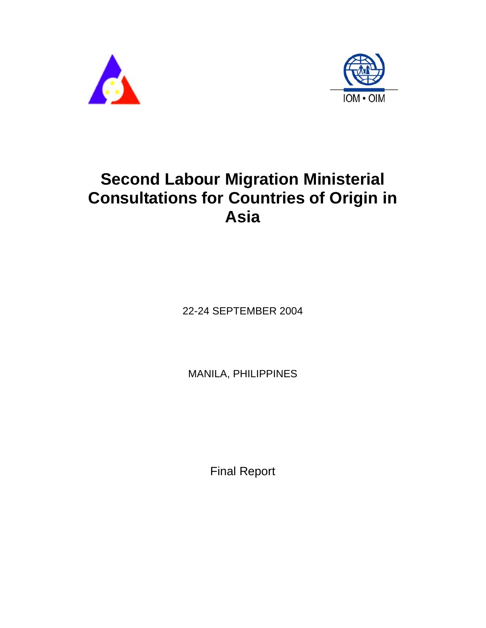



# **Second Labour Migration Ministerial Consultations for Countries of Origin in Asia**

22-24 SEPTEMBER 2004

MANILA, PHILIPPINES

Final Report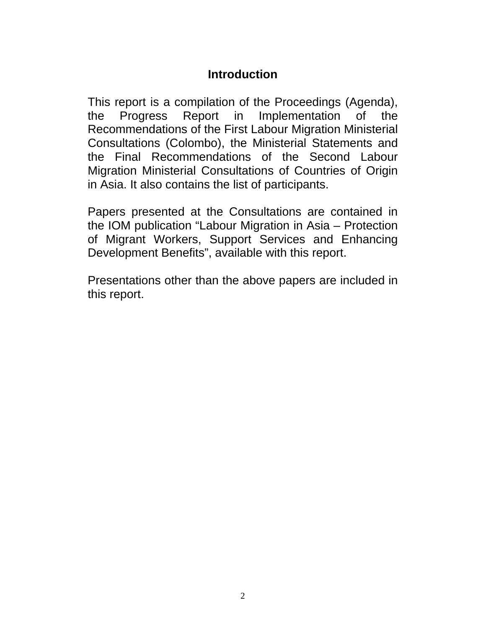# **Introduction**

This report is a compilation of the Proceedings (Agenda), the Progress Report in Implementation of the Recommendations of the First Labour Migration Ministerial Consultations (Colombo), the Ministerial Statements and the Final Recommendations of the Second Labour Migration Ministerial Consultations of Countries of Origin in Asia. It also contains the list of participants.

Papers presented at the Consultations are contained in the IOM publication "Labour Migration in Asia – Protection of Migrant Workers, Support Services and Enhancing Development Benefits", available with this report.

Presentations other than the above papers are included in this report.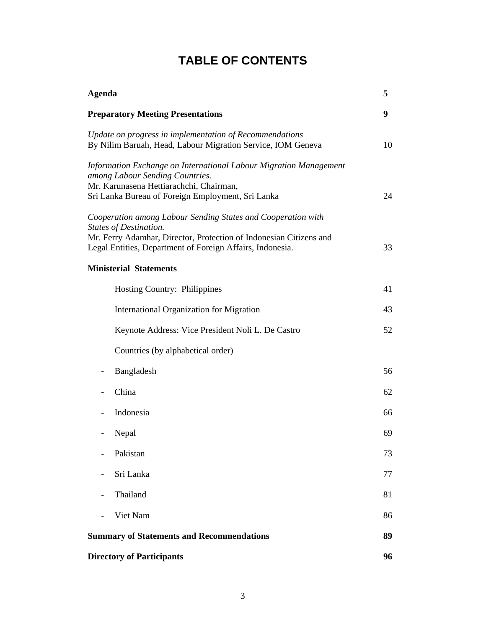# **TABLE OF CONTENTS**

| <b>Agenda</b>                                                                                                                                                                                                                    | 5  |
|----------------------------------------------------------------------------------------------------------------------------------------------------------------------------------------------------------------------------------|----|
| <b>Preparatory Meeting Presentations</b>                                                                                                                                                                                         | 9  |
| Update on progress in implementation of Recommendations<br>By Nilim Baruah, Head, Labour Migration Service, IOM Geneva                                                                                                           | 10 |
| Information Exchange on International Labour Migration Management<br>among Labour Sending Countries.<br>Mr. Karunasena Hettiarachchi, Chairman,<br>Sri Lanka Bureau of Foreign Employment, Sri Lanka                             | 24 |
| Cooperation among Labour Sending States and Cooperation with<br><b>States of Destination.</b><br>Mr. Ferry Adamhar, Director, Protection of Indonesian Citizens and<br>Legal Entities, Department of Foreign Affairs, Indonesia. | 33 |
| <b>Ministerial Statements</b>                                                                                                                                                                                                    |    |
| Hosting Country: Philippines                                                                                                                                                                                                     | 41 |
| <b>International Organization for Migration</b>                                                                                                                                                                                  | 43 |
| Keynote Address: Vice President Noli L. De Castro                                                                                                                                                                                | 52 |
| Countries (by alphabetical order)                                                                                                                                                                                                |    |
| Bangladesh                                                                                                                                                                                                                       | 56 |
| China                                                                                                                                                                                                                            | 62 |
| Indonesia                                                                                                                                                                                                                        | 66 |
| Nepal                                                                                                                                                                                                                            | 69 |
| Pakistan                                                                                                                                                                                                                         | 73 |
| Sri Lanka                                                                                                                                                                                                                        | 77 |
| Thailand                                                                                                                                                                                                                         | 81 |
| Viet Nam                                                                                                                                                                                                                         | 86 |
| <b>Summary of Statements and Recommendations</b>                                                                                                                                                                                 | 89 |
| <b>Directory of Participants</b>                                                                                                                                                                                                 | 96 |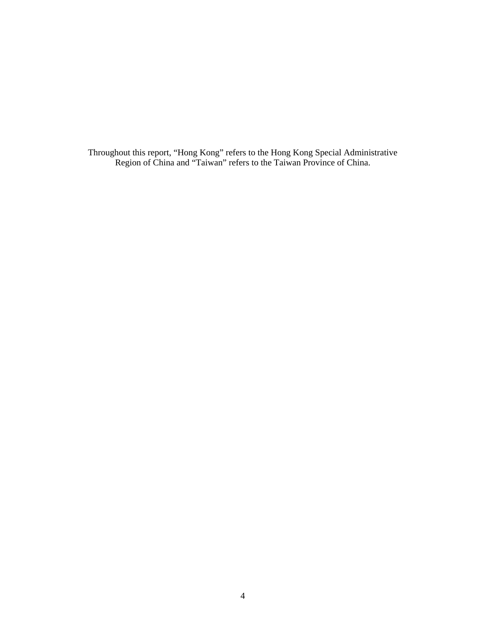Throughout this report, "Hong Kong" refers to the Hong Kong Special Administrative Region of China and "Taiwan" refers to the Taiwan Province of China.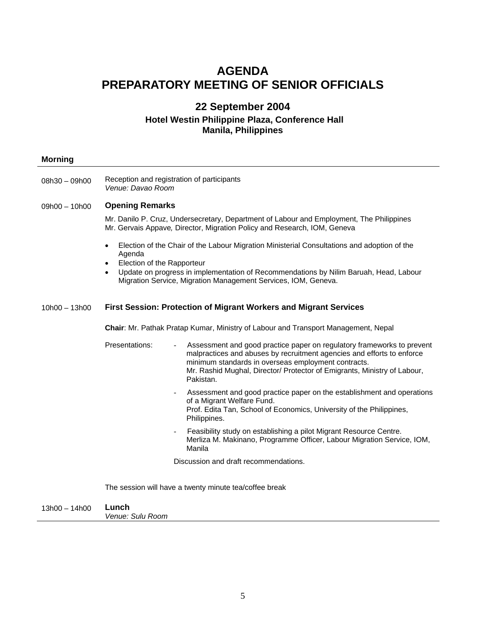## **AGENDA PREPARATORY MEETING OF SENIOR OFFICIALS**

## **22 September 2004**

#### **Hotel Westin Philippine Plaza, Conference Hall Manila, Philippines**

| <b>Morning</b>  |                                                                                                                                                                                                                                                                                                                    |  |  |  |  |  |  |
|-----------------|--------------------------------------------------------------------------------------------------------------------------------------------------------------------------------------------------------------------------------------------------------------------------------------------------------------------|--|--|--|--|--|--|
| 08h30 - 09h00   | Reception and registration of participants<br>Venue: Davao Room                                                                                                                                                                                                                                                    |  |  |  |  |  |  |
| $09h00 - 10h00$ | <b>Opening Remarks</b>                                                                                                                                                                                                                                                                                             |  |  |  |  |  |  |
|                 | Mr. Danilo P. Cruz, Undersecretary, Department of Labour and Employment, The Philippines<br>Mr. Gervais Appave, Director, Migration Policy and Research, IOM, Geneva                                                                                                                                               |  |  |  |  |  |  |
|                 | Election of the Chair of the Labour Migration Ministerial Consultations and adoption of the<br>Agenda<br>Election of the Rapporteur<br>Update on progress in implementation of Recommendations by Nilim Baruah, Head, Labour<br>$\bullet$<br>Migration Service, Migration Management Services, IOM, Geneva.        |  |  |  |  |  |  |
| $10h00 - 13h00$ | <b>First Session: Protection of Migrant Workers and Migrant Services</b>                                                                                                                                                                                                                                           |  |  |  |  |  |  |
|                 | Chair: Mr. Pathak Pratap Kumar, Ministry of Labour and Transport Management, Nepal                                                                                                                                                                                                                                 |  |  |  |  |  |  |
|                 | Presentations:<br>Assessment and good practice paper on regulatory frameworks to prevent<br>malpractices and abuses by recruitment agencies and efforts to enforce<br>minimum standards in overseas employment contracts.<br>Mr. Rashid Mughal, Director/ Protector of Emigrants, Ministry of Labour,<br>Pakistan. |  |  |  |  |  |  |
|                 | Assessment and good practice paper on the establishment and operations<br>$\overline{\phantom{a}}$<br>of a Migrant Welfare Fund.<br>Prof. Edita Tan, School of Economics, University of the Philippines,<br>Philippines.                                                                                           |  |  |  |  |  |  |
|                 | Feasibility study on establishing a pilot Migrant Resource Centre.<br>$\overline{\phantom{a}}$<br>Merliza M. Makinano, Programme Officer, Labour Migration Service, IOM,<br>Manila                                                                                                                                 |  |  |  |  |  |  |
|                 | Discussion and draft recommendations.                                                                                                                                                                                                                                                                              |  |  |  |  |  |  |
|                 | The session will have a twenty minute tea/coffee break                                                                                                                                                                                                                                                             |  |  |  |  |  |  |
| $13h00 - 14h00$ | Lunch<br>Venue: Sulu Room                                                                                                                                                                                                                                                                                          |  |  |  |  |  |  |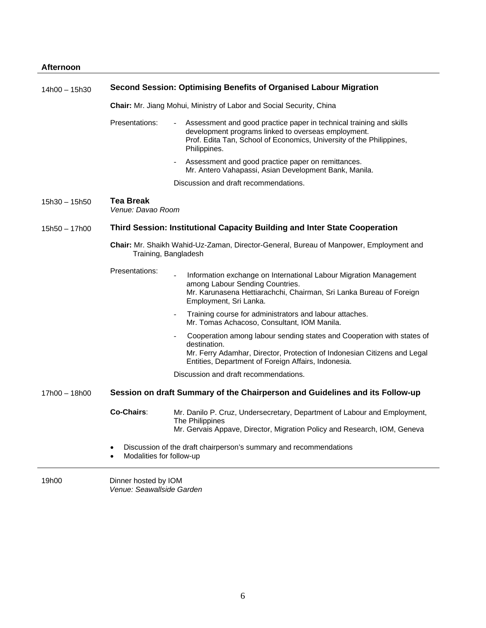| 14h00 - 15h30 | Second Session: Optimising Benefits of Organised Labour Migration                                              |                                                                                                                                                                                                                           |  |  |  |  |  |
|---------------|----------------------------------------------------------------------------------------------------------------|---------------------------------------------------------------------------------------------------------------------------------------------------------------------------------------------------------------------------|--|--|--|--|--|
|               | Chair: Mr. Jiang Mohui, Ministry of Labor and Social Security, China                                           |                                                                                                                                                                                                                           |  |  |  |  |  |
|               | Presentations:                                                                                                 | Assessment and good practice paper in technical training and skills<br>development programs linked to overseas employment.<br>Prof. Edita Tan, School of Economics, University of the Philippines,<br>Philippines.        |  |  |  |  |  |
|               |                                                                                                                | Assessment and good practice paper on remittances.<br>Mr. Antero Vahapassi, Asian Development Bank, Manila.                                                                                                               |  |  |  |  |  |
|               |                                                                                                                | Discussion and draft recommendations.                                                                                                                                                                                     |  |  |  |  |  |
| 15h30 – 15h50 | <b>Tea Break</b><br>Venue: Davao Room                                                                          |                                                                                                                                                                                                                           |  |  |  |  |  |
| 15h50 - 17h00 |                                                                                                                | Third Session: Institutional Capacity Building and Inter State Cooperation                                                                                                                                                |  |  |  |  |  |
|               | Chair: Mr. Shaikh Wahid-Uz-Zaman, Director-General, Bureau of Manpower, Employment and<br>Training, Bangladesh |                                                                                                                                                                                                                           |  |  |  |  |  |
|               | Presentations:                                                                                                 | Information exchange on International Labour Migration Management<br>among Labour Sending Countries.<br>Mr. Karunasena Hettiarachchi, Chairman, Sri Lanka Bureau of Foreign<br>Employment, Sri Lanka.                     |  |  |  |  |  |
|               |                                                                                                                | Training course for administrators and labour attaches.<br>Mr. Tomas Achacoso, Consultant, IOM Manila.                                                                                                                    |  |  |  |  |  |
|               |                                                                                                                | Cooperation among labour sending states and Cooperation with states of<br>destination.<br>Mr. Ferry Adamhar, Director, Protection of Indonesian Citizens and Legal<br>Entities, Department of Foreign Affairs, Indonesia. |  |  |  |  |  |
|               |                                                                                                                | Discussion and draft recommendations.                                                                                                                                                                                     |  |  |  |  |  |
| 17h00 - 18h00 | Session on draft Summary of the Chairperson and Guidelines and its Follow-up                                   |                                                                                                                                                                                                                           |  |  |  |  |  |
|               | Co-Chairs:                                                                                                     | Mr. Danilo P. Cruz, Undersecretary, Department of Labour and Employment,<br>The Philippines<br>Mr. Gervais Appave, Director, Migration Policy and Research, IOM, Geneva                                                   |  |  |  |  |  |
|               | ٠<br>Modalities for follow-up                                                                                  | Discussion of the draft chairperson's summary and recommendations                                                                                                                                                         |  |  |  |  |  |
| 19h00         | Dinner hosted by IOM<br>Venue: Seawallside Garden                                                              |                                                                                                                                                                                                                           |  |  |  |  |  |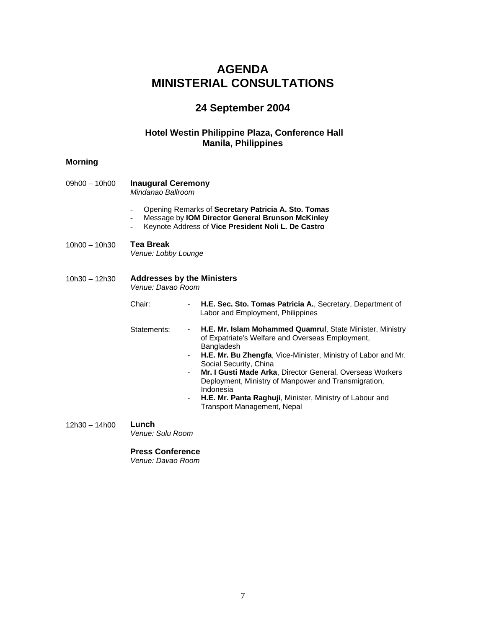# **AGENDA MINISTERIAL CONSULTATIONS**

# **24 September 2004**

## **Hotel Westin Philippine Plaza, Conference Hall Manila, Philippines**

| <b>Morning</b>  |                                                        |                                                                                                                                                                                                                                                                                                                                                                                                                                                            |  |  |  |  |  |
|-----------------|--------------------------------------------------------|------------------------------------------------------------------------------------------------------------------------------------------------------------------------------------------------------------------------------------------------------------------------------------------------------------------------------------------------------------------------------------------------------------------------------------------------------------|--|--|--|--|--|
| $09h00 - 10h00$ | <b>Inaugural Ceremony</b><br>Mindanao Ballroom         |                                                                                                                                                                                                                                                                                                                                                                                                                                                            |  |  |  |  |  |
|                 |                                                        | Opening Remarks of Secretary Patricia A. Sto. Tomas<br>Message by IOM Director General Brunson McKinley<br>Keynote Address of Vice President Noli L. De Castro                                                                                                                                                                                                                                                                                             |  |  |  |  |  |
| $10h00 - 10h30$ | Tea Break<br>Venue: Lobby Lounge                       |                                                                                                                                                                                                                                                                                                                                                                                                                                                            |  |  |  |  |  |
| $10h30 - 12h30$ | <b>Addresses by the Ministers</b><br>Venue: Davao Room |                                                                                                                                                                                                                                                                                                                                                                                                                                                            |  |  |  |  |  |
|                 | Chair:                                                 | H.E. Sec. Sto. Tomas Patricia A., Secretary, Department of<br>Labor and Employment, Philippines                                                                                                                                                                                                                                                                                                                                                            |  |  |  |  |  |
|                 | Statements:                                            | H.E. Mr. Islam Mohammed Quamrul, State Minister, Ministry<br>of Expatriate's Welfare and Overseas Employment,<br>Bangladesh<br>H.E. Mr. Bu Zhengfa, Vice-Minister, Ministry of Labor and Mr.<br>Social Security, China<br>Mr. I Gusti Made Arka, Director General, Overseas Workers<br>Deployment, Ministry of Manpower and Transmigration,<br>Indonesia<br>H.E. Mr. Panta Raghuji, Minister, Ministry of Labour and<br><b>Transport Management, Nepal</b> |  |  |  |  |  |
| $12h30 - 14h00$ | Lunch<br>Venue: Sulu Room                              |                                                                                                                                                                                                                                                                                                                                                                                                                                                            |  |  |  |  |  |
|                 | <b>Press Conference</b>                                |                                                                                                                                                                                                                                                                                                                                                                                                                                                            |  |  |  |  |  |

*Venue: Davao Room*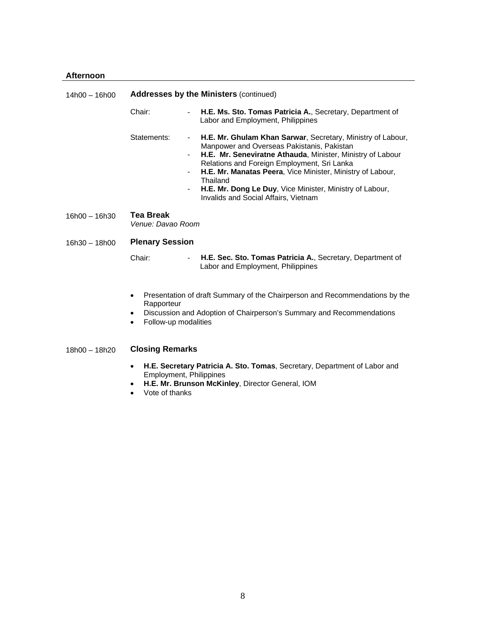#### **Afternoon**

| $14h00 - 16h00$ | <b>Addresses by the Ministers (continued)</b>                                                                                                                                                                    |                                                                                                                                                                                                                                                                                                                                                                                                      |  |  |  |  |
|-----------------|------------------------------------------------------------------------------------------------------------------------------------------------------------------------------------------------------------------|------------------------------------------------------------------------------------------------------------------------------------------------------------------------------------------------------------------------------------------------------------------------------------------------------------------------------------------------------------------------------------------------------|--|--|--|--|
|                 | Chair:<br>$\overline{\phantom{0}}$                                                                                                                                                                               | H.E. Ms. Sto. Tomas Patricia A., Secretary, Department of<br>Labor and Employment, Philippines                                                                                                                                                                                                                                                                                                       |  |  |  |  |
|                 | Statements:<br>$\blacksquare$<br>$\overline{\phantom{0}}$                                                                                                                                                        | H.E. Mr. Ghulam Khan Sarwar, Secretary, Ministry of Labour,<br>Manpower and Overseas Pakistanis, Pakistan<br>H.E. Mr. Seneviratne Athauda, Minister, Ministry of Labour<br>Relations and Foreign Employment, Sri Lanka<br>H.E. Mr. Manatas Peera, Vice Minister, Ministry of Labour,<br>Thailand<br>H.E. Mr. Dong Le Duy, Vice Minister, Ministry of Labour,<br>Invalids and Social Affairs, Vietnam |  |  |  |  |
| 16h00 - 16h30   | Tea Break<br>Venue: Davao Room                                                                                                                                                                                   |                                                                                                                                                                                                                                                                                                                                                                                                      |  |  |  |  |
| $16h30 - 18h00$ | <b>Plenary Session</b>                                                                                                                                                                                           |                                                                                                                                                                                                                                                                                                                                                                                                      |  |  |  |  |
|                 | Chair:<br>$\overline{\phantom{0}}$                                                                                                                                                                               | H.E. Sec. Sto. Tomas Patricia A., Secretary, Department of<br>Labor and Employment, Philippines                                                                                                                                                                                                                                                                                                      |  |  |  |  |
|                 | Presentation of draft Summary of the Chairperson and Recommendations by the<br>٠<br>Rapporteur<br>Discussion and Adoption of Chairperson's Summary and Recommendations<br>٠<br>Follow-up modalities<br>$\bullet$ |                                                                                                                                                                                                                                                                                                                                                                                                      |  |  |  |  |
| $18h00 - 18h20$ | <b>Closing Remarks</b>                                                                                                                                                                                           |                                                                                                                                                                                                                                                                                                                                                                                                      |  |  |  |  |
|                 | H.E. Secretary Patricia A. Sto. Tomas, Secretary, Department of Labor and<br>$\bullet$<br><b>Employment, Philippines</b><br>H.E. Mr. Brunson McKinley, Director General, IOM<br>٠                                |                                                                                                                                                                                                                                                                                                                                                                                                      |  |  |  |  |

• Vote of thanks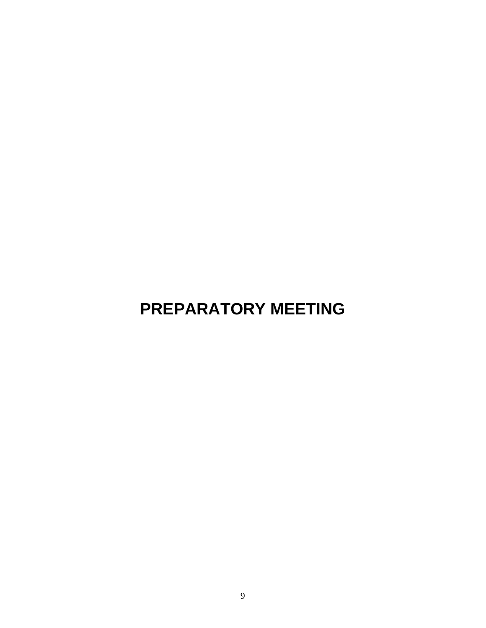# **PREPARATORY MEETING**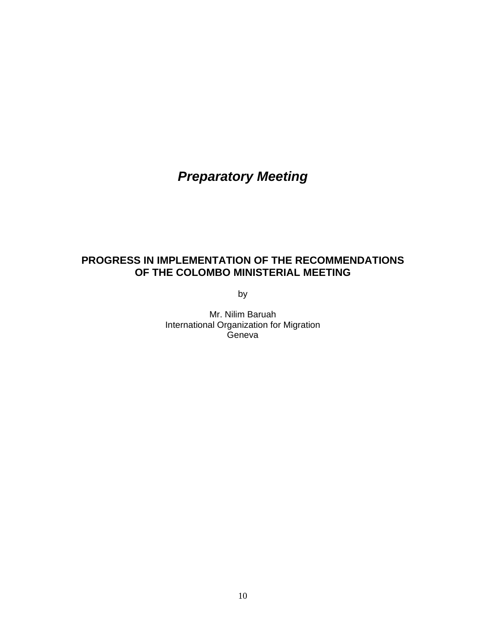# *Preparatory Meeting*

## **PROGRESS IN IMPLEMENTATION OF THE RECOMMENDATIONS OF THE COLOMBO MINISTERIAL MEETING**

by

Mr. Nilim Baruah International Organization for Migration **Geneva**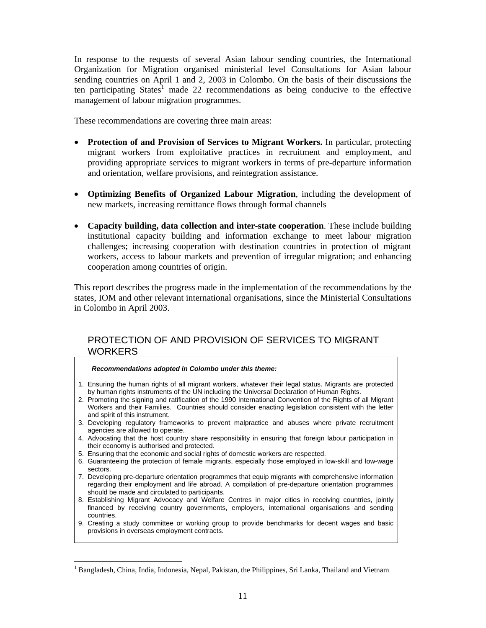In response to the requests of several Asian labour sending countries, the International Organization for Migration organised ministerial level Consultations for Asian labour sending countries on April 1 and 2, 2003 in Colombo. On the basis of their discussions the ten participating States<sup>1</sup> made 22 recommendations as being conducive to the effective management of labour migration programmes.

These recommendations are covering three main areas:

- **Protection of and Provision of Services to Migrant Workers.** In particular, protecting migrant workers from exploitative practices in recruitment and employment, and providing appropriate services to migrant workers in terms of pre-departure information and orientation, welfare provisions, and reintegration assistance.
- **Optimizing Benefits of Organized Labour Migration**, including the development of new markets, increasing remittance flows through formal channels
- **Capacity building, data collection and inter-state cooperation**. These include building institutional capacity building and information exchange to meet labour migration challenges; increasing cooperation with destination countries in protection of migrant workers, access to labour markets and prevention of irregular migration; and enhancing cooperation among countries of origin.

This report describes the progress made in the implementation of the recommendations by the states, IOM and other relevant international organisations, since the Ministerial Consultations in Colombo in April 2003.

## PROTECTION OF AND PROVISION OF SERVICES TO MIGRANT **WORKERS**

#### *Recommendations adopted in Colombo under this theme:*

- 1. Ensuring the human rights of all migrant workers, whatever their legal status. Migrants are protected by human rights instruments of the UN including the Universal Declaration of Human Rights.
- 2. Promoting the signing and ratification of the 1990 International Convention of the Rights of all Migrant Workers and their Families. Countries should consider enacting legislation consistent with the letter and spirit of this instrument.
- 3. Developing regulatory frameworks to prevent malpractice and abuses where private recruitment agencies are allowed to operate.
- 4. Advocating that the host country share responsibility in ensuring that foreign labour participation in their economy is authorised and protected.
- 5. Ensuring that the economic and social rights of domestic workers are respected.

 $\overline{a}$ 

- 6. Guaranteeing the protection of female migrants, especially those employed in low-skill and low-wage sectors.
- 7. Developing pre-departure orientation programmes that equip migrants with comprehensive information regarding their employment and life abroad. A compilation of pre-departure orientation programmes should be made and circulated to participants.
- 8. Establishing Migrant Advocacy and Welfare Centres in major cities in receiving countries, jointly financed by receiving country governments, employers, international organisations and sending countries.
- 9. Creating a study committee or working group to provide benchmarks for decent wages and basic provisions in overseas employment contracts.

<sup>&</sup>lt;sup>1</sup> Bangladesh, China, India, Indonesia, Nepal, Pakistan, the Philippines, Sri Lanka, Thailand and Vietnam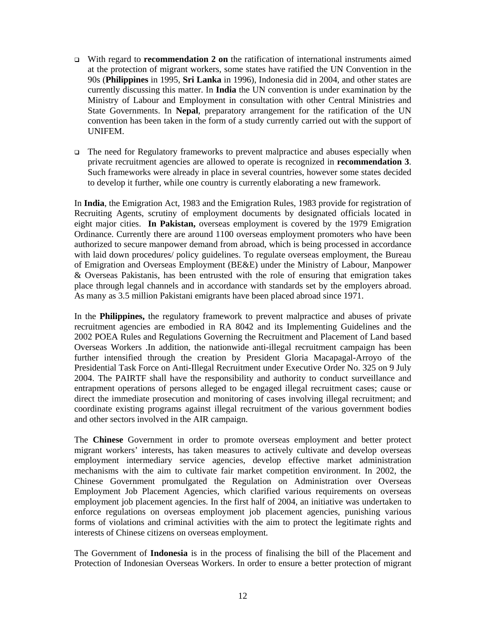- With regard to **recommendation 2 on** the ratification of international instruments aimed at the protection of migrant workers, some states have ratified the UN Convention in the 90s (**Philippines** in 1995, **Sri Lanka** in 1996), Indonesia did in 2004, and other states are currently discussing this matter. In **India** the UN convention is under examination by the Ministry of Labour and Employment in consultation with other Central Ministries and State Governments. In **Nepal**, preparatory arrangement for the ratification of the UN convention has been taken in the form of a study currently carried out with the support of UNIFEM.
- The need for Regulatory frameworks to prevent malpractice and abuses especially when private recruitment agencies are allowed to operate is recognized in **recommendation 3**. Such frameworks were already in place in several countries, however some states decided to develop it further, while one country is currently elaborating a new framework.

In **India**, the Emigration Act, 1983 and the Emigration Rules, 1983 provide for registration of Recruiting Agents, scrutiny of employment documents by designated officials located in eight major cities. **In Pakistan,** overseas employment is covered by the 1979 Emigration Ordinance. Currently there are around 1100 overseas employment promoters who have been authorized to secure manpower demand from abroad, which is being processed in accordance with laid down procedures/ policy guidelines. To regulate overseas employment, the Bureau of Emigration and Overseas Employment (BE&E) under the Ministry of Labour, Manpower & Overseas Pakistanis, has been entrusted with the role of ensuring that emigration takes place through legal channels and in accordance with standards set by the employers abroad. As many as 3.5 million Pakistani emigrants have been placed abroad since 1971.

In the **Philippines,** the regulatory framework to prevent malpractice and abuses of private recruitment agencies are embodied in RA 8042 and its Implementing Guidelines and the 2002 POEA Rules and Regulations Governing the Recruitment and Placement of Land based Overseas Workers .In addition, the nationwide anti-illegal recruitment campaign has been further intensified through the creation by President Gloria Macapagal-Arroyo of the Presidential Task Force on Anti-Illegal Recruitment under Executive Order No. 325 on 9 July 2004. The PAIRTF shall have the responsibility and authority to conduct surveillance and entrapment operations of persons alleged to be engaged illegal recruitment cases; cause or direct the immediate prosecution and monitoring of cases involving illegal recruitment; and coordinate existing programs against illegal recruitment of the various government bodies and other sectors involved in the AIR campaign.

The **Chinese** Government in order to promote overseas employment and better protect migrant workers' interests, has taken measures to actively cultivate and develop overseas employment intermediary service agencies, develop effective market administration mechanisms with the aim to cultivate fair market competition environment. In 2002, the Chinese Government promulgated the Regulation on Administration over Overseas Employment Job Placement Agencies, which clarified various requirements on overseas employment job placement agencies. In the first half of 2004, an initiative was undertaken to enforce regulations on overseas employment job placement agencies, punishing various forms of violations and criminal activities with the aim to protect the legitimate rights and interests of Chinese citizens on overseas employment.

The Government of **Indonesia** is in the process of finalising the bill of the Placement and Protection of Indonesian Overseas Workers. In order to ensure a better protection of migrant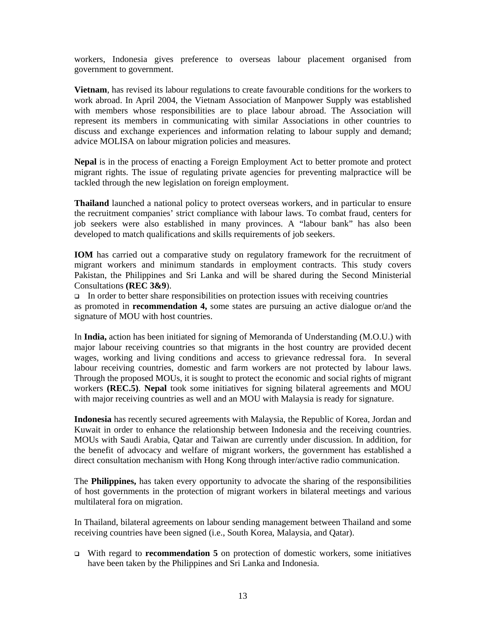workers, Indonesia gives preference to overseas labour placement organised from government to government.

**Vietnam**, has revised its labour regulations to create favourable conditions for the workers to work abroad. In April 2004, the Vietnam Association of Manpower Supply was established with members whose responsibilities are to place labour abroad. The Association will represent its members in communicating with similar Associations in other countries to discuss and exchange experiences and information relating to labour supply and demand; advice MOLISA on labour migration policies and measures.

**Nepal** is in the process of enacting a Foreign Employment Act to better promote and protect migrant rights. The issue of regulating private agencies for preventing malpractice will be tackled through the new legislation on foreign employment.

**Thailand** launched a national policy to protect overseas workers, and in particular to ensure the recruitment companies' strict compliance with labour laws. To combat fraud, centers for job seekers were also established in many provinces. A "labour bank" has also been developed to match qualifications and skills requirements of job seekers.

**IOM** has carried out a comparative study on regulatory framework for the recruitment of migrant workers and minimum standards in employment contracts. This study covers Pakistan, the Philippines and Sri Lanka and will be shared during the Second Ministerial Consultations **(REC 3&9**).

In order to better share responsibilities on protection issues with receiving countries as promoted in **recommendation 4,** some states are pursuing an active dialogue or/and the signature of MOU with host countries.

In **India,** action has been initiated for signing of Memoranda of Understanding (M.O.U.) with major labour receiving countries so that migrants in the host country are provided decent wages, working and living conditions and access to grievance redressal fora. In several labour receiving countries, domestic and farm workers are not protected by labour laws. Through the proposed MOUs, it is sought to protect the economic and social rights of migrant workers **(REC.5)**. **Nepal** took some initiatives for signing bilateral agreements and MOU with major receiving countries as well and an MOU with Malaysia is ready for signature.

**Indonesia** has recently secured agreements with Malaysia, the Republic of Korea, Jordan and Kuwait in order to enhance the relationship between Indonesia and the receiving countries. MOUs with Saudi Arabia, Qatar and Taiwan are currently under discussion. In addition, for the benefit of advocacy and welfare of migrant workers, the government has established a direct consultation mechanism with Hong Kong through inter/active radio communication.

The **Philippines,** has taken every opportunity to advocate the sharing of the responsibilities of host governments in the protection of migrant workers in bilateral meetings and various multilateral fora on migration.

In Thailand, bilateral agreements on labour sending management between Thailand and some receiving countries have been signed (i.e., South Korea, Malaysia, and Qatar).

 With regard to **recommendation 5** on protection of domestic workers, some initiatives have been taken by the Philippines and Sri Lanka and Indonesia.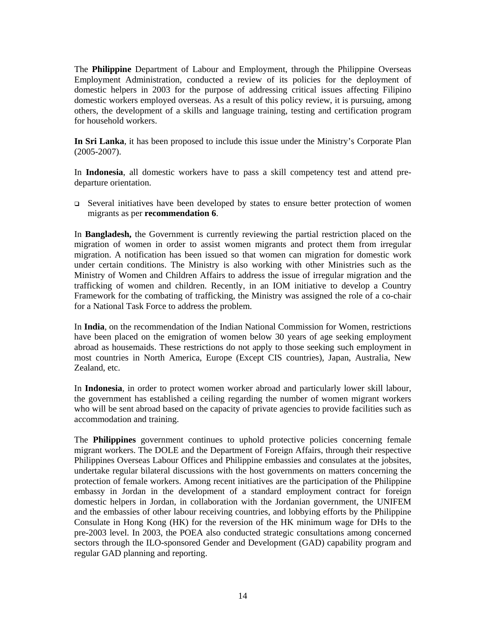The **Philippine** Department of Labour and Employment, through the Philippine Overseas Employment Administration, conducted a review of its policies for the deployment of domestic helpers in 2003 for the purpose of addressing critical issues affecting Filipino domestic workers employed overseas. As a result of this policy review, it is pursuing, among others, the development of a skills and language training, testing and certification program for household workers.

**In Sri Lanka**, it has been proposed to include this issue under the Ministry's Corporate Plan (2005-2007).

In **Indonesia**, all domestic workers have to pass a skill competency test and attend predeparture orientation.

 $\Box$  Several initiatives have been developed by states to ensure better protection of women migrants as per **recommendation 6**.

In **Bangladesh,** the Government is currently reviewing the partial restriction placed on the migration of women in order to assist women migrants and protect them from irregular migration. A notification has been issued so that women can migration for domestic work under certain conditions. The Ministry is also working with other Ministries such as the Ministry of Women and Children Affairs to address the issue of irregular migration and the trafficking of women and children. Recently, in an IOM initiative to develop a Country Framework for the combating of trafficking, the Ministry was assigned the role of a co-chair for a National Task Force to address the problem.

In **India**, on the recommendation of the Indian National Commission for Women, restrictions have been placed on the emigration of women below 30 years of age seeking employment abroad as housemaids. These restrictions do not apply to those seeking such employment in most countries in North America, Europe (Except CIS countries), Japan, Australia, New Zealand, etc.

In **Indonesia**, in order to protect women worker abroad and particularly lower skill labour, the government has established a ceiling regarding the number of women migrant workers who will be sent abroad based on the capacity of private agencies to provide facilities such as accommodation and training.

The **Philippines** government continues to uphold protective policies concerning female migrant workers. The DOLE and the Department of Foreign Affairs, through their respective Philippines Overseas Labour Offices and Philippine embassies and consulates at the jobsites, undertake regular bilateral discussions with the host governments on matters concerning the protection of female workers. Among recent initiatives are the participation of the Philippine embassy in Jordan in the development of a standard employment contract for foreign domestic helpers in Jordan, in collaboration with the Jordanian government, the UNIFEM and the embassies of other labour receiving countries, and lobbying efforts by the Philippine Consulate in Hong Kong (HK) for the reversion of the HK minimum wage for DHs to the pre-2003 level. In 2003, the POEA also conducted strategic consultations among concerned sectors through the ILO-sponsored Gender and Development (GAD) capability program and regular GAD planning and reporting.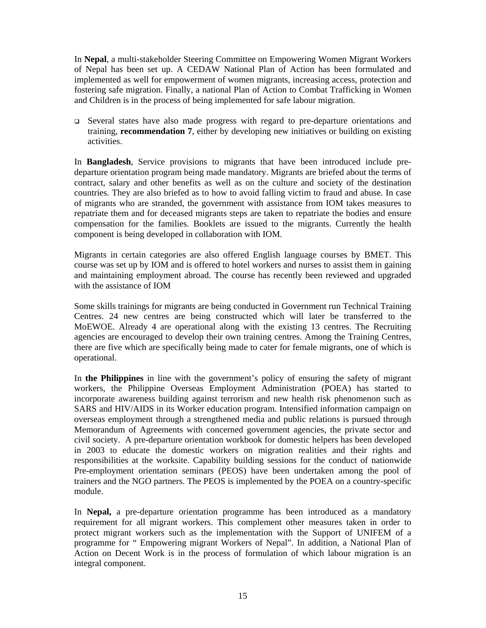In **Nepal**, a multi-stakeholder Steering Committee on Empowering Women Migrant Workers of Nepal has been set up. A CEDAW National Plan of Action has been formulated and implemented as well for empowerment of women migrants, increasing access, protection and fostering safe migration. Finally, a national Plan of Action to Combat Trafficking in Women and Children is in the process of being implemented for safe labour migration.

 Several states have also made progress with regard to pre-departure orientations and training, **recommendation 7**, either by developing new initiatives or building on existing activities.

In **Bangladesh**, Service provisions to migrants that have been introduced include predeparture orientation program being made mandatory. Migrants are briefed about the terms of contract, salary and other benefits as well as on the culture and society of the destination countries. They are also briefed as to how to avoid falling victim to fraud and abuse. In case of migrants who are stranded, the government with assistance from IOM takes measures to repatriate them and for deceased migrants steps are taken to repatriate the bodies and ensure compensation for the families. Booklets are issued to the migrants. Currently the health component is being developed in collaboration with IOM.

Migrants in certain categories are also offered English language courses by BMET. This course was set up by IOM and is offered to hotel workers and nurses to assist them in gaining and maintaining employment abroad. The course has recently been reviewed and upgraded with the assistance of IOM

Some skills trainings for migrants are being conducted in Government run Technical Training Centres. 24 new centres are being constructed which will later be transferred to the MoEWOE. Already 4 are operational along with the existing 13 centres. The Recruiting agencies are encouraged to develop their own training centres. Among the Training Centres, there are five which are specifically being made to cater for female migrants, one of which is operational.

In **the Philippines** in line with the government's policy of ensuring the safety of migrant workers, the Philippine Overseas Employment Administration (POEA) has started to incorporate awareness building against terrorism and new health risk phenomenon such as SARS and HIV/AIDS in its Worker education program. Intensified information campaign on overseas employment through a strengthened media and public relations is pursued through Memorandum of Agreements with concerned government agencies, the private sector and civil society. A pre-departure orientation workbook for domestic helpers has been developed in 2003 to educate the domestic workers on migration realities and their rights and responsibilities at the worksite. Capability building sessions for the conduct of nationwide Pre-employment orientation seminars (PEOS) have been undertaken among the pool of trainers and the NGO partners. The PEOS is implemented by the POEA on a country-specific module.

In **Nepal,** a pre-departure orientation programme has been introduced as a mandatory requirement for all migrant workers. This complement other measures taken in order to protect migrant workers such as the implementation with the Support of UNIFEM of a programme for " Empowering migrant Workers of Nepal". In addition, a National Plan of Action on Decent Work is in the process of formulation of which labour migration is an integral component.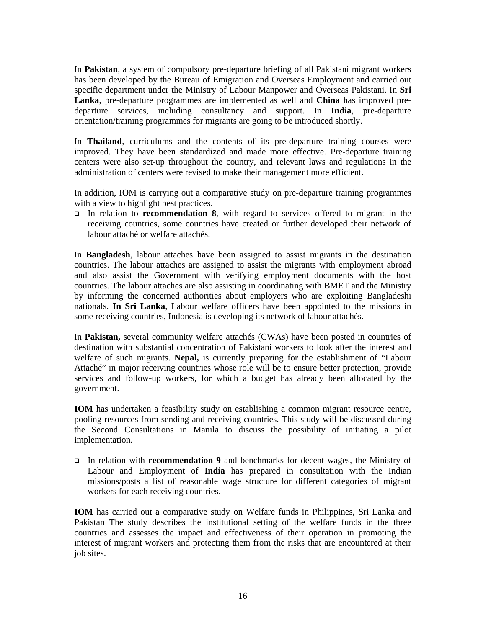In **Pakistan**, a system of compulsory pre-departure briefing of all Pakistani migrant workers has been developed by the Bureau of Emigration and Overseas Employment and carried out specific department under the Ministry of Labour Manpower and Overseas Pakistani. In **Sri Lanka**, pre-departure programmes are implemented as well and **China** has improved predeparture services, including consultancy and support. In **India**, pre-departure orientation/training programmes for migrants are going to be introduced shortly.

In **Thailand**, curriculums and the contents of its pre-departure training courses were improved. They have been standardized and made more effective. Pre-departure training centers were also set-up throughout the country, and relevant laws and regulations in the administration of centers were revised to make their management more efficient.

In addition, IOM is carrying out a comparative study on pre-departure training programmes with a view to highlight best practices.

 In relation to **recommendation 8**, with regard to services offered to migrant in the receiving countries, some countries have created or further developed their network of labour attaché or welfare attachés.

In **Bangladesh**, labour attaches have been assigned to assist migrants in the destination countries. The labour attaches are assigned to assist the migrants with employment abroad and also assist the Government with verifying employment documents with the host countries. The labour attaches are also assisting in coordinating with BMET and the Ministry by informing the concerned authorities about employers who are exploiting Bangladeshi nationals. **In Sri Lanka**, Labour welfare officers have been appointed to the missions in some receiving countries, Indonesia is developing its network of labour attachés.

In **Pakistan,** several community welfare attachés (CWAs) have been posted in countries of destination with substantial concentration of Pakistani workers to look after the interest and welfare of such migrants. **Nepal,** is currently preparing for the establishment of "Labour Attaché" in major receiving countries whose role will be to ensure better protection, provide services and follow-up workers, for which a budget has already been allocated by the government.

**IOM** has undertaken a feasibility study on establishing a common migrant resource centre, pooling resources from sending and receiving countries. This study will be discussed during the Second Consultations in Manila to discuss the possibility of initiating a pilot implementation.

 In relation with **recommendation 9** and benchmarks for decent wages, the Ministry of Labour and Employment of **India** has prepared in consultation with the Indian missions/posts a list of reasonable wage structure for different categories of migrant workers for each receiving countries.

**IOM** has carried out a comparative study on Welfare funds in Philippines, Sri Lanka and Pakistan The study describes the institutional setting of the welfare funds in the three countries and assesses the impact and effectiveness of their operation in promoting the interest of migrant workers and protecting them from the risks that are encountered at their job sites.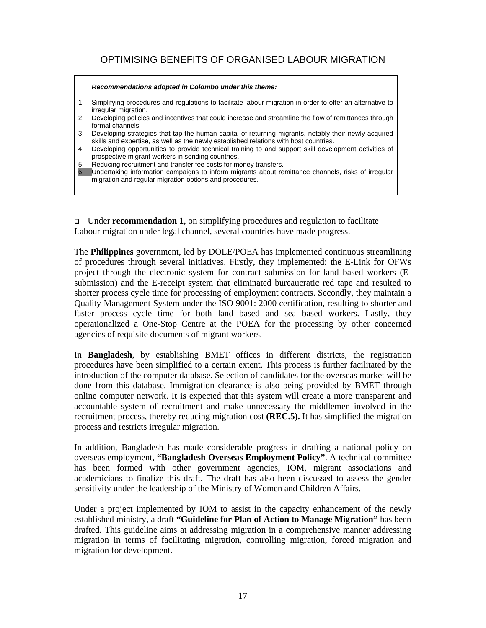## OPTIMISING BENEFITS OF ORGANISED LABOUR MIGRATION

*Recommendations adopted in Colombo under this theme:*  1. Simplifying procedures and regulations to facilitate labour migration in order to offer an alternative to irregular migration. 2. Developing policies and incentives that could increase and streamline the flow of remittances through formal channels. 3. Developing strategies that tap the human capital of returning migrants, notably their newly acquired skills and expertise, as well as the newly established relations with host countries. 4. Developing opportunities to provide technical training to and support skill development activities of prospective migrant workers in sending countries. 5. Reducing recruitment and transfer fee costs for money transfers. 6. Undertaking information campaigns to inform migrants about remittance channels, risks of irregular migration and regular migration options and procedures.

 Under **recommendation 1**, on simplifying procedures and regulation to facilitate Labour migration under legal channel, several countries have made progress.

The **Philippines** government, led by DOLE/POEA has implemented continuous streamlining of procedures through several initiatives. Firstly, they implemented: the E-Link for OFWs project through the electronic system for contract submission for land based workers (Esubmission) and the E-receipt system that eliminated bureaucratic red tape and resulted to shorter process cycle time for processing of employment contracts. Secondly, they maintain a Quality Management System under the ISO 9001: 2000 certification, resulting to shorter and faster process cycle time for both land based and sea based workers. Lastly, they operationalized a One-Stop Centre at the POEA for the processing by other concerned agencies of requisite documents of migrant workers.

In **Bangladesh**, by establishing BMET offices in different districts, the registration procedures have been simplified to a certain extent. This process is further facilitated by the introduction of the computer database. Selection of candidates for the overseas market will be done from this database. Immigration clearance is also being provided by BMET through online computer network. It is expected that this system will create a more transparent and accountable system of recruitment and make unnecessary the middlemen involved in the recruitment process, thereby reducing migration cost **(REC.5).** It has simplified the migration process and restricts irregular migration.

In addition, Bangladesh has made considerable progress in drafting a national policy on overseas employment, **"Bangladesh Overseas Employment Policy"**. A technical committee has been formed with other government agencies, IOM, migrant associations and academicians to finalize this draft. The draft has also been discussed to assess the gender sensitivity under the leadership of the Ministry of Women and Children Affairs.

Under a project implemented by IOM to assist in the capacity enhancement of the newly established ministry, a draft **"Guideline for Plan of Action to Manage Migration"** has been drafted. This guideline aims at addressing migration in a comprehensive manner addressing migration in terms of facilitating migration, controlling migration, forced migration and migration for development.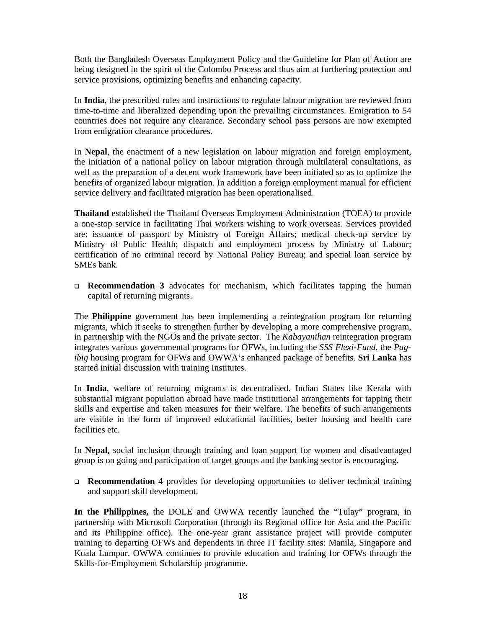Both the Bangladesh Overseas Employment Policy and the Guideline for Plan of Action are being designed in the spirit of the Colombo Process and thus aim at furthering protection and service provisions, optimizing benefits and enhancing capacity.

In **India**, the prescribed rules and instructions to regulate labour migration are reviewed from time-to-time and liberalized depending upon the prevailing circumstances. Emigration to 54 countries does not require any clearance. Secondary school pass persons are now exempted from emigration clearance procedures.

In **Nepal**, the enactment of a new legislation on labour migration and foreign employment, the initiation of a national policy on labour migration through multilateral consultations, as well as the preparation of a decent work framework have been initiated so as to optimize the benefits of organized labour migration. In addition a foreign employment manual for efficient service delivery and facilitated migration has been operationalised.

**Thailand** established the Thailand Overseas Employment Administration (TOEA) to provide a one-stop service in facilitating Thai workers wishing to work overseas. Services provided are: issuance of passport by Ministry of Foreign Affairs; medical check-up service by Ministry of Public Health; dispatch and employment process by Ministry of Labour; certification of no criminal record by National Policy Bureau; and special loan service by SMEs bank.

 **Recommendation 3** advocates for mechanism, which facilitates tapping the human capital of returning migrants.

The **Philippine** government has been implementing a reintegration program for returning migrants, which it seeks to strengthen further by developing a more comprehensive program, in partnership with the NGOs and the private sector. The *Kabayanihan* reintegration program integrates various governmental programs for OFWs, including the *SSS Flexi-Fund,* the *Pagibig* housing program for OFWs and OWWA's enhanced package of benefits. **Sri Lanka** has started initial discussion with training Institutes.

In **India**, welfare of returning migrants is decentralised. Indian States like Kerala with substantial migrant population abroad have made institutional arrangements for tapping their skills and expertise and taken measures for their welfare. The benefits of such arrangements are visible in the form of improved educational facilities, better housing and health care facilities etc.

In **Nepal,** social inclusion through training and loan support for women and disadvantaged group is on going and participation of target groups and the banking sector is encouraging.

 **Recommendation 4** provides for developing opportunities to deliver technical training and support skill development.

**In the Philippines,** the DOLE and OWWA recently launched the "Tulay" program, in partnership with Microsoft Corporation (through its Regional office for Asia and the Pacific and its Philippine office). The one-year grant assistance project will provide computer training to departing OFWs and dependents in three IT facility sites: Manila, Singapore and Kuala Lumpur. OWWA continues to provide education and training for OFWs through the Skills-for-Employment Scholarship programme.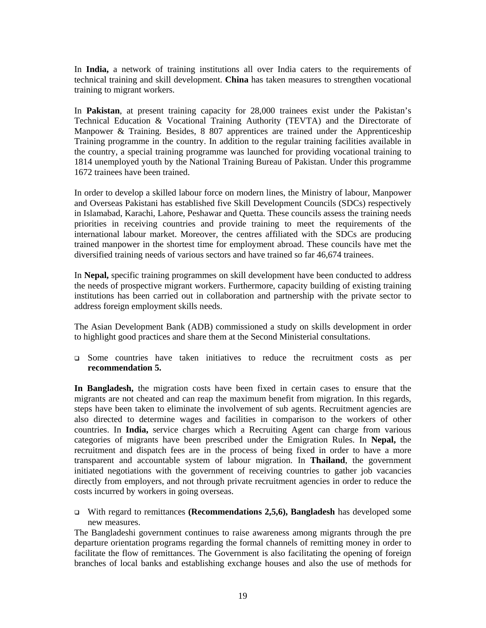In **India,** a network of training institutions all over India caters to the requirements of technical training and skill development. **China** has taken measures to strengthen vocational training to migrant workers.

In **Pakistan**, at present training capacity for 28,000 trainees exist under the Pakistan's Technical Education & Vocational Training Authority (TEVTA) and the Directorate of Manpower & Training. Besides, 8 807 apprentices are trained under the Apprenticeship Training programme in the country. In addition to the regular training facilities available in the country, a special training programme was launched for providing vocational training to 1814 unemployed youth by the National Training Bureau of Pakistan. Under this programme 1672 trainees have been trained.

In order to develop a skilled labour force on modern lines, the Ministry of labour, Manpower and Overseas Pakistani has established five Skill Development Councils (SDCs) respectively in Islamabad, Karachi, Lahore, Peshawar and Quetta. These councils assess the training needs priorities in receiving countries and provide training to meet the requirements of the international labour market. Moreover, the centres affiliated with the SDCs are producing trained manpower in the shortest time for employment abroad. These councils have met the diversified training needs of various sectors and have trained so far 46,674 trainees.

In **Nepal,** specific training programmes on skill development have been conducted to address the needs of prospective migrant workers. Furthermore, capacity building of existing training institutions has been carried out in collaboration and partnership with the private sector to address foreign employment skills needs.

The Asian Development Bank (ADB) commissioned a study on skills development in order to highlight good practices and share them at the Second Ministerial consultations.

 Some countries have taken initiatives to reduce the recruitment costs as per **recommendation 5.**

**In Bangladesh,** the migration costs have been fixed in certain cases to ensure that the migrants are not cheated and can reap the maximum benefit from migration. In this regards, steps have been taken to eliminate the involvement of sub agents. Recruitment agencies are also directed to determine wages and facilities in comparison to the workers of other countries. In **India,** service charges which a Recruiting Agent can charge from various categories of migrants have been prescribed under the Emigration Rules. In **Nepal,** the recruitment and dispatch fees are in the process of being fixed in order to have a more transparent and accountable system of labour migration. In **Thailand**, the government initiated negotiations with the government of receiving countries to gather job vacancies directly from employers, and not through private recruitment agencies in order to reduce the costs incurred by workers in going overseas.

 With regard to remittances **(Recommendations 2,5,6), Bangladesh** has developed some new measures.

The Bangladeshi government continues to raise awareness among migrants through the pre departure orientation programs regarding the formal channels of remitting money in order to facilitate the flow of remittances. The Government is also facilitating the opening of foreign branches of local banks and establishing exchange houses and also the use of methods for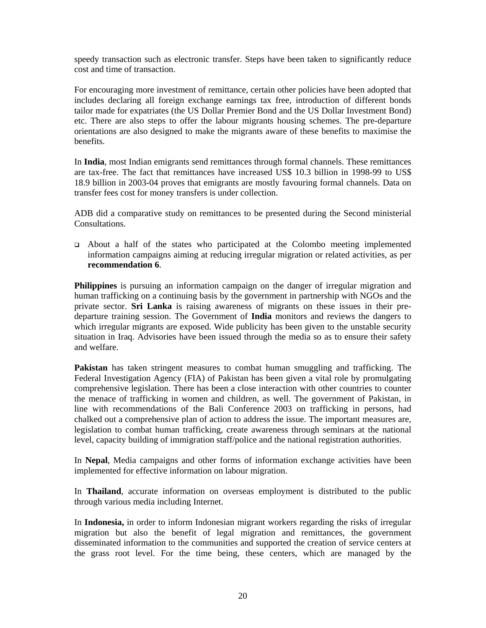speedy transaction such as electronic transfer. Steps have been taken to significantly reduce cost and time of transaction.

For encouraging more investment of remittance, certain other policies have been adopted that includes declaring all foreign exchange earnings tax free, introduction of different bonds tailor made for expatriates (the US Dollar Premier Bond and the US Dollar Investment Bond) etc. There are also steps to offer the labour migrants housing schemes. The pre-departure orientations are also designed to make the migrants aware of these benefits to maximise the benefits.

In **India**, most Indian emigrants send remittances through formal channels. These remittances are tax-free. The fact that remittances have increased US\$ 10.3 billion in 1998-99 to US\$ 18.9 billion in 2003-04 proves that emigrants are mostly favouring formal channels. Data on transfer fees cost for money transfers is under collection.

ADB did a comparative study on remittances to be presented during the Second ministerial Consultations.

 About a half of the states who participated at the Colombo meeting implemented information campaigns aiming at reducing irregular migration or related activities, as per **recommendation 6**.

**Philippines** is pursuing an information campaign on the danger of irregular migration and human trafficking on a continuing basis by the government in partnership with NGOs and the private sector. **Sri Lanka** is raising awareness of migrants on these issues in their predeparture training session. The Government of **India** monitors and reviews the dangers to which irregular migrants are exposed. Wide publicity has been given to the unstable security situation in Iraq. Advisories have been issued through the media so as to ensure their safety and welfare.

**Pakistan** has taken stringent measures to combat human smuggling and trafficking. The Federal Investigation Agency (FIA) of Pakistan has been given a vital role by promulgating comprehensive legislation. There has been a close interaction with other countries to counter the menace of trafficking in women and children, as well. The government of Pakistan, in line with recommendations of the Bali Conference 2003 on trafficking in persons, had chalked out a comprehensive plan of action to address the issue. The important measures are, legislation to combat human trafficking, create awareness through seminars at the national level, capacity building of immigration staff/police and the national registration authorities.

In **Nepal**, Media campaigns and other forms of information exchange activities have been implemented for effective information on labour migration.

In **Thailand**, accurate information on overseas employment is distributed to the public through various media including Internet.

In **Indonesia,** in order to inform Indonesian migrant workers regarding the risks of irregular migration but also the benefit of legal migration and remittances, the government disseminated information to the communities and supported the creation of service centers at the grass root level. For the time being, these centers, which are managed by the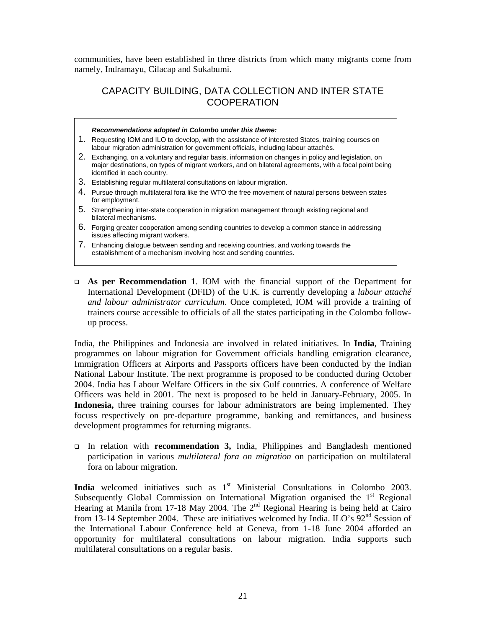communities, have been established in three districts from which many migrants come from namely, Indramayu, Cilacap and Sukabumi.

## CAPACITY BUILDING, DATA COLLECTION AND INTER STATE **COOPERATION**

#### *Recommendations adopted in Colombo under this theme:*

- 1. Requesting IOM and ILO to develop, with the assistance of interested States, training courses on labour migration administration for government officials, including labour attachés.
- 2. Exchanging, on a voluntary and regular basis, information on changes in policy and legislation, on major destinations, on types of migrant workers, and on bilateral agreements, with a focal point being identified in each country.
- 3. Establishing regular multilateral consultations on labour migration.
- 4. Pursue through multilateral fora like the WTO the free movement of natural persons between states for employment.
- 5. Strengthening inter-state cooperation in migration management through existing regional and bilateral mechanisms.
- 6. Forging greater cooperation among sending countries to develop a common stance in addressing issues affecting migrant workers.
- 7. Enhancing dialogue between sending and receiving countries, and working towards the establishment of a mechanism involving host and sending countries.
- **As per Recommendation 1**. IOM with the financial support of the Department for International Development (DFID) of the U.K. is currently developing a *labour attaché and labour administrator curriculum*. Once completed, IOM will provide a training of trainers course accessible to officials of all the states participating in the Colombo followup process.

India, the Philippines and Indonesia are involved in related initiatives. In **India**, Training programmes on labour migration for Government officials handling emigration clearance, Immigration Officers at Airports and Passports officers have been conducted by the Indian National Labour Institute. The next programme is proposed to be conducted during October 2004. India has Labour Welfare Officers in the six Gulf countries. A conference of Welfare Officers was held in 2001. The next is proposed to be held in January-February, 2005. In **Indonesia,** three training courses for labour administrators are being implemented. They focuss respectively on pre-departure programme, banking and remittances, and business development programmes for returning migrants.

 In relation with **recommendation 3,** India, Philippines and Bangladesh mentioned participation in various *multilateral fora on migration* on participation on multilateral fora on labour migration.

India welcomed initiatives such as 1<sup>st</sup> Ministerial Consultations in Colombo 2003. Subsequently Global Commission on International Migration organised the  $1<sup>st</sup>$  Regional Hearing at Manila from 17-18 May 2004. The  $2<sup>nd</sup>$  Regional Hearing is being held at Cairo from 13-14 September 2004. These are initiatives welcomed by India. ILO's  $92<sup>nd</sup>$  Session of the International Labour Conference held at Geneva, from 1-18 June 2004 afforded an opportunity for multilateral consultations on labour migration. India supports such multilateral consultations on a regular basis.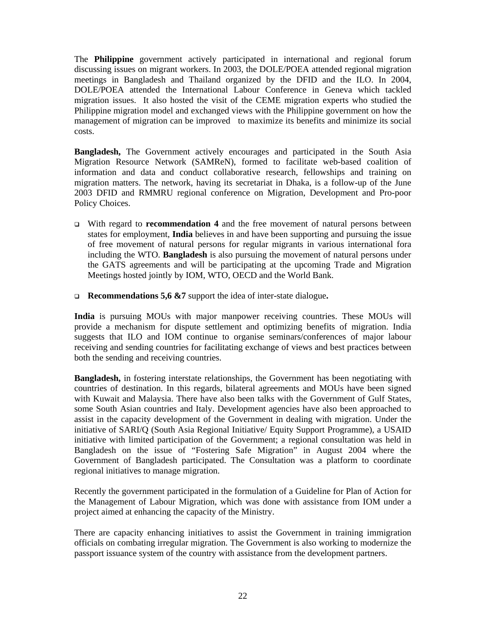The **Philippine** government actively participated in international and regional forum discussing issues on migrant workers. In 2003, the DOLE/POEA attended regional migration meetings in Bangladesh and Thailand organized by the DFID and the ILO. In 2004, DOLE/POEA attended the International Labour Conference in Geneva which tackled migration issues. It also hosted the visit of the CEME migration experts who studied the Philippine migration model and exchanged views with the Philippine government on how the management of migration can be improved to maximize its benefits and minimize its social costs.

**Bangladesh,** The Government actively encourages and participated in the South Asia Migration Resource Network (SAMReN), formed to facilitate web-based coalition of information and data and conduct collaborative research, fellowships and training on migration matters. The network, having its secretariat in Dhaka, is a follow-up of the June 2003 DFID and RMMRU regional conference on Migration, Development and Pro-poor Policy Choices.

- With regard to **recommendation 4** and the free movement of natural persons between states for employment, **India** believes in and have been supporting and pursuing the issue of free movement of natural persons for regular migrants in various international fora including the WTO. **Bangladesh** is also pursuing the movement of natural persons under the GATS agreements and will be participating at the upcoming Trade and Migration Meetings hosted jointly by IOM, WTO, OECD and the World Bank.
- **Recommendations 5,6 &7** support the idea of inter-state dialogue**.**

**India** is pursuing MOUs with major manpower receiving countries. These MOUs will provide a mechanism for dispute settlement and optimizing benefits of migration. India suggests that ILO and IOM continue to organise seminars/conferences of major labour receiving and sending countries for facilitating exchange of views and best practices between both the sending and receiving countries.

**Bangladesh,** in fostering interstate relationships, the Government has been negotiating with countries of destination. In this regards, bilateral agreements and MOUs have been signed with Kuwait and Malaysia. There have also been talks with the Government of Gulf States, some South Asian countries and Italy. Development agencies have also been approached to assist in the capacity development of the Government in dealing with migration. Under the initiative of SARI/Q (South Asia Regional Initiative/ Equity Support Programme), a USAID initiative with limited participation of the Government; a regional consultation was held in Bangladesh on the issue of "Fostering Safe Migration" in August 2004 where the Government of Bangladesh participated. The Consultation was a platform to coordinate regional initiatives to manage migration.

Recently the government participated in the formulation of a Guideline for Plan of Action for the Management of Labour Migration, which was done with assistance from IOM under a project aimed at enhancing the capacity of the Ministry.

There are capacity enhancing initiatives to assist the Government in training immigration officials on combating irregular migration. The Government is also working to modernize the passport issuance system of the country with assistance from the development partners.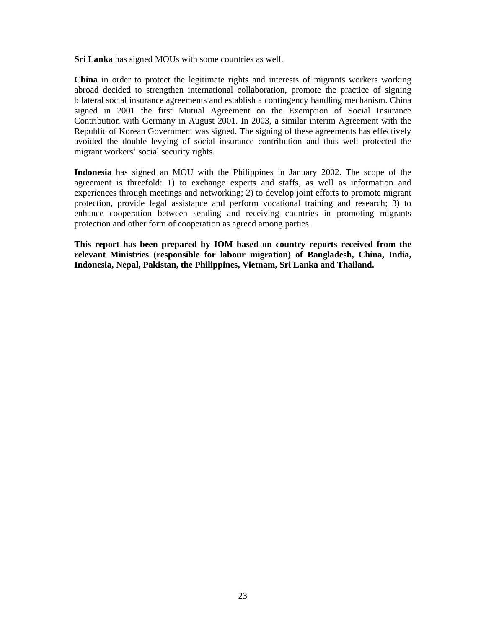**Sri Lanka** has signed MOUs with some countries as well.

**China** in order to protect the legitimate rights and interests of migrants workers working abroad decided to strengthen international collaboration, promote the practice of signing bilateral social insurance agreements and establish a contingency handling mechanism. China signed in 2001 the first Mutual Agreement on the Exemption of Social Insurance Contribution with Germany in August 2001. In 2003, a similar interim Agreement with the Republic of Korean Government was signed. The signing of these agreements has effectively avoided the double levying of social insurance contribution and thus well protected the migrant workers' social security rights.

**Indonesia** has signed an MOU with the Philippines in January 2002. The scope of the agreement is threefold: 1) to exchange experts and staffs, as well as information and experiences through meetings and networking; 2) to develop joint efforts to promote migrant protection, provide legal assistance and perform vocational training and research; 3) to enhance cooperation between sending and receiving countries in promoting migrants protection and other form of cooperation as agreed among parties.

**This report has been prepared by IOM based on country reports received from the relevant Ministries (responsible for labour migration) of Bangladesh, China, India, Indonesia, Nepal, Pakistan, the Philippines, Vietnam, Sri Lanka and Thailand.**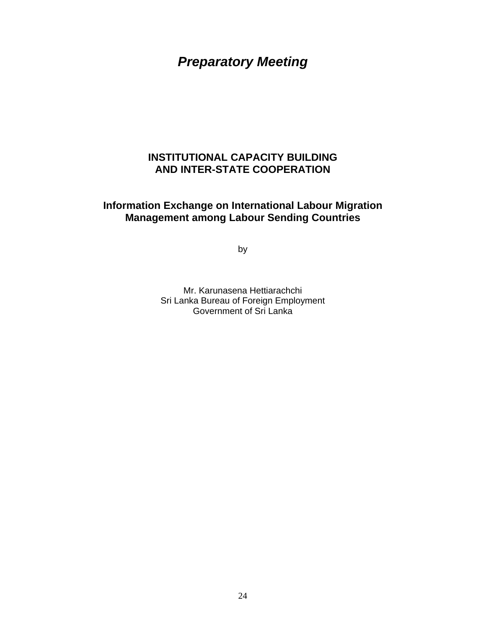# *Preparatory Meeting*

## **INSTITUTIONAL CAPACITY BUILDING AND INTER-STATE COOPERATION**

## **Information Exchange on International Labour Migration Management among Labour Sending Countries**

by

Mr. Karunasena Hettiarachchi Sri Lanka Bureau of Foreign Employment Government of Sri Lanka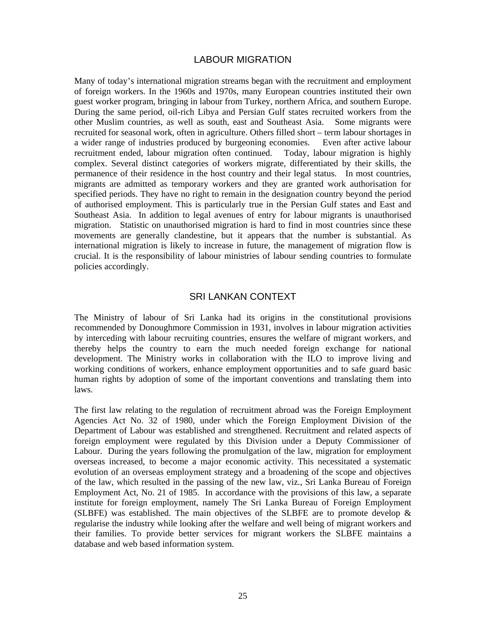#### LABOUR MIGRATION

Many of today's international migration streams began with the recruitment and employment of foreign workers. In the 1960s and 1970s, many European countries instituted their own guest worker program, bringing in labour from Turkey, northern Africa, and southern Europe. During the same period, oil-rich Libya and Persian Gulf states recruited workers from the other Muslim countries, as well as south, east and Southeast Asia. Some migrants were recruited for seasonal work, often in agriculture. Others filled short – term labour shortages in a wider range of industries produced by burgeoning economies. Even after active labour recruitment ended, labour migration often continued. Today, labour migration is highly complex. Several distinct categories of workers migrate, differentiated by their skills, the permanence of their residence in the host country and their legal status. In most countries, migrants are admitted as temporary workers and they are granted work authorisation for specified periods. They have no right to remain in the designation country beyond the period of authorised employment. This is particularly true in the Persian Gulf states and East and Southeast Asia. In addition to legal avenues of entry for labour migrants is unauthorised migration. Statistic on unauthorised migration is hard to find in most countries since these movements are generally clandestine, but it appears that the number is substantial. As international migration is likely to increase in future, the management of migration flow is crucial. It is the responsibility of labour ministries of labour sending countries to formulate policies accordingly.

#### SRI LANKAN CONTEXT

The Ministry of labour of Sri Lanka had its origins in the constitutional provisions recommended by Donoughmore Commission in 1931, involves in labour migration activities by interceding with labour recruiting countries, ensures the welfare of migrant workers, and thereby helps the country to earn the much needed foreign exchange for national development. The Ministry works in collaboration with the ILO to improve living and working conditions of workers, enhance employment opportunities and to safe guard basic human rights by adoption of some of the important conventions and translating them into laws.

The first law relating to the regulation of recruitment abroad was the Foreign Employment Agencies Act No. 32 of 1980, under which the Foreign Employment Division of the Department of Labour was established and strengthened. Recruitment and related aspects of foreign employment were regulated by this Division under a Deputy Commissioner of Labour. During the years following the promulgation of the law, migration for employment overseas increased, to become a major economic activity. This necessitated a systematic evolution of an overseas employment strategy and a broadening of the scope and objectives of the law, which resulted in the passing of the new law, viz., Sri Lanka Bureau of Foreign Employment Act, No. 21 of 1985. In accordance with the provisions of this law, a separate institute for foreign employment, namely The Sri Lanka Bureau of Foreign Employment (SLBFE) was established. The main objectives of the SLBFE are to promote develop  $\&$ regularise the industry while looking after the welfare and well being of migrant workers and their families. To provide better services for migrant workers the SLBFE maintains a database and web based information system.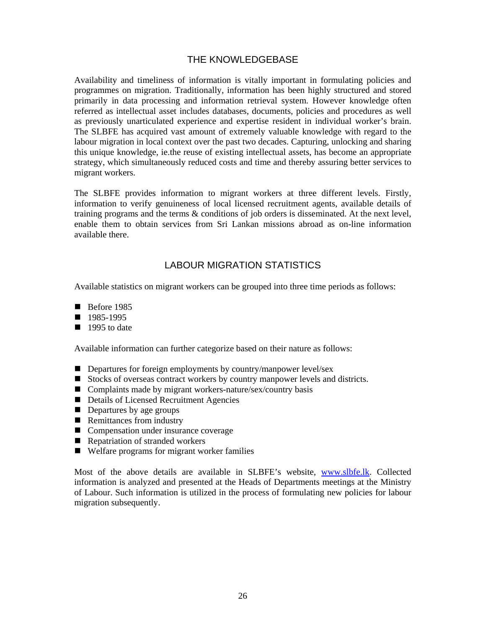## THE KNOWLEDGEBASE

Availability and timeliness of information is vitally important in formulating policies and programmes on migration. Traditionally, information has been highly structured and stored primarily in data processing and information retrieval system. However knowledge often referred as intellectual asset includes databases, documents, policies and procedures as well as previously unarticulated experience and expertise resident in individual worker's brain. The SLBFE has acquired vast amount of extremely valuable knowledge with regard to the labour migration in local context over the past two decades. Capturing, unlocking and sharing this unique knowledge, ie.the reuse of existing intellectual assets, has become an appropriate strategy, which simultaneously reduced costs and time and thereby assuring better services to migrant workers.

The SLBFE provides information to migrant workers at three different levels. Firstly, information to verify genuineness of local licensed recruitment agents, available details of training programs and the terms & conditions of job orders is disseminated. At the next level, enable them to obtain services from Sri Lankan missions abroad as on-line information available there.

## LABOUR MIGRATION STATISTICS

Available statistics on migrant workers can be grouped into three time periods as follows:

- $\blacksquare$  Before 1985
- 1985-1995
- $\blacksquare$  1995 to date

Available information can further categorize based on their nature as follows:

- Departures for foreign employments by country/manpower level/sex
- Stocks of overseas contract workers by country manpower levels and districts.
- Complaints made by migrant workers-nature/sex/country basis
- Details of Licensed Recruitment Agencies
- Departures by age groups
- Remittances from industry
- Compensation under insurance coverage
- Repatriation of stranded workers
- Welfare programs for migrant worker families

Most of the above details are available in SLBFE's website, www.slbfe.lk. Collected information is analyzed and presented at the Heads of Departments meetings at the Ministry of Labour. Such information is utilized in the process of formulating new policies for labour migration subsequently.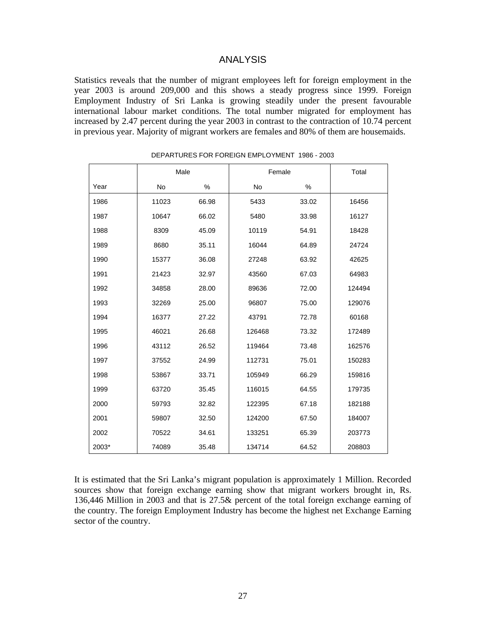#### ANALYSIS

Statistics reveals that the number of migrant employees left for foreign employment in the year 2003 is around 209,000 and this shows a steady progress since 1999. Foreign Employment Industry of Sri Lanka is growing steadily under the present favourable international labour market conditions. The total number migrated for employment has increased by 2.47 percent during the year 2003 in contrast to the contraction of 10.74 percent in previous year. Majority of migrant workers are females and 80% of them are housemaids.

|       | Male      |       | Female    |       | Total  |
|-------|-----------|-------|-----------|-------|--------|
| Year  | <b>No</b> | $\%$  | <b>No</b> | $\%$  |        |
| 1986  | 11023     | 66.98 | 5433      | 33.02 | 16456  |
| 1987  | 10647     | 66.02 | 5480      | 33.98 | 16127  |
| 1988  | 8309      | 45.09 | 10119     | 54.91 | 18428  |
| 1989  | 8680      | 35.11 | 16044     | 64.89 | 24724  |
| 1990  | 15377     | 36.08 | 27248     | 63.92 | 42625  |
| 1991  | 21423     | 32.97 | 43560     | 67.03 | 64983  |
| 1992  | 34858     | 28.00 | 89636     | 72.00 | 124494 |
| 1993  | 32269     | 25.00 | 96807     | 75.00 | 129076 |
| 1994  | 16377     | 27.22 | 43791     | 72.78 | 60168  |
| 1995  | 46021     | 26.68 | 126468    | 73.32 | 172489 |
| 1996  | 43112     | 26.52 | 119464    | 73.48 | 162576 |
| 1997  | 37552     | 24.99 | 112731    | 75.01 | 150283 |
| 1998  | 53867     | 33.71 | 105949    | 66.29 | 159816 |
| 1999  | 63720     | 35.45 | 116015    | 64.55 | 179735 |
| 2000  | 59793     | 32.82 | 122395    | 67.18 | 182188 |
| 2001  | 59807     | 32.50 | 124200    | 67.50 | 184007 |
| 2002  | 70522     | 34.61 | 133251    | 65.39 | 203773 |
| 2003* | 74089     | 35.48 | 134714    | 64.52 | 208803 |

DEPARTURES FOR FOREIGN EMPLOYMENT 1986 - 2003

It is estimated that the Sri Lanka's migrant population is approximately 1 Million. Recorded sources show that foreign exchange earning show that migrant workers brought in, Rs. 136,446 Million in 2003 and that is 27.5& percent of the total foreign exchange earning of the country. The foreign Employment Industry has become the highest net Exchange Earning sector of the country.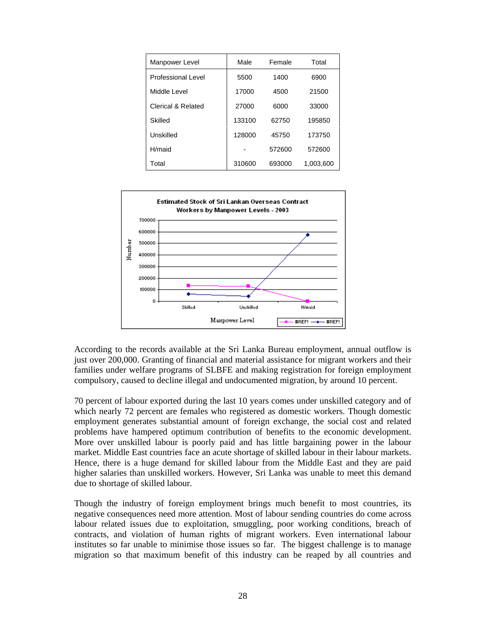| Manpower Level     | Male          | Female | Total     |  |
|--------------------|---------------|--------|-----------|--|
| Professional Level | 5500          | 1400   | 6900      |  |
| Middle Level       | 17000         | 4500   | 21500     |  |
| Clerical & Related | 27000<br>6000 |        | 33000     |  |
| Skilled            | 133100        | 62750  | 195850    |  |
| Unskilled          | 128000        | 45750  | 173750    |  |
| H/maid             |               | 572600 | 572600    |  |
| Total              | 310600        | 693000 | 1.003,600 |  |



According to the records available at the Sri Lanka Bureau employment, annual outflow is just over 200,000. Granting of financial and material assistance for migrant workers and their families under welfare programs of SLBFE and making registration for foreign employment compulsory, caused to decline illegal and undocumented migration, by around 10 percent.

70 percent of labour exported during the last 10 years comes under unskilled category and of which nearly 72 percent are females who registered as domestic workers. Though domestic employment generates substantial amount of foreign exchange, the social cost and related problems have hampered optimum contribution of benefits to the economic development. More over unskilled labour is poorly paid and has little bargaining power in the labour market. Middle East countries face an acute shortage of skilled labour in their labour markets. Hence, there is a huge demand for skilled labour from the Middle East and they are paid higher salaries than unskilled workers. However, Sri Lanka was unable to meet this demand due to shortage of skilled labour.

Though the industry of foreign employment brings much benefit to most countries, its negative consequences need more attention. Most of labour sending countries do come across labour related issues due to exploitation, smuggling, poor working conditions, breach of contracts, and violation of human rights of migrant workers. Even international labour institutes so far unable to minimise those issues so far. The biggest challenge is to manage migration so that maximum benefit of this industry can be reaped by all countries and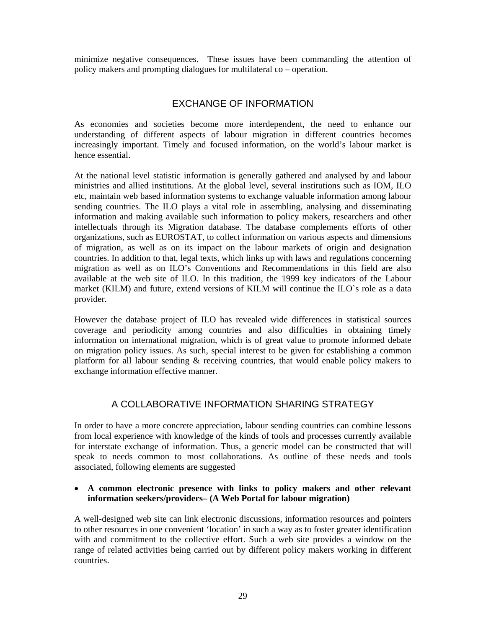minimize negative consequences. These issues have been commanding the attention of policy makers and prompting dialogues for multilateral co – operation.

## EXCHANGE OF INFORMATION

As economies and societies become more interdependent, the need to enhance our understanding of different aspects of labour migration in different countries becomes increasingly important. Timely and focused information, on the world's labour market is hence essential.

At the national level statistic information is generally gathered and analysed by and labour ministries and allied institutions. At the global level, several institutions such as IOM, ILO etc, maintain web based information systems to exchange valuable information among labour sending countries. The ILO plays a vital role in assembling, analysing and disseminating information and making available such information to policy makers, researchers and other intellectuals through its Migration database. The database complements efforts of other organizations, such as EUROSTAT, to collect information on various aspects and dimensions of migration, as well as on its impact on the labour markets of origin and designation countries. In addition to that, legal texts, which links up with laws and regulations concerning migration as well as on ILO's Conventions and Recommendations in this field are also available at the web site of ILO. In this tradition, the 1999 key indicators of the Labour market (KILM) and future, extend versions of KILM will continue the ILO`s role as a data provider.

However the database project of ILO has revealed wide differences in statistical sources coverage and periodicity among countries and also difficulties in obtaining timely information on international migration, which is of great value to promote informed debate on migration policy issues. As such, special interest to be given for establishing a common platform for all labour sending & receiving countries, that would enable policy makers to exchange information effective manner.

## A COLLABORATIVE INFORMATION SHARING STRATEGY

In order to have a more concrete appreciation, labour sending countries can combine lessons from local experience with knowledge of the kinds of tools and processes currently available for interstate exchange of information. Thus, a generic model can be constructed that will speak to needs common to most collaborations. As outline of these needs and tools associated, following elements are suggested

#### • **A common electronic presence with links to policy makers and other relevant information seekers/providers– (A Web Portal for labour migration)**

A well-designed web site can link electronic discussions, information resources and pointers to other resources in one convenient 'location' in such a way as to foster greater identification with and commitment to the collective effort. Such a web site provides a window on the range of related activities being carried out by different policy makers working in different countries.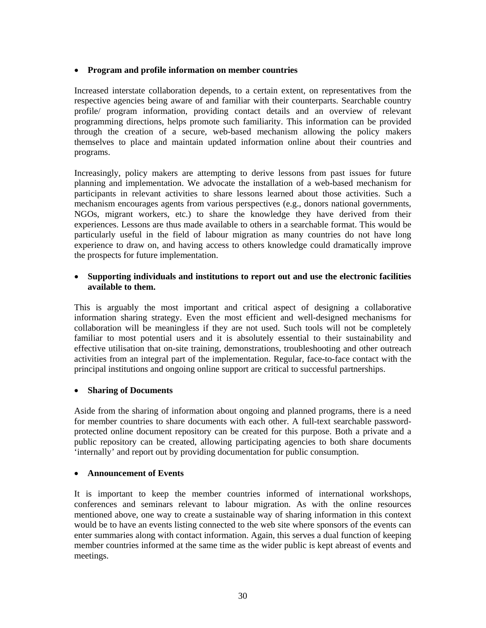#### • **Program and profile information on member countries**

Increased interstate collaboration depends, to a certain extent, on representatives from the respective agencies being aware of and familiar with their counterparts. Searchable country profile/ program information, providing contact details and an overview of relevant programming directions, helps promote such familiarity. This information can be provided through the creation of a secure, web-based mechanism allowing the policy makers themselves to place and maintain updated information online about their countries and programs.

Increasingly, policy makers are attempting to derive lessons from past issues for future planning and implementation. We advocate the installation of a web-based mechanism for participants in relevant activities to share lessons learned about those activities. Such a mechanism encourages agents from various perspectives (e.g., donors national governments, NGOs, migrant workers, etc.) to share the knowledge they have derived from their experiences. Lessons are thus made available to others in a searchable format. This would be particularly useful in the field of labour migration as many countries do not have long experience to draw on, and having access to others knowledge could dramatically improve the prospects for future implementation.

#### • **Supporting individuals and institutions to report out and use the electronic facilities available to them.**

This is arguably the most important and critical aspect of designing a collaborative information sharing strategy. Even the most efficient and well-designed mechanisms for collaboration will be meaningless if they are not used. Such tools will not be completely familiar to most potential users and it is absolutely essential to their sustainability and effective utilisation that on-site training, demonstrations, troubleshooting and other outreach activities from an integral part of the implementation. Regular, face-to-face contact with the principal institutions and ongoing online support are critical to successful partnerships.

#### • **Sharing of Documents**

Aside from the sharing of information about ongoing and planned programs, there is a need for member countries to share documents with each other. A full-text searchable passwordprotected online document repository can be created for this purpose. Both a private and a public repository can be created, allowing participating agencies to both share documents 'internally' and report out by providing documentation for public consumption.

#### • **Announcement of Events**

It is important to keep the member countries informed of international workshops, conferences and seminars relevant to labour migration. As with the online resources mentioned above, one way to create a sustainable way of sharing information in this context would be to have an events listing connected to the web site where sponsors of the events can enter summaries along with contact information. Again, this serves a dual function of keeping member countries informed at the same time as the wider public is kept abreast of events and meetings.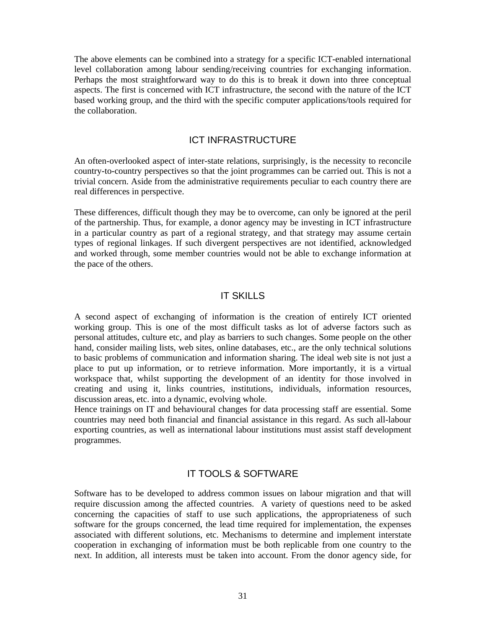The above elements can be combined into a strategy for a specific ICT-enabled international level collaboration among labour sending/receiving countries for exchanging information. Perhaps the most straightforward way to do this is to break it down into three conceptual aspects. The first is concerned with ICT infrastructure, the second with the nature of the ICT based working group, and the third with the specific computer applications/tools required for the collaboration.

#### ICT INFRASTRUCTURE

An often-overlooked aspect of inter-state relations, surprisingly, is the necessity to reconcile country-to-country perspectives so that the joint programmes can be carried out. This is not a trivial concern. Aside from the administrative requirements peculiar to each country there are real differences in perspective.

These differences, difficult though they may be to overcome, can only be ignored at the peril of the partnership. Thus, for example, a donor agency may be investing in ICT infrastructure in a particular country as part of a regional strategy, and that strategy may assume certain types of regional linkages. If such divergent perspectives are not identified, acknowledged and worked through, some member countries would not be able to exchange information at the pace of the others.

#### IT SKILLS

A second aspect of exchanging of information is the creation of entirely ICT oriented working group. This is one of the most difficult tasks as lot of adverse factors such as personal attitudes, culture etc, and play as barriers to such changes. Some people on the other hand, consider mailing lists, web sites, online databases, etc., are the only technical solutions to basic problems of communication and information sharing. The ideal web site is not just a place to put up information, or to retrieve information. More importantly, it is a virtual workspace that, whilst supporting the development of an identity for those involved in creating and using it, links countries, institutions, individuals, information resources, discussion areas, etc. into a dynamic, evolving whole.

Hence trainings on IT and behavioural changes for data processing staff are essential. Some countries may need both financial and financial assistance in this regard. As such all-labour exporting countries, as well as international labour institutions must assist staff development programmes.

#### IT TOOLS & SOFTWARE

Software has to be developed to address common issues on labour migration and that will require discussion among the affected countries. A variety of questions need to be asked concerning the capacities of staff to use such applications, the appropriateness of such software for the groups concerned, the lead time required for implementation, the expenses associated with different solutions, etc. Mechanisms to determine and implement interstate cooperation in exchanging of information must be both replicable from one country to the next. In addition, all interests must be taken into account. From the donor agency side, for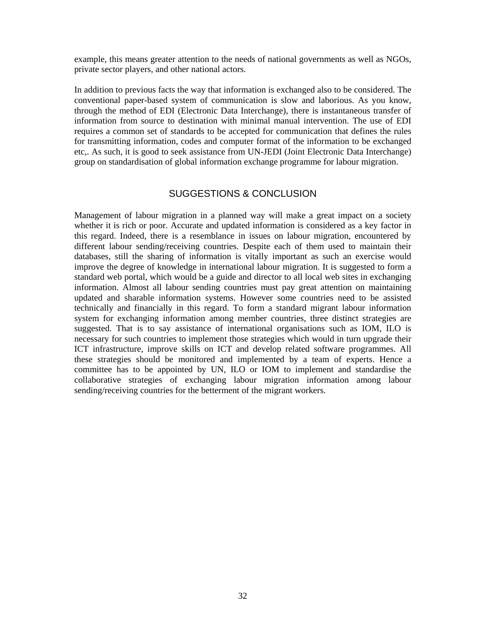example, this means greater attention to the needs of national governments as well as NGOs, private sector players, and other national actors.

In addition to previous facts the way that information is exchanged also to be considered. The conventional paper-based system of communication is slow and laborious. As you know, through the method of EDI (Electronic Data Interchange), there is instantaneous transfer of information from source to destination with minimal manual intervention. The use of EDI requires a common set of standards to be accepted for communication that defines the rules for transmitting information, codes and computer format of the information to be exchanged etc,. As such, it is good to seek assistance from UN-JEDI (Joint Electronic Data Interchange) group on standardisation of global information exchange programme for labour migration.

#### SUGGESTIONS & CONCLUSION

Management of labour migration in a planned way will make a great impact on a society whether it is rich or poor. Accurate and updated information is considered as a key factor in this regard. Indeed, there is a resemblance in issues on labour migration, encountered by different labour sending/receiving countries. Despite each of them used to maintain their databases, still the sharing of information is vitally important as such an exercise would improve the degree of knowledge in international labour migration. It is suggested to form a standard web portal, which would be a guide and director to all local web sites in exchanging information. Almost all labour sending countries must pay great attention on maintaining updated and sharable information systems. However some countries need to be assisted technically and financially in this regard. To form a standard migrant labour information system for exchanging information among member countries, three distinct strategies are suggested. That is to say assistance of international organisations such as IOM, ILO is necessary for such countries to implement those strategies which would in turn upgrade their ICT infrastructure, improve skills on ICT and develop related software programmes. All these strategies should be monitored and implemented by a team of experts. Hence a committee has to be appointed by UN, ILO or IOM to implement and standardise the collaborative strategies of exchanging labour migration information among labour sending/receiving countries for the betterment of the migrant workers.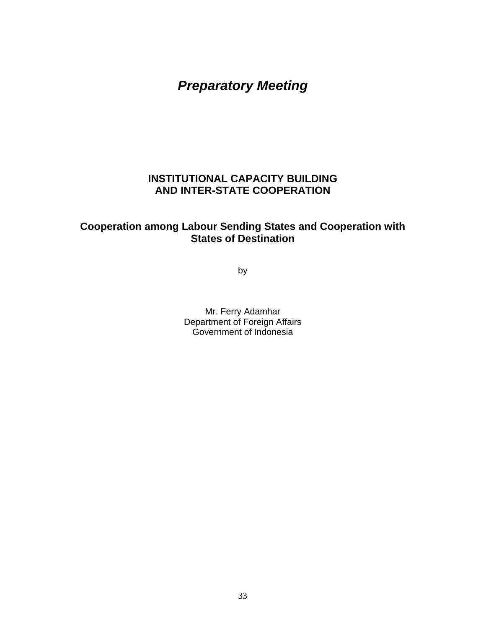*Preparatory Meeting* 

## **INSTITUTIONAL CAPACITY BUILDING AND INTER-STATE COOPERATION**

## **Cooperation among Labour Sending States and Cooperation with States of Destination**

by

Mr. Ferry Adamhar Department of Foreign Affairs Government of Indonesia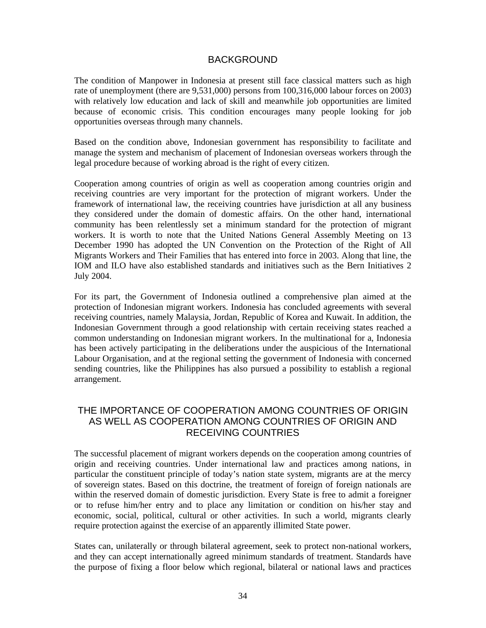#### BACKGROUND

The condition of Manpower in Indonesia at present still face classical matters such as high rate of unemployment (there are 9,531,000) persons from 100,316,000 labour forces on 2003) with relatively low education and lack of skill and meanwhile job opportunities are limited because of economic crisis. This condition encourages many people looking for job opportunities overseas through many channels.

Based on the condition above, Indonesian government has responsibility to facilitate and manage the system and mechanism of placement of Indonesian overseas workers through the legal procedure because of working abroad is the right of every citizen.

Cooperation among countries of origin as well as cooperation among countries origin and receiving countries are very important for the protection of migrant workers. Under the framework of international law, the receiving countries have jurisdiction at all any business they considered under the domain of domestic affairs. On the other hand, international community has been relentlessly set a minimum standard for the protection of migrant workers. It is worth to note that the United Nations General Assembly Meeting on 13 December 1990 has adopted the UN Convention on the Protection of the Right of All Migrants Workers and Their Families that has entered into force in 2003. Along that line, the IOM and ILO have also established standards and initiatives such as the Bern Initiatives 2 July 2004.

For its part, the Government of Indonesia outlined a comprehensive plan aimed at the protection of Indonesian migrant workers. Indonesia has concluded agreements with several receiving countries, namely Malaysia, Jordan, Republic of Korea and Kuwait. In addition, the Indonesian Government through a good relationship with certain receiving states reached a common understanding on Indonesian migrant workers. In the multinational for a, Indonesia has been actively participating in the deliberations under the auspicious of the International Labour Organisation, and at the regional setting the government of Indonesia with concerned sending countries, like the Philippines has also pursued a possibility to establish a regional arrangement.

### THE IMPORTANCE OF COOPERATION AMONG COUNTRIES OF ORIGIN AS WELL AS COOPERATION AMONG COUNTRIES OF ORIGIN AND RECEIVING COUNTRIES

The successful placement of migrant workers depends on the cooperation among countries of origin and receiving countries. Under international law and practices among nations, in particular the constituent principle of today's nation state system, migrants are at the mercy of sovereign states. Based on this doctrine, the treatment of foreign of foreign nationals are within the reserved domain of domestic jurisdiction. Every State is free to admit a foreigner or to refuse him/her entry and to place any limitation or condition on his/her stay and economic, social, political, cultural or other activities. In such a world, migrants clearly require protection against the exercise of an apparently illimited State power.

States can, unilaterally or through bilateral agreement, seek to protect non-national workers, and they can accept internationally agreed minimum standards of treatment. Standards have the purpose of fixing a floor below which regional, bilateral or national laws and practices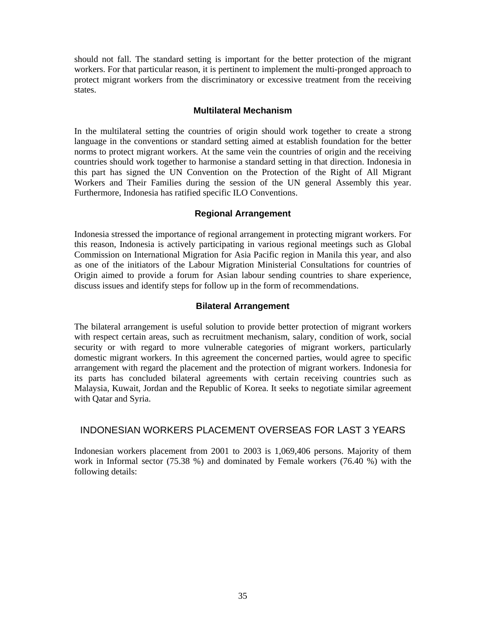should not fall. The standard setting is important for the better protection of the migrant workers. For that particular reason, it is pertinent to implement the multi-pronged approach to protect migrant workers from the discriminatory or excessive treatment from the receiving states.

#### **Multilateral Mechanism**

In the multilateral setting the countries of origin should work together to create a strong language in the conventions or standard setting aimed at establish foundation for the better norms to protect migrant workers. At the same vein the countries of origin and the receiving countries should work together to harmonise a standard setting in that direction. Indonesia in this part has signed the UN Convention on the Protection of the Right of All Migrant Workers and Their Families during the session of the UN general Assembly this year. Furthermore, Indonesia has ratified specific ILO Conventions.

#### **Regional Arrangement**

Indonesia stressed the importance of regional arrangement in protecting migrant workers. For this reason, Indonesia is actively participating in various regional meetings such as Global Commission on International Migration for Asia Pacific region in Manila this year, and also as one of the initiators of the Labour Migration Ministerial Consultations for countries of Origin aimed to provide a forum for Asian labour sending countries to share experience, discuss issues and identify steps for follow up in the form of recommendations.

#### **Bilateral Arrangement**

The bilateral arrangement is useful solution to provide better protection of migrant workers with respect certain areas, such as recruitment mechanism, salary, condition of work, social security or with regard to more vulnerable categories of migrant workers, particularly domestic migrant workers. In this agreement the concerned parties, would agree to specific arrangement with regard the placement and the protection of migrant workers. Indonesia for its parts has concluded bilateral agreements with certain receiving countries such as Malaysia, Kuwait, Jordan and the Republic of Korea. It seeks to negotiate similar agreement with Qatar and Syria.

#### INDONESIAN WORKERS PLACEMENT OVERSEAS FOR LAST 3 YEARS

Indonesian workers placement from 2001 to 2003 is 1,069,406 persons. Majority of them work in Informal sector (75.38 %) and dominated by Female workers (76.40 %) with the following details: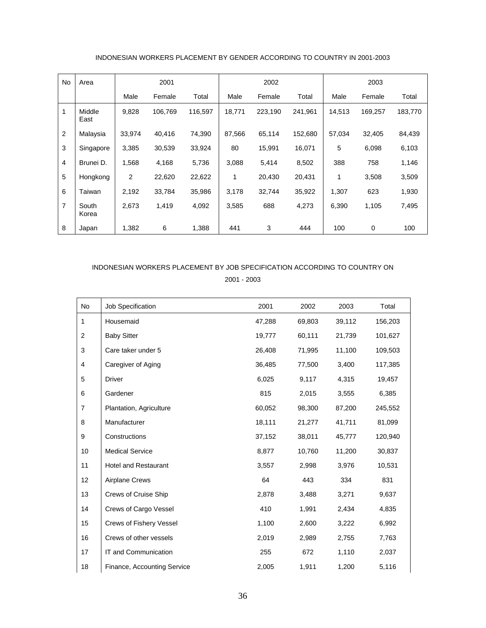| No             | Area           |                | 2001    |         |        | 2002    |         |        | 2003    |         |
|----------------|----------------|----------------|---------|---------|--------|---------|---------|--------|---------|---------|
|                |                | Male           | Female  | Total   | Male   | Female  | Total   | Male   | Female  | Total   |
| 1              | Middle<br>East | 9,828          | 106.769 | 116,597 | 18,771 | 223,190 | 241,961 | 14,513 | 169,257 | 183,770 |
| $\overline{2}$ | Malaysia       | 33,974         | 40,416  | 74,390  | 87,566 | 65,114  | 152,680 | 57,034 | 32,405  | 84,439  |
| 3              | Singapore      | 3,385          | 30,539  | 33,924  | 80     | 15,991  | 16,071  | 5      | 6,098   | 6,103   |
| $\overline{4}$ | Brunei D.      | 1,568          | 4,168   | 5,736   | 3,088  | 5,414   | 8,502   | 388    | 758     | 1,146   |
| 5              | Hongkong       | $\overline{2}$ | 22,620  | 22,622  | 1      | 20,430  | 20,431  | 1      | 3,508   | 3,509   |
| 6              | Taiwan         | 2,192          | 33,784  | 35,986  | 3,178  | 32,744  | 35,922  | 1,307  | 623     | 1,930   |
| $\overline{7}$ | South<br>Korea | 2,673          | 1,419   | 4,092   | 3,585  | 688     | 4,273   | 6,390  | 1,105   | 7,495   |
| 8              | Japan          | 1,382          | 6       | 1,388   | 441    | 3       | 444     | 100    | 0       | 100     |

#### INDONESIAN WORKERS PLACEMENT BY GENDER ACCORDING TO COUNTRY IN 2001-2003

## INDONESIAN WORKERS PLACEMENT BY JOB SPECIFICATION ACCORDING TO COUNTRY ON 2001 - 2003

| No             | Job Specification              | 2001   | 2002   | 2003   | Total   |
|----------------|--------------------------------|--------|--------|--------|---------|
| 1              | Housemaid                      | 47,288 | 69,803 | 39,112 | 156,203 |
| 2              | <b>Baby Sitter</b>             | 19,777 | 60,111 | 21,739 | 101,627 |
| 3              | Care taker under 5             | 26,408 | 71,995 | 11,100 | 109,503 |
| $\overline{4}$ | Caregiver of Aging             | 36,485 | 77,500 | 3,400  | 117,385 |
| 5              | <b>Driver</b>                  | 6,025  | 9,117  | 4,315  | 19,457  |
| 6              | Gardener                       | 815    | 2,015  | 3,555  | 6,385   |
| $\overline{7}$ | Plantation, Agriculture        | 60,052 | 98,300 | 87,200 | 245,552 |
| 8              | Manufacturer                   | 18,111 | 21,277 | 41,711 | 81,099  |
| 9              | Constructions                  | 37,152 | 38,011 | 45,777 | 120,940 |
| 10             | <b>Medical Service</b>         | 8,877  | 10,760 | 11,200 | 30,837  |
| 11             | <b>Hotel and Restaurant</b>    | 3,557  | 2,998  | 3,976  | 10,531  |
| 12             | <b>Airplane Crews</b>          | 64     | 443    | 334    | 831     |
| 13             | Crews of Cruise Ship           | 2,878  | 3,488  | 3,271  | 9,637   |
| 14             | Crews of Cargo Vessel          | 410    | 1,991  | 2,434  | 4,835   |
| 15             | <b>Crews of Fishery Vessel</b> | 1,100  | 2,600  | 3,222  | 6,992   |
| 16             | Crews of other vessels         | 2,019  | 2,989  | 2,755  | 7,763   |
| 17             | IT and Communication           | 255    | 672    | 1,110  | 2,037   |
| 18             | Finance, Accounting Service    | 2,005  | 1,911  | 1,200  | 5,116   |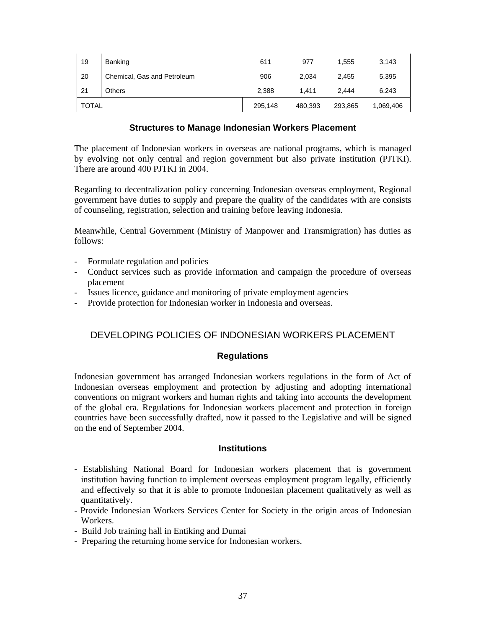| 19           | Banking                     | 611     | 977     | 1.555   | 3,143     |
|--------------|-----------------------------|---------|---------|---------|-----------|
| 20           | Chemical, Gas and Petroleum | 906     | 2.034   | 2.455   | 5,395     |
| 21           | <b>Others</b>               | 2,388   | 1.411   | 2.444   | 6.243     |
| <b>TOTAL</b> |                             | 295,148 | 480,393 | 293,865 | 1,069,406 |

#### **Structures to Manage Indonesian Workers Placement**

The placement of Indonesian workers in overseas are national programs, which is managed by evolving not only central and region government but also private institution (PJTKI). There are around 400 PJTKI in 2004.

Regarding to decentralization policy concerning Indonesian overseas employment, Regional government have duties to supply and prepare the quality of the candidates with are consists of counseling, registration, selection and training before leaving Indonesia.

Meanwhile, Central Government (Ministry of Manpower and Transmigration) has duties as follows:

- Formulate regulation and policies
- Conduct services such as provide information and campaign the procedure of overseas placement
- Issues licence, guidance and monitoring of private employment agencies
- Provide protection for Indonesian worker in Indonesia and overseas.

# DEVELOPING POLICIES OF INDONESIAN WORKERS PLACEMENT

### **Regulations**

Indonesian government has arranged Indonesian workers regulations in the form of Act of Indonesian overseas employment and protection by adjusting and adopting international conventions on migrant workers and human rights and taking into accounts the development of the global era. Regulations for Indonesian workers placement and protection in foreign countries have been successfully drafted, now it passed to the Legislative and will be signed on the end of September 2004.

#### **Institutions**

- Establishing National Board for Indonesian workers placement that is government institution having function to implement overseas employment program legally, efficiently and effectively so that it is able to promote Indonesian placement qualitatively as well as quantitatively.
- Provide Indonesian Workers Services Center for Society in the origin areas of Indonesian Workers.
- Build Job training hall in Entiking and Dumai
- Preparing the returning home service for Indonesian workers.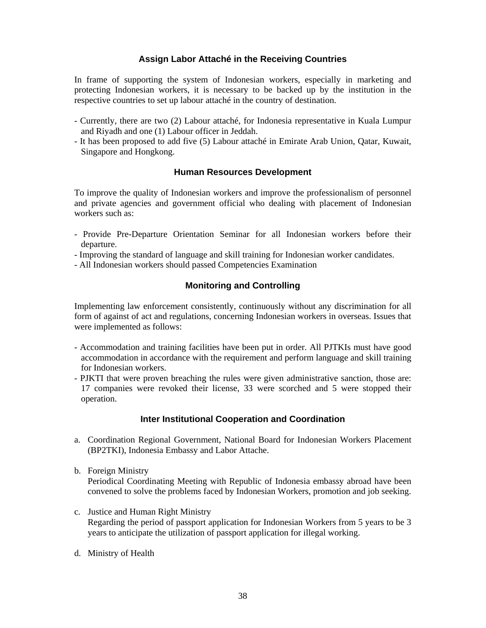## **Assign Labor Attaché in the Receiving Countries**

In frame of supporting the system of Indonesian workers, especially in marketing and protecting Indonesian workers, it is necessary to be backed up by the institution in the respective countries to set up labour attaché in the country of destination.

- Currently, there are two (2) Labour attaché, for Indonesia representative in Kuala Lumpur and Riyadh and one (1) Labour officer in Jeddah.
- It has been proposed to add five (5) Labour attaché in Emirate Arab Union, Qatar, Kuwait, Singapore and Hongkong.

#### **Human Resources Development**

To improve the quality of Indonesian workers and improve the professionalism of personnel and private agencies and government official who dealing with placement of Indonesian workers such as:

- Provide Pre-Departure Orientation Seminar for all Indonesian workers before their departure.
- Improving the standard of language and skill training for Indonesian worker candidates.
- All Indonesian workers should passed Competencies Examination

#### **Monitoring and Controlling**

Implementing law enforcement consistently, continuously without any discrimination for all form of against of act and regulations, concerning Indonesian workers in overseas. Issues that were implemented as follows:

- Accommodation and training facilities have been put in order. All PJTKIs must have good accommodation in accordance with the requirement and perform language and skill training for Indonesian workers.
- PJKTI that were proven breaching the rules were given administrative sanction, those are: 17 companies were revoked their license, 33 were scorched and 5 were stopped their operation.

#### **Inter Institutional Cooperation and Coordination**

- a. Coordination Regional Government, National Board for Indonesian Workers Placement (BP2TKI), Indonesia Embassy and Labor Attache.
- b. Foreign Ministry Periodical Coordinating Meeting with Republic of Indonesia embassy abroad have been convened to solve the problems faced by Indonesian Workers, promotion and job seeking.
- c. Justice and Human Right Ministry Regarding the period of passport application for Indonesian Workers from 5 years to be 3 years to anticipate the utilization of passport application for illegal working.
- d. Ministry of Health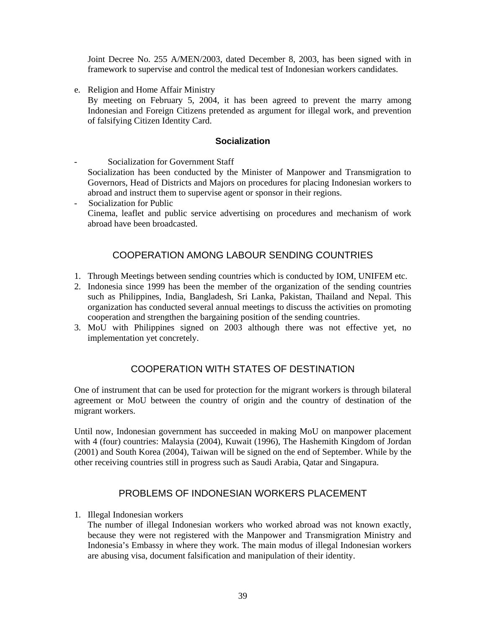Joint Decree No. 255 A/MEN/2003, dated December 8, 2003, has been signed with in framework to supervise and control the medical test of Indonesian workers candidates.

e. Religion and Home Affair Ministry

 By meeting on February 5, 2004, it has been agreed to prevent the marry among Indonesian and Foreign Citizens pretended as argument for illegal work, and prevention of falsifying Citizen Identity Card.

#### **Socialization**

Socialization for Government Staff Socialization has been conducted by the Minister of Manpower and Transmigration to Governors, Head of Districts and Majors on procedures for placing Indonesian workers to abroad and instruct them to supervise agent or sponsor in their regions.

- Socialization for Public Cinema, leaflet and public service advertising on procedures and mechanism of work abroad have been broadcasted.

# COOPERATION AMONG LABOUR SENDING COUNTRIES

- 1. Through Meetings between sending countries which is conducted by IOM, UNIFEM etc.
- 2. Indonesia since 1999 has been the member of the organization of the sending countries such as Philippines, India, Bangladesh, Sri Lanka, Pakistan, Thailand and Nepal. This organization has conducted several annual meetings to discuss the activities on promoting cooperation and strengthen the bargaining position of the sending countries.
- 3. MoU with Philippines signed on 2003 although there was not effective yet, no implementation yet concretely.

## COOPERATION WITH STATES OF DESTINATION

One of instrument that can be used for protection for the migrant workers is through bilateral agreement or MoU between the country of origin and the country of destination of the migrant workers.

Until now, Indonesian government has succeeded in making MoU on manpower placement with 4 (four) countries: Malaysia (2004), Kuwait (1996), The Hashemith Kingdom of Jordan (2001) and South Korea (2004), Taiwan will be signed on the end of September. While by the other receiving countries still in progress such as Saudi Arabia, Qatar and Singapura.

## PROBLEMS OF INDONESIAN WORKERS PLACEMENT

#### 1. Illegal Indonesian workers

 The number of illegal Indonesian workers who worked abroad was not known exactly, because they were not registered with the Manpower and Transmigration Ministry and Indonesia's Embassy in where they work. The main modus of illegal Indonesian workers are abusing visa, document falsification and manipulation of their identity.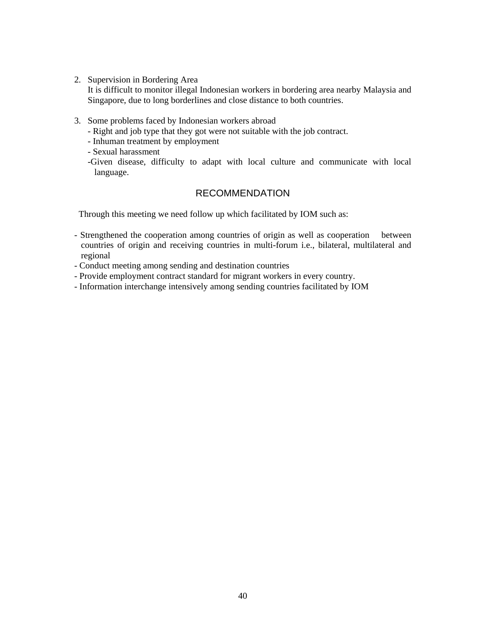2. Supervision in Bordering Area

 It is difficult to monitor illegal Indonesian workers in bordering area nearby Malaysia and Singapore, due to long borderlines and close distance to both countries.

- 3. Some problems faced by Indonesian workers abroad
	- Right and job type that they got were not suitable with the job contract.
	- Inhuman treatment by employment
	- Sexual harassment
	- -Given disease, difficulty to adapt with local culture and communicate with local language.

## RECOMMENDATION

Through this meeting we need follow up which facilitated by IOM such as:

- Strengthened the cooperation among countries of origin as well as cooperation between countries of origin and receiving countries in multi-forum i.e., bilateral, multilateral and regional
- Conduct meeting among sending and destination countries
- Provide employment contract standard for migrant workers in every country.
- Information interchange intensively among sending countries facilitated by IOM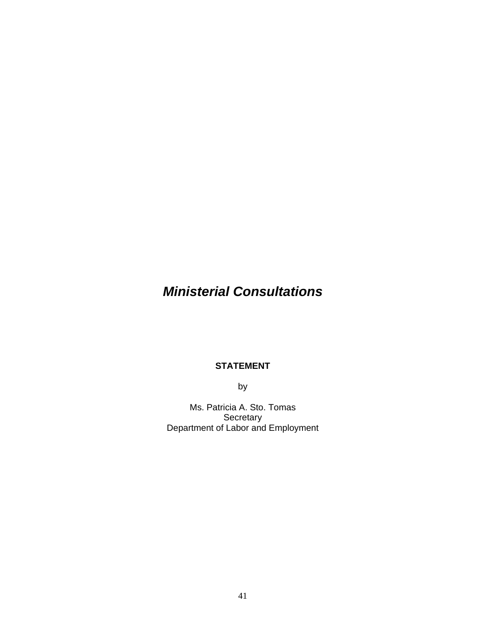# *Ministerial Consultations*

#### **STATEMENT**

by

Ms. Patricia A. Sto. Tomas **Secretary** Department of Labor and Employment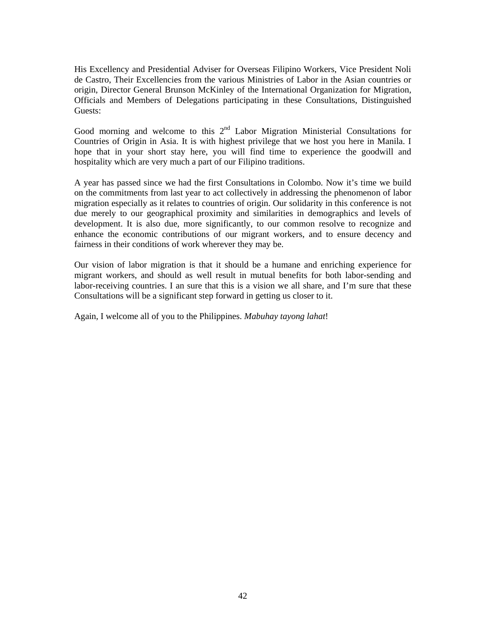His Excellency and Presidential Adviser for Overseas Filipino Workers, Vice President Noli de Castro, Their Excellencies from the various Ministries of Labor in the Asian countries or origin, Director General Brunson McKinley of the International Organization for Migration, Officials and Members of Delegations participating in these Consultations, Distinguished Guests:

Good morning and welcome to this  $2<sup>nd</sup>$  Labor Migration Ministerial Consultations for Countries of Origin in Asia. It is with highest privilege that we host you here in Manila. I hope that in your short stay here, you will find time to experience the goodwill and hospitality which are very much a part of our Filipino traditions.

A year has passed since we had the first Consultations in Colombo. Now it's time we build on the commitments from last year to act collectively in addressing the phenomenon of labor migration especially as it relates to countries of origin. Our solidarity in this conference is not due merely to our geographical proximity and similarities in demographics and levels of development. It is also due, more significantly, to our common resolve to recognize and enhance the economic contributions of our migrant workers, and to ensure decency and fairness in their conditions of work wherever they may be.

Our vision of labor migration is that it should be a humane and enriching experience for migrant workers, and should as well result in mutual benefits for both labor-sending and labor-receiving countries. I an sure that this is a vision we all share, and I'm sure that these Consultations will be a significant step forward in getting us closer to it.

Again, I welcome all of you to the Philippines. *Mabuhay tayong lahat*!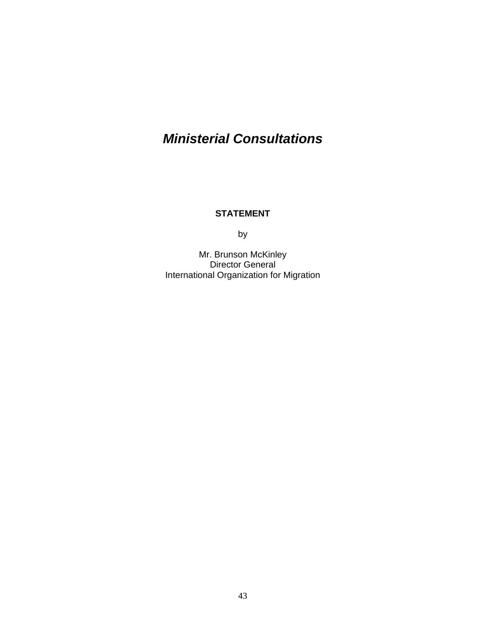# *Ministerial Consultations*

## **STATEMENT**

by

Mr. Brunson McKinley Director General International Organization for Migration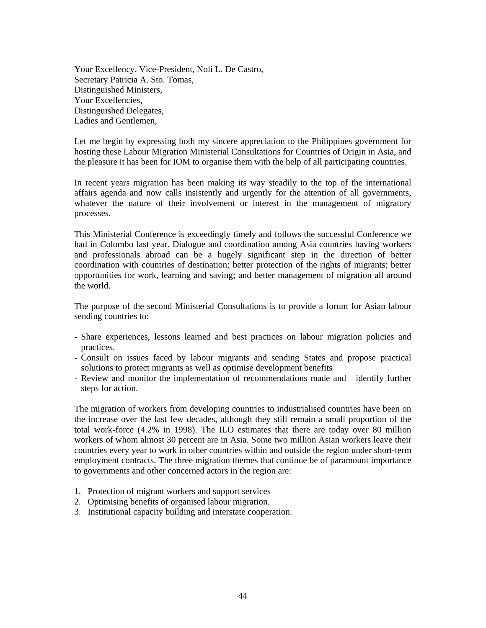Your Excellency, Vice-President, Noli L. De Castro, Secretary Patricia A. Sto. Tomas, Distinguished Ministers, Your Excellencies, Distinguished Delegates, Ladies and Gentlemen,

Let me begin by expressing both my sincere appreciation to the Philippines government for hosting these Labour Migration Ministerial Consultations for Countries of Origin in Asia, and the pleasure it has been for IOM to organise them with the help of all participating countries.

In recent years migration has been making its way steadily to the top of the international affairs agenda and now calls insistently and urgently for the attention of all governments, whatever the nature of their involvement or interest in the management of migratory processes.

This Ministerial Conference is exceedingly timely and follows the successful Conference we had in Colombo last year. Dialogue and coordination among Asia countries having workers and professionals abroad can be a hugely significant step in the direction of better coordination with countries of destination; better protection of the rights of migrants; better opportunities for work, learning and saving; and better management of migration all around the world.

The purpose of the second Ministerial Consultations is to provide a forum for Asian labour sending countries to:

- Share experiences, lessons learned and best practices on labour migration policies and practices.
- Consult on issues faced by labour migrants and sending States and propose practical solutions to protect migrants as well as optimise development benefits
- Review and monitor the implementation of recommendations made and identify further steps for action.

The migration of workers from developing countries to industrialised countries have been on the increase over the last few decades, although they still remain a small proportion of the total work-force (4.2% in 1998). The ILO estimates that there are today over 80 million workers of whom almost 30 percent are in Asia. Some two million Asian workers leave their countries every year to work in other countries within and outside the region under short-term employment contracts. The three migration themes that continue be of paramount importance to governments and other concerned actors in the region are:

- 1. Protection of migrant workers and support services
- 2. Optimising benefits of organised labour migration.
- 3. Institutional capacity building and interstate cooperation.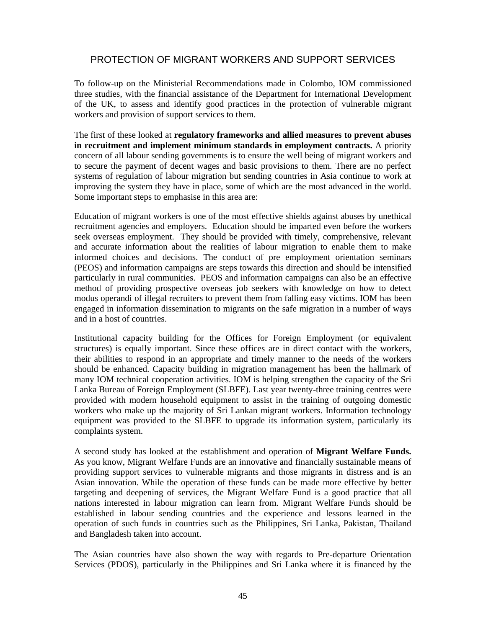## PROTECTION OF MIGRANT WORKERS AND SUPPORT SERVICES

To follow-up on the Ministerial Recommendations made in Colombo, IOM commissioned three studies, with the financial assistance of the Department for International Development of the UK, to assess and identify good practices in the protection of vulnerable migrant workers and provision of support services to them.

The first of these looked at **regulatory frameworks and allied measures to prevent abuses in recruitment and implement minimum standards in employment contracts.** A priority concern of all labour sending governments is to ensure the well being of migrant workers and to secure the payment of decent wages and basic provisions to them. There are no perfect systems of regulation of labour migration but sending countries in Asia continue to work at improving the system they have in place, some of which are the most advanced in the world. Some important steps to emphasise in this area are:

Education of migrant workers is one of the most effective shields against abuses by unethical recruitment agencies and employers. Education should be imparted even before the workers seek overseas employment. They should be provided with timely, comprehensive, relevant and accurate information about the realities of labour migration to enable them to make informed choices and decisions. The conduct of pre employment orientation seminars (PEOS) and information campaigns are steps towards this direction and should be intensified particularly in rural communities. PEOS and information campaigns can also be an effective method of providing prospective overseas job seekers with knowledge on how to detect modus operandi of illegal recruiters to prevent them from falling easy victims. IOM has been engaged in information dissemination to migrants on the safe migration in a number of ways and in a host of countries.

Institutional capacity building for the Offices for Foreign Employment (or equivalent structures) is equally important. Since these offices are in direct contact with the workers, their abilities to respond in an appropriate and timely manner to the needs of the workers should be enhanced. Capacity building in migration management has been the hallmark of many IOM technical cooperation activities. IOM is helping strengthen the capacity of the Sri Lanka Bureau of Foreign Employment (SLBFE). Last year twenty-three training centres were provided with modern household equipment to assist in the training of outgoing domestic workers who make up the majority of Sri Lankan migrant workers. Information technology equipment was provided to the SLBFE to upgrade its information system, particularly its complaints system.

A second study has looked at the establishment and operation of **Migrant Welfare Funds.** As you know, Migrant Welfare Funds are an innovative and financially sustainable means of providing support services to vulnerable migrants and those migrants in distress and is an Asian innovation. While the operation of these funds can be made more effective by better targeting and deepening of services, the Migrant Welfare Fund is a good practice that all nations interested in labour migration can learn from. Migrant Welfare Funds should be established in labour sending countries and the experience and lessons learned in the operation of such funds in countries such as the Philippines, Sri Lanka, Pakistan, Thailand and Bangladesh taken into account.

The Asian countries have also shown the way with regards to Pre-departure Orientation Services (PDOS), particularly in the Philippines and Sri Lanka where it is financed by the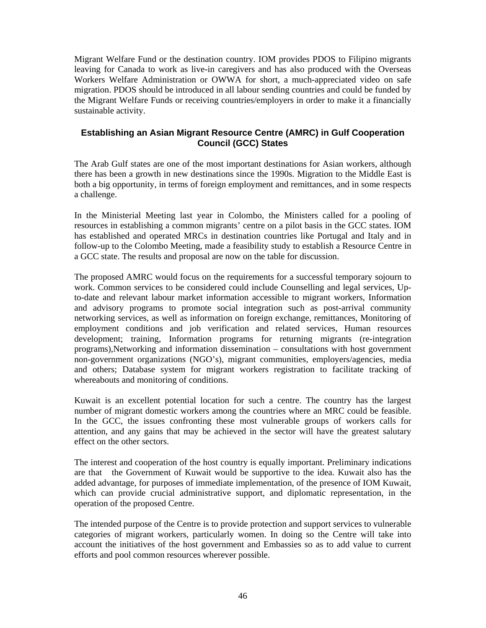Migrant Welfare Fund or the destination country. IOM provides PDOS to Filipino migrants leaving for Canada to work as live-in caregivers and has also produced with the Overseas Workers Welfare Administration or OWWA for short, a much-appreciated video on safe migration. PDOS should be introduced in all labour sending countries and could be funded by the Migrant Welfare Funds or receiving countries/employers in order to make it a financially sustainable activity.

## **Establishing an Asian Migrant Resource Centre (AMRC) in Gulf Cooperation Council (GCC) States**

The Arab Gulf states are one of the most important destinations for Asian workers, although there has been a growth in new destinations since the 1990s. Migration to the Middle East is both a big opportunity, in terms of foreign employment and remittances, and in some respects a challenge.

In the Ministerial Meeting last year in Colombo, the Ministers called for a pooling of resources in establishing a common migrants' centre on a pilot basis in the GCC states. IOM has established and operated MRCs in destination countries like Portugal and Italy and in follow-up to the Colombo Meeting, made a feasibility study to establish a Resource Centre in a GCC state. The results and proposal are now on the table for discussion.

The proposed AMRC would focus on the requirements for a successful temporary sojourn to work. Common services to be considered could include Counselling and legal services, Upto-date and relevant labour market information accessible to migrant workers, Information and advisory programs to promote social integration such as post-arrival community networking services, as well as information on foreign exchange, remittances, Monitoring of employment conditions and job verification and related services, Human resources development; training, Information programs for returning migrants (re-integration programs),Networking and information dissemination – consultations with host government non-government organizations (NGO's), migrant communities, employers/agencies, media and others; Database system for migrant workers registration to facilitate tracking of whereabouts and monitoring of conditions.

Kuwait is an excellent potential location for such a centre. The country has the largest number of migrant domestic workers among the countries where an MRC could be feasible. In the GCC, the issues confronting these most vulnerable groups of workers calls for attention, and any gains that may be achieved in the sector will have the greatest salutary effect on the other sectors.

The interest and cooperation of the host country is equally important. Preliminary indications are that the Government of Kuwait would be supportive to the idea. Kuwait also has the added advantage, for purposes of immediate implementation, of the presence of IOM Kuwait, which can provide crucial administrative support, and diplomatic representation, in the operation of the proposed Centre.

The intended purpose of the Centre is to provide protection and support services to vulnerable categories of migrant workers, particularly women. In doing so the Centre will take into account the initiatives of the host government and Embassies so as to add value to current efforts and pool common resources wherever possible.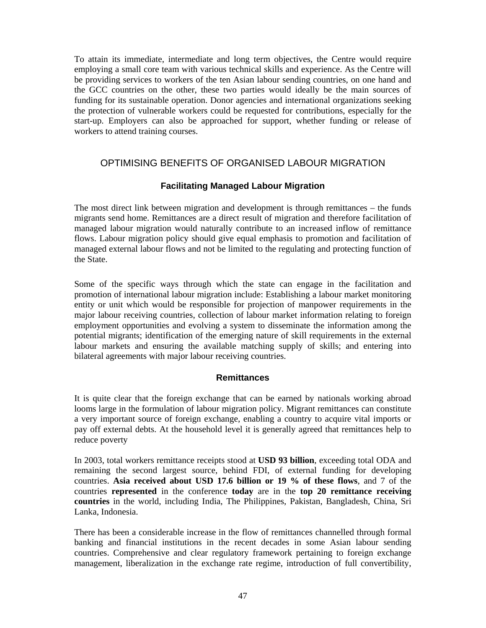To attain its immediate, intermediate and long term objectives, the Centre would require employing a small core team with various technical skills and experience. As the Centre will be providing services to workers of the ten Asian labour sending countries, on one hand and the GCC countries on the other, these two parties would ideally be the main sources of funding for its sustainable operation. Donor agencies and international organizations seeking the protection of vulnerable workers could be requested for contributions, especially for the start-up. Employers can also be approached for support, whether funding or release of workers to attend training courses.

## OPTIMISING BENEFITS OF ORGANISED LABOUR MIGRATION

## **Facilitating Managed Labour Migration**

The most direct link between migration and development is through remittances – the funds migrants send home. Remittances are a direct result of migration and therefore facilitation of managed labour migration would naturally contribute to an increased inflow of remittance flows. Labour migration policy should give equal emphasis to promotion and facilitation of managed external labour flows and not be limited to the regulating and protecting function of the State.

Some of the specific ways through which the state can engage in the facilitation and promotion of international labour migration include: Establishing a labour market monitoring entity or unit which would be responsible for projection of manpower requirements in the major labour receiving countries, collection of labour market information relating to foreign employment opportunities and evolving a system to disseminate the information among the potential migrants; identification of the emerging nature of skill requirements in the external labour markets and ensuring the available matching supply of skills; and entering into bilateral agreements with major labour receiving countries.

### **Remittances**

It is quite clear that the foreign exchange that can be earned by nationals working abroad looms large in the formulation of labour migration policy. Migrant remittances can constitute a very important source of foreign exchange, enabling a country to acquire vital imports or pay off external debts. At the household level it is generally agreed that remittances help to reduce poverty

In 2003, total workers remittance receipts stood at **USD 93 billion**, exceeding total ODA and remaining the second largest source, behind FDI, of external funding for developing countries. **Asia received about USD 17.6 billion or 19 % of these flows**, and 7 of the countries **represented** in the conference **today** are in the **top 20 remittance receiving countries** in the world, including India, The Philippines, Pakistan, Bangladesh, China, Sri Lanka, Indonesia.

There has been a considerable increase in the flow of remittances channelled through formal banking and financial institutions in the recent decades in some Asian labour sending countries. Comprehensive and clear regulatory framework pertaining to foreign exchange management, liberalization in the exchange rate regime, introduction of full convertibility,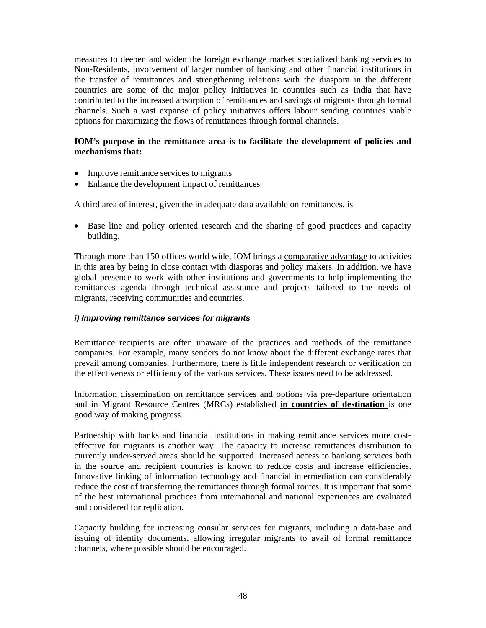measures to deepen and widen the foreign exchange market specialized banking services to Non-Residents, involvement of larger number of banking and other financial institutions in the transfer of remittances and strengthening relations with the diaspora in the different countries are some of the major policy initiatives in countries such as India that have contributed to the increased absorption of remittances and savings of migrants through formal channels. Such a vast expanse of policy initiatives offers labour sending countries viable options for maximizing the flows of remittances through formal channels.

#### **IOM's purpose in the remittance area is to facilitate the development of policies and mechanisms that:**

- Improve remittance services to migrants
- Enhance the development impact of remittances

A third area of interest, given the in adequate data available on remittances, is

• Base line and policy oriented research and the sharing of good practices and capacity building.

Through more than 150 offices world wide, IOM brings a comparative advantage to activities in this area by being in close contact with diasporas and policy makers. In addition, we have global presence to work with other institutions and governments to help implementing the remittances agenda through technical assistance and projects tailored to the needs of migrants, receiving communities and countries.

#### *i) Improving remittance services for migrants*

Remittance recipients are often unaware of the practices and methods of the remittance companies. For example, many senders do not know about the different exchange rates that prevail among companies. Furthermore, there is little independent research or verification on the effectiveness or efficiency of the various services. These issues need to be addressed.

Information dissemination on remittance services and options via pre-departure orientation and in Migrant Resource Centres (MRCs) established **in countries of destination** is one good way of making progress.

Partnership with banks and financial institutions in making remittance services more costeffective for migrants is another way. The capacity to increase remittances distribution to currently under-served areas should be supported. Increased access to banking services both in the source and recipient countries is known to reduce costs and increase efficiencies. Innovative linking of information technology and financial intermediation can considerably reduce the cost of transferring the remittances through formal routes. It is important that some of the best international practices from international and national experiences are evaluated and considered for replication.

Capacity building for increasing consular services for migrants, including a data-base and issuing of identity documents, allowing irregular migrants to avail of formal remittance channels, where possible should be encouraged.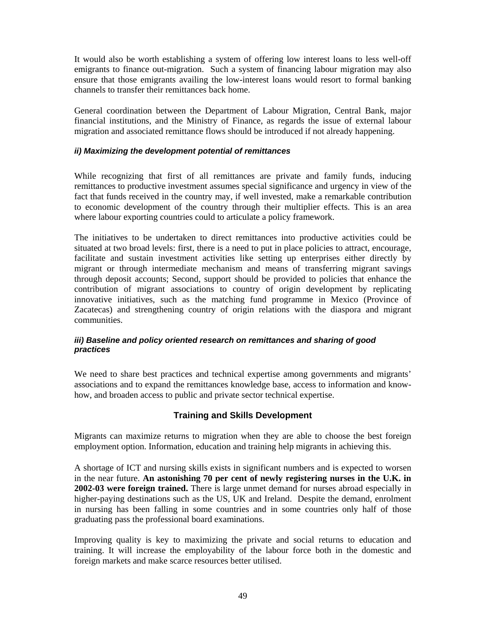It would also be worth establishing a system of offering low interest loans to less well-off emigrants to finance out-migration. Such a system of financing labour migration may also ensure that those emigrants availing the low-interest loans would resort to formal banking channels to transfer their remittances back home.

General coordination between the Department of Labour Migration, Central Bank, major financial institutions, and the Ministry of Finance, as regards the issue of external labour migration and associated remittance flows should be introduced if not already happening.

#### *ii) Maximizing the development potential of remittances*

While recognizing that first of all remittances are private and family funds, inducing remittances to productive investment assumes special significance and urgency in view of the fact that funds received in the country may, if well invested, make a remarkable contribution to economic development of the country through their multiplier effects. This is an area where labour exporting countries could to articulate a policy framework.

The initiatives to be undertaken to direct remittances into productive activities could be situated at two broad levels: first, there is a need to put in place policies to attract, encourage, facilitate and sustain investment activities like setting up enterprises either directly by migrant or through intermediate mechanism and means of transferring migrant savings through deposit accounts; Second, support should be provided to policies that enhance the contribution of migrant associations to country of origin development by replicating innovative initiatives, such as the matching fund programme in Mexico (Province of Zacatecas) and strengthening country of origin relations with the diaspora and migrant communities.

#### *iii) Baseline and policy oriented research on remittances and sharing of good practices*

We need to share best practices and technical expertise among governments and migrants' associations and to expand the remittances knowledge base, access to information and knowhow, and broaden access to public and private sector technical expertise.

## **Training and Skills Development**

Migrants can maximize returns to migration when they are able to choose the best foreign employment option. Information, education and training help migrants in achieving this.

A shortage of ICT and nursing skills exists in significant numbers and is expected to worsen in the near future. **An astonishing 70 per cent of newly registering nurses in the U.K. in 2002-03 were foreign trained.** There is large unmet demand for nurses abroad especially in higher-paying destinations such as the US, UK and Ireland. Despite the demand, enrolment in nursing has been falling in some countries and in some countries only half of those graduating pass the professional board examinations.

Improving quality is key to maximizing the private and social returns to education and training. It will increase the employability of the labour force both in the domestic and foreign markets and make scarce resources better utilised.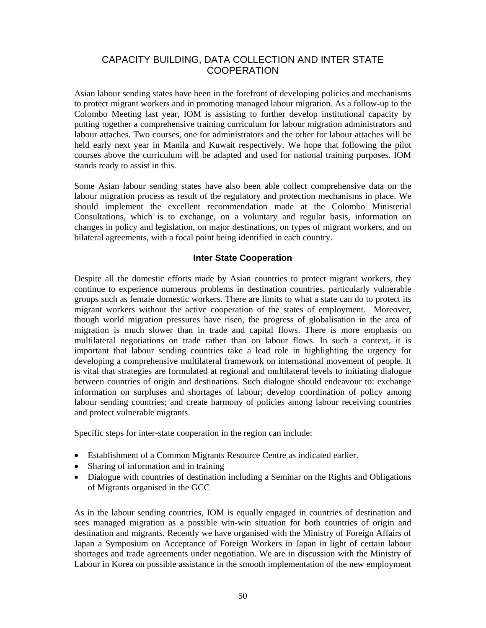## CAPACITY BUILDING, DATA COLLECTION AND INTER STATE **COOPERATION**

Asian labour sending states have been in the forefront of developing policies and mechanisms to protect migrant workers and in promoting managed labour migration. As a follow-up to the Colombo Meeting last year, IOM is assisting to further develop institutional capacity by putting together a comprehensive training curriculum for labour migration administrators and labour attaches. Two courses, one for administrators and the other for labour attaches will be held early next year in Manila and Kuwait respectively. We hope that following the pilot courses above the curriculum will be adapted and used for national training purposes. IOM stands ready to assist in this.

Some Asian labour sending states have also been able collect comprehensive data on the labour migration process as result of the regulatory and protection mechanisms in place. We should implement the excellent recommendation made at the Colombo Ministerial Consultations, which is to exchange, on a voluntary and regular basis, information on changes in policy and legislation, on major destinations, on types of migrant workers, and on bilateral agreements, with a focal point being identified in each country.

## **Inter State Cooperation**

Despite all the domestic efforts made by Asian countries to protect migrant workers, they continue to experience numerous problems in destination countries, particularly vulnerable groups such as female domestic workers. There are limits to what a state can do to protect its migrant workers without the active cooperation of the states of employment. Moreover, though world migration pressures have risen, the progress of globalisation in the area of migration is much slower than in trade and capital flows. There is more emphasis on multilateral negotiations on trade rather than on labour flows. In such a context, it is important that labour sending countries take a lead role in highlighting the urgency for developing a comprehensive multilateral framework on international movement of people. It is vital that strategies are formulated at regional and multilateral levels to initiating dialogue between countries of origin and destinations. Such dialogue should endeavour to: exchange information on surpluses and shortages of labour; develop coordination of policy among labour sending countries; and create harmony of policies among labour receiving countries and protect vulnerable migrants.

Specific steps for inter-state cooperation in the region can include:

- Establishment of a Common Migrants Resource Centre as indicated earlier.
- Sharing of information and in training
- Dialogue with countries of destination including a Seminar on the Rights and Obligations of Migrants organised in the GCC

As in the labour sending countries, IOM is equally engaged in countries of destination and sees managed migration as a possible win-win situation for both countries of origin and destination and migrants. Recently we have organised with the Ministry of Foreign Affairs of Japan a Symposium on Acceptance of Foreign Workers in Japan in light of certain labour shortages and trade agreements under negotiation. We are in discussion with the Ministry of Labour in Korea on possible assistance in the smooth implementation of the new employment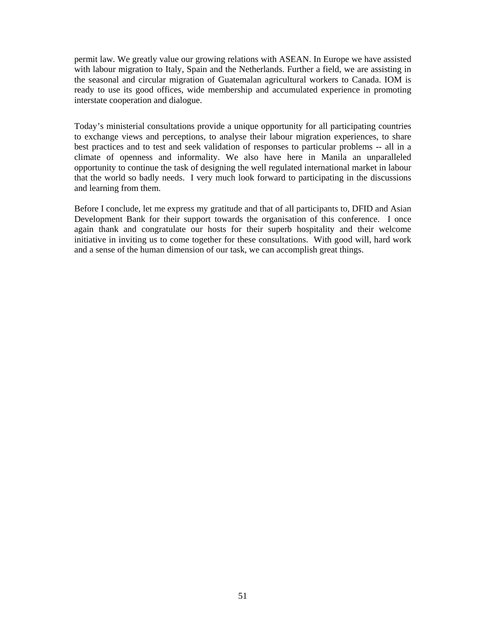permit law. We greatly value our growing relations with ASEAN. In Europe we have assisted with labour migration to Italy, Spain and the Netherlands. Further a field, we are assisting in the seasonal and circular migration of Guatemalan agricultural workers to Canada. IOM is ready to use its good offices, wide membership and accumulated experience in promoting interstate cooperation and dialogue.

Today's ministerial consultations provide a unique opportunity for all participating countries to exchange views and perceptions, to analyse their labour migration experiences, to share best practices and to test and seek validation of responses to particular problems -- all in a climate of openness and informality. We also have here in Manila an unparalleled opportunity to continue the task of designing the well regulated international market in labour that the world so badly needs. I very much look forward to participating in the discussions and learning from them.

Before I conclude, let me express my gratitude and that of all participants to, DFID and Asian Development Bank for their support towards the organisation of this conference. I once again thank and congratulate our hosts for their superb hospitality and their welcome initiative in inviting us to come together for these consultations. With good will, hard work and a sense of the human dimension of our task, we can accomplish great things.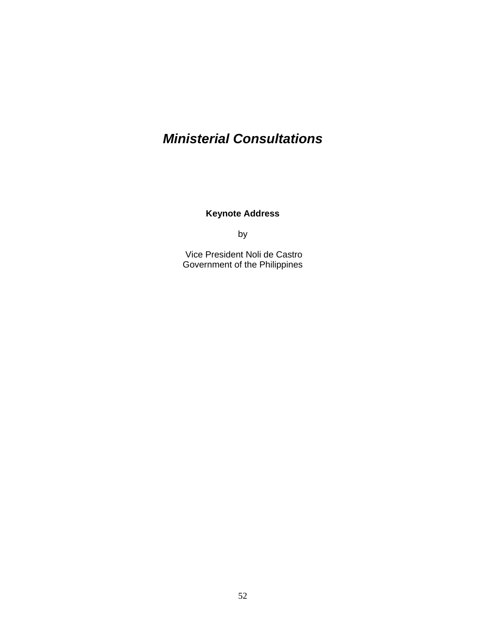# *Ministerial Consultations*

**Keynote Address** 

by

 Vice President Noli de Castro Government of the Philippines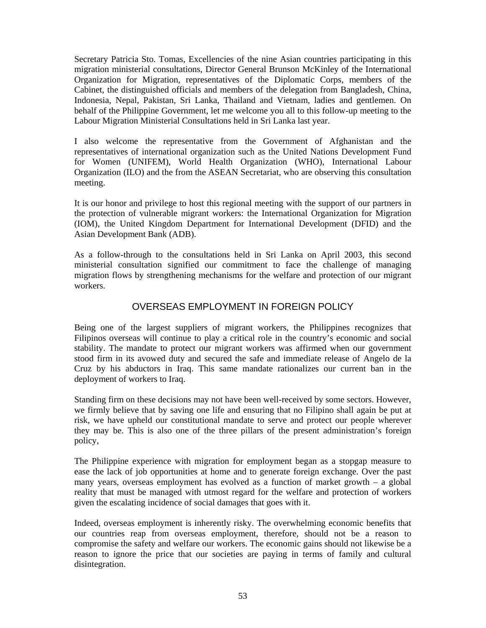Secretary Patricia Sto. Tomas, Excellencies of the nine Asian countries participating in this migration ministerial consultations, Director General Brunson McKinley of the International Organization for Migration, representatives of the Diplomatic Corps, members of the Cabinet, the distinguished officials and members of the delegation from Bangladesh, China, Indonesia, Nepal, Pakistan, Sri Lanka, Thailand and Vietnam, ladies and gentlemen. On behalf of the Philippine Government, let me welcome you all to this follow-up meeting to the Labour Migration Ministerial Consultations held in Sri Lanka last year.

I also welcome the representative from the Government of Afghanistan and the representatives of international organization such as the United Nations Development Fund for Women (UNIFEM), World Health Organization (WHO), International Labour Organization (ILO) and the from the ASEAN Secretariat, who are observing this consultation meeting.

It is our honor and privilege to host this regional meeting with the support of our partners in the protection of vulnerable migrant workers: the International Organization for Migration (IOM), the United Kingdom Department for International Development (DFID) and the Asian Development Bank (ADB).

As a follow-through to the consultations held in Sri Lanka on April 2003, this second ministerial consultation signified our commitment to face the challenge of managing migration flows by strengthening mechanisms for the welfare and protection of our migrant workers.

## OVERSEAS EMPLOYMENT IN FOREIGN POLICY

Being one of the largest suppliers of migrant workers, the Philippines recognizes that Filipinos overseas will continue to play a critical role in the country's economic and social stability. The mandate to protect our migrant workers was affirmed when our government stood firm in its avowed duty and secured the safe and immediate release of Angelo de la Cruz by his abductors in Iraq. This same mandate rationalizes our current ban in the deployment of workers to Iraq.

Standing firm on these decisions may not have been well-received by some sectors. However, we firmly believe that by saving one life and ensuring that no Filipino shall again be put at risk, we have upheld our constitutional mandate to serve and protect our people wherever they may be. This is also one of the three pillars of the present administration's foreign policy,

The Philippine experience with migration for employment began as a stopgap measure to ease the lack of job opportunities at home and to generate foreign exchange. Over the past many years, overseas employment has evolved as a function of market growth – a global reality that must be managed with utmost regard for the welfare and protection of workers given the escalating incidence of social damages that goes with it.

Indeed, overseas employment is inherently risky. The overwhelming economic benefits that our countries reap from overseas employment, therefore, should not be a reason to compromise the safety and welfare our workers. The economic gains should not likewise be a reason to ignore the price that our societies are paying in terms of family and cultural disintegration.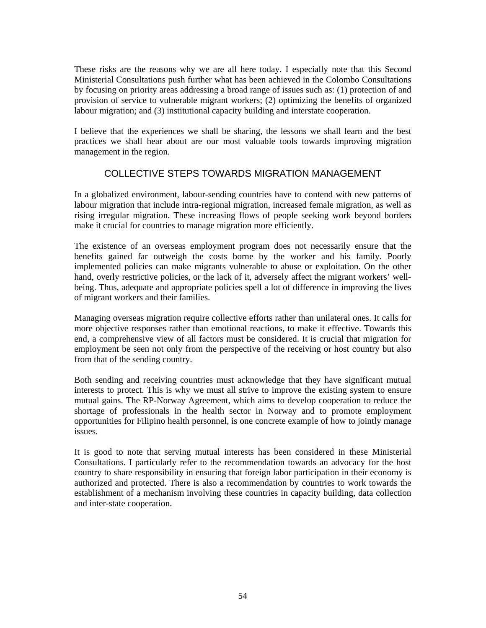These risks are the reasons why we are all here today. I especially note that this Second Ministerial Consultations push further what has been achieved in the Colombo Consultations by focusing on priority areas addressing a broad range of issues such as: (1) protection of and provision of service to vulnerable migrant workers; (2) optimizing the benefits of organized labour migration; and (3) institutional capacity building and interstate cooperation.

I believe that the experiences we shall be sharing, the lessons we shall learn and the best practices we shall hear about are our most valuable tools towards improving migration management in the region.

# COLLECTIVE STEPS TOWARDS MIGRATION MANAGEMENT

In a globalized environment, labour-sending countries have to contend with new patterns of labour migration that include intra-regional migration, increased female migration, as well as rising irregular migration. These increasing flows of people seeking work beyond borders make it crucial for countries to manage migration more efficiently.

The existence of an overseas employment program does not necessarily ensure that the benefits gained far outweigh the costs borne by the worker and his family. Poorly implemented policies can make migrants vulnerable to abuse or exploitation. On the other hand, overly restrictive policies, or the lack of it, adversely affect the migrant workers' wellbeing. Thus, adequate and appropriate policies spell a lot of difference in improving the lives of migrant workers and their families.

Managing overseas migration require collective efforts rather than unilateral ones. It calls for more objective responses rather than emotional reactions, to make it effective. Towards this end, a comprehensive view of all factors must be considered. It is crucial that migration for employment be seen not only from the perspective of the receiving or host country but also from that of the sending country.

Both sending and receiving countries must acknowledge that they have significant mutual interests to protect. This is why we must all strive to improve the existing system to ensure mutual gains. The RP-Norway Agreement, which aims to develop cooperation to reduce the shortage of professionals in the health sector in Norway and to promote employment opportunities for Filipino health personnel, is one concrete example of how to jointly manage issues.

It is good to note that serving mutual interests has been considered in these Ministerial Consultations. I particularly refer to the recommendation towards an advocacy for the host country to share responsibility in ensuring that foreign labor participation in their economy is authorized and protected. There is also a recommendation by countries to work towards the establishment of a mechanism involving these countries in capacity building, data collection and inter-state cooperation.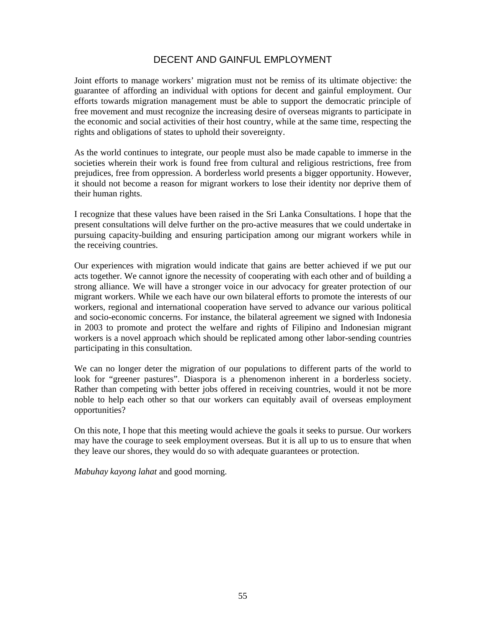# DECENT AND GAINFUL EMPLOYMENT

Joint efforts to manage workers' migration must not be remiss of its ultimate objective: the guarantee of affording an individual with options for decent and gainful employment. Our efforts towards migration management must be able to support the democratic principle of free movement and must recognize the increasing desire of overseas migrants to participate in the economic and social activities of their host country, while at the same time, respecting the rights and obligations of states to uphold their sovereignty.

As the world continues to integrate, our people must also be made capable to immerse in the societies wherein their work is found free from cultural and religious restrictions, free from prejudices, free from oppression. A borderless world presents a bigger opportunity. However, it should not become a reason for migrant workers to lose their identity nor deprive them of their human rights.

I recognize that these values have been raised in the Sri Lanka Consultations. I hope that the present consultations will delve further on the pro-active measures that we could undertake in pursuing capacity-building and ensuring participation among our migrant workers while in the receiving countries.

Our experiences with migration would indicate that gains are better achieved if we put our acts together. We cannot ignore the necessity of cooperating with each other and of building a strong alliance. We will have a stronger voice in our advocacy for greater protection of our migrant workers. While we each have our own bilateral efforts to promote the interests of our workers, regional and international cooperation have served to advance our various political and socio-economic concerns. For instance, the bilateral agreement we signed with Indonesia in 2003 to promote and protect the welfare and rights of Filipino and Indonesian migrant workers is a novel approach which should be replicated among other labor-sending countries participating in this consultation.

We can no longer deter the migration of our populations to different parts of the world to look for "greener pastures". Diaspora is a phenomenon inherent in a borderless society. Rather than competing with better jobs offered in receiving countries, would it not be more noble to help each other so that our workers can equitably avail of overseas employment opportunities?

On this note, I hope that this meeting would achieve the goals it seeks to pursue. Our workers may have the courage to seek employment overseas. But it is all up to us to ensure that when they leave our shores, they would do so with adequate guarantees or protection.

*Mabuhay kayong lahat* and good morning.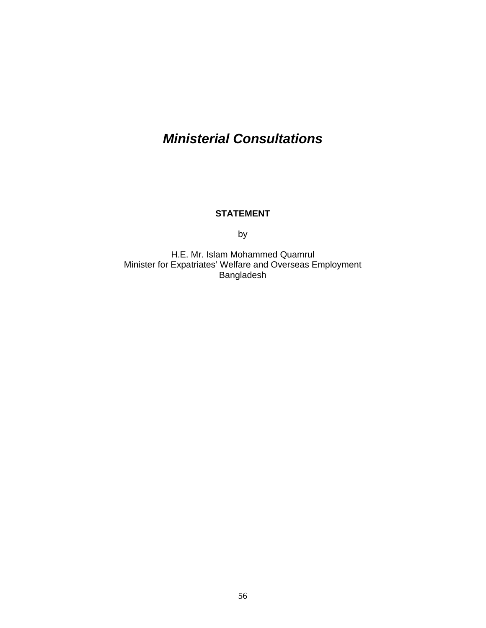# *Ministerial Consultations*

## **STATEMENT**

by

H.E. Mr. Islam Mohammed Quamrul Minister for Expatriates' Welfare and Overseas Employment Bangladesh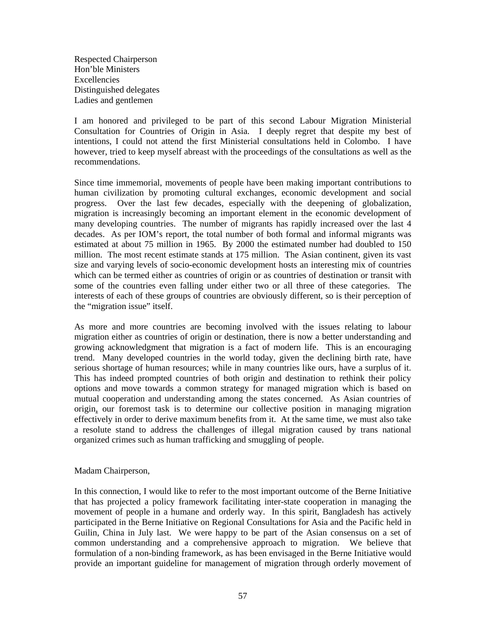Respected Chairperson Hon'ble Ministers Excellencies Distinguished delegates Ladies and gentlemen

I am honored and privileged to be part of this second Labour Migration Ministerial Consultation for Countries of Origin in Asia. I deeply regret that despite my best of intentions, I could not attend the first Ministerial consultations held in Colombo. I have however, tried to keep myself abreast with the proceedings of the consultations as well as the recommendations.

Since time immemorial, movements of people have been making important contributions to human civilization by promoting cultural exchanges, economic development and social progress. Over the last few decades, especially with the deepening of globalization, migration is increasingly becoming an important element in the economic development of many developing countries. The number of migrants has rapidly increased over the last 4 decades. As per IOM's report, the total number of both formal and informal migrants was estimated at about 75 million in 1965. By 2000 the estimated number had doubled to 150 million. The most recent estimate stands at 175 million. The Asian continent, given its vast size and varying levels of socio-economic development hosts an interesting mix of countries which can be termed either as countries of origin or as countries of destination or transit with some of the countries even falling under either two or all three of these categories. The interests of each of these groups of countries are obviously different, so is their perception of the "migration issue" itself.

As more and more countries are becoming involved with the issues relating to labour migration either as countries of origin or destination, there is now a better understanding and growing acknowledgment that migration is a fact of modern life. This is an encouraging trend. Many developed countries in the world today, given the declining birth rate, have serious shortage of human resources; while in many countries like ours, have a surplus of it. This has indeed prompted countries of both origin and destination to rethink their policy options and move towards a common strategy for managed migration which is based on mutual cooperation and understanding among the states concerned. As Asian countries of origin, our foremost task is to determine our collective position in managing migration effectively in order to derive maximum benefits from it. At the same time, we must also take a resolute stand to address the challenges of illegal migration caused by trans national organized crimes such as human trafficking and smuggling of people.

#### Madam Chairperson,

In this connection, I would like to refer to the most important outcome of the Berne Initiative that has projected a policy framework facilitating inter-state cooperation in managing the movement of people in a humane and orderly way. In this spirit, Bangladesh has actively participated in the Berne Initiative on Regional Consultations for Asia and the Pacific held in Guilin, China in July last. We were happy to be part of the Asian consensus on a set of common understanding and a comprehensive approach to migration. We believe that formulation of a non-binding framework, as has been envisaged in the Berne Initiative would provide an important guideline for management of migration through orderly movement of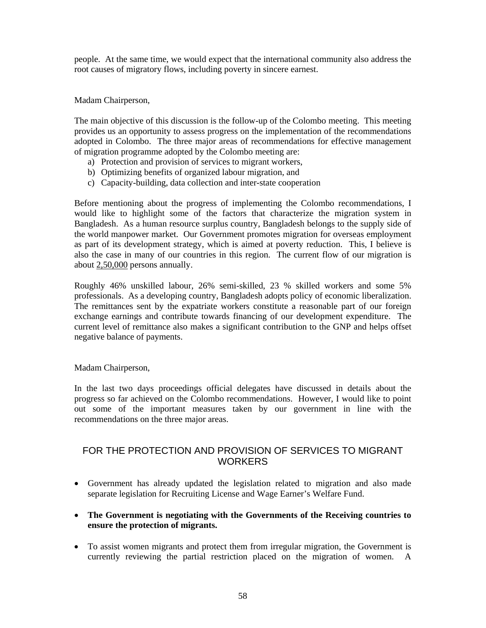people. At the same time, we would expect that the international community also address the root causes of migratory flows, including poverty in sincere earnest.

Madam Chairperson,

The main objective of this discussion is the follow-up of the Colombo meeting. This meeting provides us an opportunity to assess progress on the implementation of the recommendations adopted in Colombo. The three major areas of recommendations for effective management of migration programme adopted by the Colombo meeting are:

- a) Protection and provision of services to migrant workers,
- b) Optimizing benefits of organized labour migration, and
- c) Capacity-building, data collection and inter-state cooperation

Before mentioning about the progress of implementing the Colombo recommendations, I would like to highlight some of the factors that characterize the migration system in Bangladesh. As a human resource surplus country, Bangladesh belongs to the supply side of the world manpower market. Our Government promotes migration for overseas employment as part of its development strategy, which is aimed at poverty reduction. This, I believe is also the case in many of our countries in this region. The current flow of our migration is about 2,50,000 persons annually.

Roughly 46% unskilled labour, 26% semi-skilled, 23 % skilled workers and some 5% professionals. As a developing country, Bangladesh adopts policy of economic liberalization. The remittances sent by the expatriate workers constitute a reasonable part of our foreign exchange earnings and contribute towards financing of our development expenditure. The current level of remittance also makes a significant contribution to the GNP and helps offset negative balance of payments.

#### Madam Chairperson,

In the last two days proceedings official delegates have discussed in details about the progress so far achieved on the Colombo recommendations. However, I would like to point out some of the important measures taken by our government in line with the recommendations on the three major areas.

# FOR THE PROTECTION AND PROVISION OF SERVICES TO MIGRANT **WORKERS**

- Government has already updated the legislation related to migration and also made separate legislation for Recruiting License and Wage Earner's Welfare Fund.
- **The Government is negotiating with the Governments of the Receiving countries to ensure the protection of migrants.**
- To assist women migrants and protect them from irregular migration, the Government is currently reviewing the partial restriction placed on the migration of women. A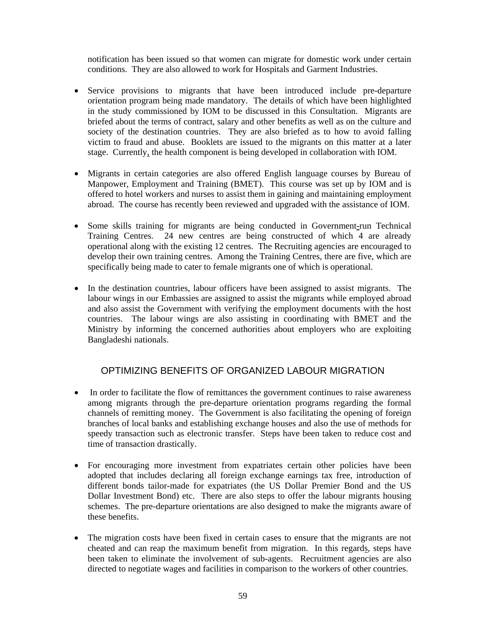notification has been issued so that women can migrate for domestic work under certain conditions. They are also allowed to work for Hospitals and Garment Industries.

- Service provisions to migrants that have been introduced include pre-departure orientation program being made mandatory. The details of which have been highlighted in the study commissioned by IOM to be discussed in this Consultation. Migrants are briefed about the terms of contract, salary and other benefits as well as on the culture and society of the destination countries. They are also briefed as to how to avoid falling victim to fraud and abuse. Booklets are issued to the migrants on this matter at a later stage. Currently, the health component is being developed in collaboration with IOM.
- Migrants in certain categories are also offered English language courses by Bureau of Manpower, Employment and Training (BMET). This course was set up by IOM and is offered to hotel workers and nurses to assist them in gaining and maintaining employment abroad. The course has recently been reviewed and upgraded with the assistance of IOM.
- Some skills training for migrants are being conducted in Government-run Technical Training Centres. 24 new centres are being constructed of which 4 are already operational along with the existing 12 centres. The Recruiting agencies are encouraged to develop their own training centres. Among the Training Centres, there are five, which are specifically being made to cater to female migrants one of which is operational.
- In the destination countries, labour officers have been assigned to assist migrants. The labour wings in our Embassies are assigned to assist the migrants while employed abroad and also assist the Government with verifying the employment documents with the host countries. The labour wings are also assisting in coordinating with BMET and the Ministry by informing the concerned authorities about employers who are exploiting Bangladeshi nationals.

# OPTIMIZING BENEFITS OF ORGANIZED LABOUR MIGRATION

- In order to facilitate the flow of remittances the government continues to raise awareness among migrants through the pre-departure orientation programs regarding the formal channels of remitting money. The Government is also facilitating the opening of foreign branches of local banks and establishing exchange houses and also the use of methods for speedy transaction such as electronic transfer. Steps have been taken to reduce cost and time of transaction drastically.
- For encouraging more investment from expatriates certain other policies have been adopted that includes declaring all foreign exchange earnings tax free, introduction of different bonds tailor-made for expatriates (the US Dollar Premier Bond and the US Dollar Investment Bond) etc. There are also steps to offer the labour migrants housing schemes. The pre-departure orientations are also designed to make the migrants aware of these benefits.
- The migration costs have been fixed in certain cases to ensure that the migrants are not cheated and can reap the maximum benefit from migration. In this regards, steps have been taken to eliminate the involvement of sub-agents. Recruitment agencies are also directed to negotiate wages and facilities in comparison to the workers of other countries.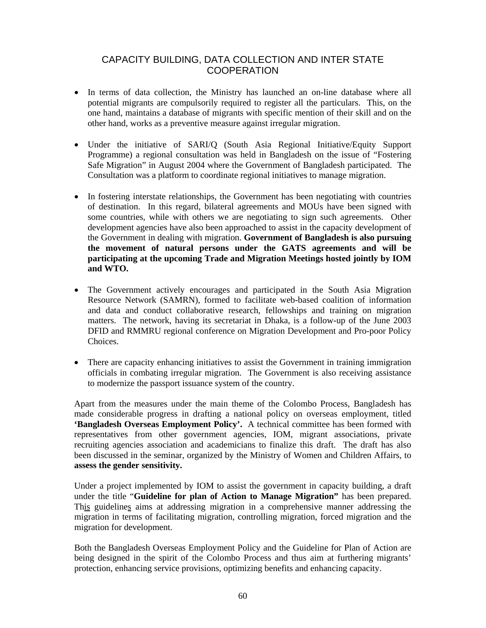## CAPACITY BUILDING, DATA COLLECTION AND INTER STATE **COOPERATION**

- In terms of data collection, the Ministry has launched an on-line database where all potential migrants are compulsorily required to register all the particulars. This, on the one hand, maintains a database of migrants with specific mention of their skill and on the other hand, works as a preventive measure against irregular migration.
- Under the initiative of SARI/Q (South Asia Regional Initiative/Equity Support Programme) a regional consultation was held in Bangladesh on the issue of "Fostering Safe Migration" in August 2004 where the Government of Bangladesh participated. The Consultation was a platform to coordinate regional initiatives to manage migration.
- In fostering interstate relationships, the Government has been negotiating with countries of destination. In this regard, bilateral agreements and MOUs have been signed with some countries, while with others we are negotiating to sign such agreements. Other development agencies have also been approached to assist in the capacity development of the Government in dealing with migration. **Government of Bangladesh is also pursuing the movement of natural persons under the GATS agreements and will be participating at the upcoming Trade and Migration Meetings hosted jointly by IOM and WTO.**
- The Government actively encourages and participated in the South Asia Migration Resource Network (SAMRN), formed to facilitate web-based coalition of information and data and conduct collaborative research, fellowships and training on migration matters. The network, having its secretariat in Dhaka, is a follow-up of the June 2003 DFID and RMMRU regional conference on Migration Development and Pro-poor Policy Choices.
- There are capacity enhancing initiatives to assist the Government in training immigration officials in combating irregular migration. The Government is also receiving assistance to modernize the passport issuance system of the country.

Apart from the measures under the main theme of the Colombo Process, Bangladesh has made considerable progress in drafting a national policy on overseas employment, titled **'Bangladesh Overseas Employment Policy'.** A technical committee has been formed with representatives from other government agencies, IOM, migrant associations, private recruiting agencies association and academicians to finalize this draft. The draft has also been discussed in the seminar, organized by the Ministry of Women and Children Affairs, to **assess the gender sensitivity.**

Under a project implemented by IOM to assist the government in capacity building, a draft under the title "**Guideline for plan of Action to Manage Migration"** has been prepared. This guidelines aims at addressing migration in a comprehensive manner addressing the migration in terms of facilitating migration, controlling migration, forced migration and the migration for development.

Both the Bangladesh Overseas Employment Policy and the Guideline for Plan of Action are being designed in the spirit of the Colombo Process and thus aim at furthering migrants' protection, enhancing service provisions, optimizing benefits and enhancing capacity.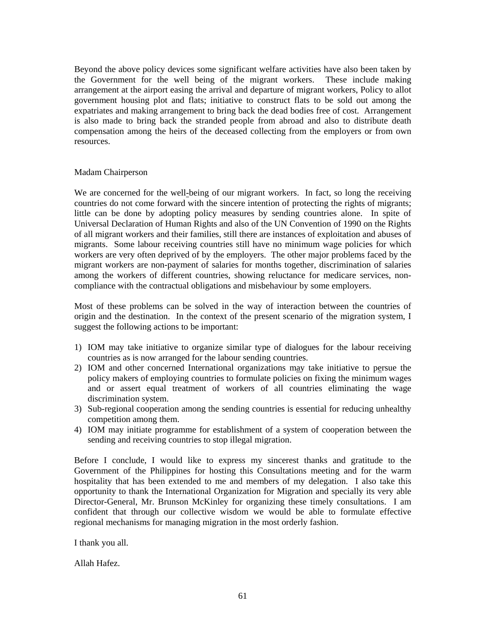Beyond the above policy devices some significant welfare activities have also been taken by the Government for the well being of the migrant workers. These include making arrangement at the airport easing the arrival and departure of migrant workers, Policy to allot government housing plot and flats; initiative to construct flats to be sold out among the expatriates and making arrangement to bring back the dead bodies free of cost. Arrangement is also made to bring back the stranded people from abroad and also to distribute death compensation among the heirs of the deceased collecting from the employers or from own resources.

#### Madam Chairperson

We are concerned for the well-being of our migrant workers. In fact, so long the receiving countries do not come forward with the sincere intention of protecting the rights of migrants; little can be done by adopting policy measures by sending countries alone. In spite of Universal Declaration of Human Rights and also of the UN Convention of 1990 on the Rights of all migrant workers and their families, still there are instances of exploitation and abuses of migrants. Some labour receiving countries still have no minimum wage policies for which workers are very often deprived of by the employers. The other major problems faced by the migrant workers are non-payment of salaries for months together, discrimination of salaries among the workers of different countries, showing reluctance for medicare services, noncompliance with the contractual obligations and misbehaviour by some employers.

Most of these problems can be solved in the way of interaction between the countries of origin and the destination. In the context of the present scenario of the migration system, I suggest the following actions to be important:

- 1) IOM may take initiative to organize similar type of dialogues for the labour receiving countries as is now arranged for the labour sending countries.
- 2) IOM and other concerned International organizations may take initiative to persue the policy makers of employing countries to formulate policies on fixing the minimum wages and or assert equal treatment of workers of all countries eliminating the wage discrimination system.
- 3) Sub-regional cooperation among the sending countries is essential for reducing unhealthy competition among them.
- 4) IOM may initiate programme for establishment of a system of cooperation between the sending and receiving countries to stop illegal migration.

Before I conclude, I would like to express my sincerest thanks and gratitude to the Government of the Philippines for hosting this Consultations meeting and for the warm hospitality that has been extended to me and members of my delegation. I also take this opportunity to thank the International Organization for Migration and specially its very able Director-General, Mr. Brunson McKinley for organizing these timely consultations. I am confident that through our collective wisdom we would be able to formulate effective regional mechanisms for managing migration in the most orderly fashion.

I thank you all.

Allah Hafez.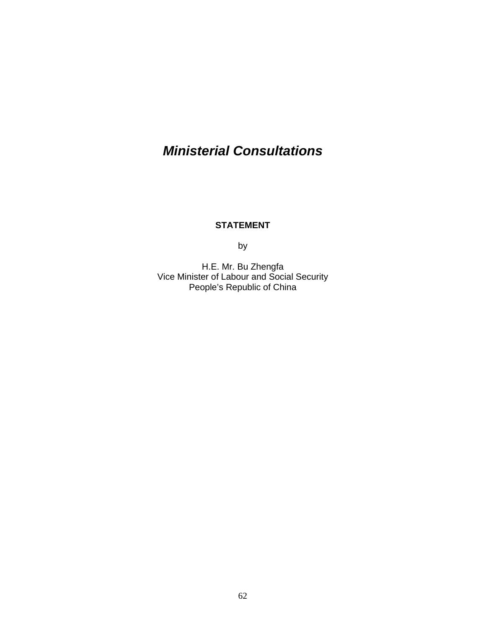# *Ministerial Consultations*

### **STATEMENT**

by

H.E. Mr. Bu Zhengfa Vice Minister of Labour and Social Security People's Republic of China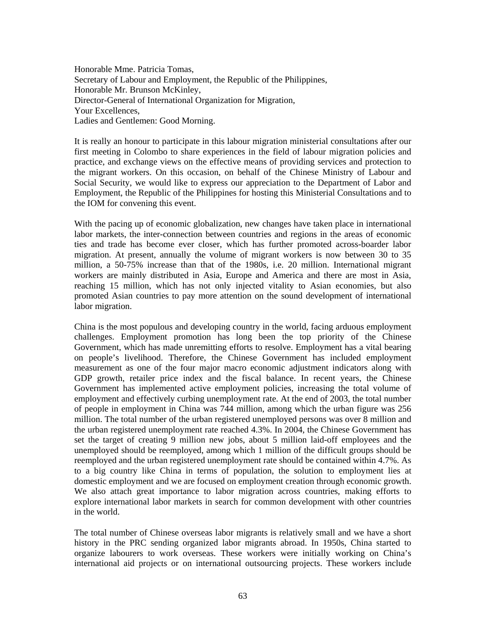Honorable Mme. Patricia Tomas, Secretary of Labour and Employment, the Republic of the Philippines, Honorable Mr. Brunson McKinley, Director-General of International Organization for Migration, Your Excellences, Ladies and Gentlemen: Good Morning.

It is really an honour to participate in this labour migration ministerial consultations after our first meeting in Colombo to share experiences in the field of labour migration policies and practice, and exchange views on the effective means of providing services and protection to the migrant workers. On this occasion, on behalf of the Chinese Ministry of Labour and Social Security, we would like to express our appreciation to the Department of Labor and Employment, the Republic of the Philippines for hosting this Ministerial Consultations and to the IOM for convening this event.

With the pacing up of economic globalization, new changes have taken place in international labor markets, the inter-connection between countries and regions in the areas of economic ties and trade has become ever closer, which has further promoted across-boarder labor migration. At present, annually the volume of migrant workers is now between 30 to 35 million, a 50-75% increase than that of the 1980s, i.e. 20 million. International migrant workers are mainly distributed in Asia, Europe and America and there are most in Asia, reaching 15 million, which has not only injected vitality to Asian economies, but also promoted Asian countries to pay more attention on the sound development of international labor migration.

China is the most populous and developing country in the world, facing arduous employment challenges. Employment promotion has long been the top priority of the Chinese Government, which has made unremitting efforts to resolve. Employment has a vital bearing on people's livelihood. Therefore, the Chinese Government has included employment measurement as one of the four major macro economic adjustment indicators along with GDP growth, retailer price index and the fiscal balance. In recent years, the Chinese Government has implemented active employment policies, increasing the total volume of employment and effectively curbing unemployment rate. At the end of 2003, the total number of people in employment in China was 744 million, among which the urban figure was 256 million. The total number of the urban registered unemployed persons was over 8 million and the urban registered unemployment rate reached 4.3%. In 2004, the Chinese Government has set the target of creating 9 million new jobs, about 5 million laid-off employees and the unemployed should be reemployed, among which 1 million of the difficult groups should be reemployed and the urban registered unemployment rate should be contained within 4.7%. As to a big country like China in terms of population, the solution to employment lies at domestic employment and we are focused on employment creation through economic growth. We also attach great importance to labor migration across countries, making efforts to explore international labor markets in search for common development with other countries in the world.

The total number of Chinese overseas labor migrants is relatively small and we have a short history in the PRC sending organized labor migrants abroad. In 1950s, China started to organize labourers to work overseas. These workers were initially working on China's international aid projects or on international outsourcing projects. These workers include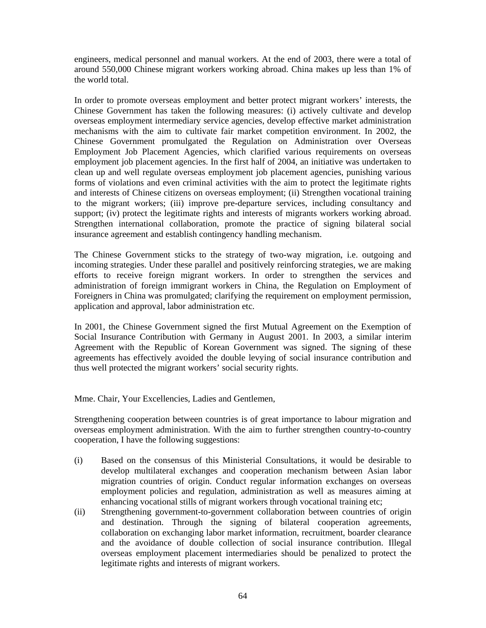engineers, medical personnel and manual workers. At the end of 2003, there were a total of around 550,000 Chinese migrant workers working abroad. China makes up less than 1% of the world total.

In order to promote overseas employment and better protect migrant workers' interests, the Chinese Government has taken the following measures: (i) actively cultivate and develop overseas employment intermediary service agencies, develop effective market administration mechanisms with the aim to cultivate fair market competition environment. In 2002, the Chinese Government promulgated the Regulation on Administration over Overseas Employment Job Placement Agencies, which clarified various requirements on overseas employment job placement agencies. In the first half of 2004, an initiative was undertaken to clean up and well regulate overseas employment job placement agencies, punishing various forms of violations and even criminal activities with the aim to protect the legitimate rights and interests of Chinese citizens on overseas employment; (ii) Strengthen vocational training to the migrant workers; (iii) improve pre-departure services, including consultancy and support; (iv) protect the legitimate rights and interests of migrants workers working abroad. Strengthen international collaboration, promote the practice of signing bilateral social insurance agreement and establish contingency handling mechanism.

The Chinese Government sticks to the strategy of two-way migration, i.e. outgoing and incoming strategies. Under these parallel and positively reinforcing strategies, we are making efforts to receive foreign migrant workers. In order to strengthen the services and administration of foreign immigrant workers in China, the Regulation on Employment of Foreigners in China was promulgated; clarifying the requirement on employment permission, application and approval, labor administration etc.

In 2001, the Chinese Government signed the first Mutual Agreement on the Exemption of Social Insurance Contribution with Germany in August 2001. In 2003, a similar interim Agreement with the Republic of Korean Government was signed. The signing of these agreements has effectively avoided the double levying of social insurance contribution and thus well protected the migrant workers' social security rights.

Mme. Chair, Your Excellencies, Ladies and Gentlemen,

Strengthening cooperation between countries is of great importance to labour migration and overseas employment administration. With the aim to further strengthen country-to-country cooperation, I have the following suggestions:

- (i) Based on the consensus of this Ministerial Consultations, it would be desirable to develop multilateral exchanges and cooperation mechanism between Asian labor migration countries of origin. Conduct regular information exchanges on overseas employment policies and regulation, administration as well as measures aiming at enhancing vocational stills of migrant workers through vocational training etc;
- (ii) Strengthening government-to-government collaboration between countries of origin and destination. Through the signing of bilateral cooperation agreements, collaboration on exchanging labor market information, recruitment, boarder clearance and the avoidance of double collection of social insurance contribution. Illegal overseas employment placement intermediaries should be penalized to protect the legitimate rights and interests of migrant workers.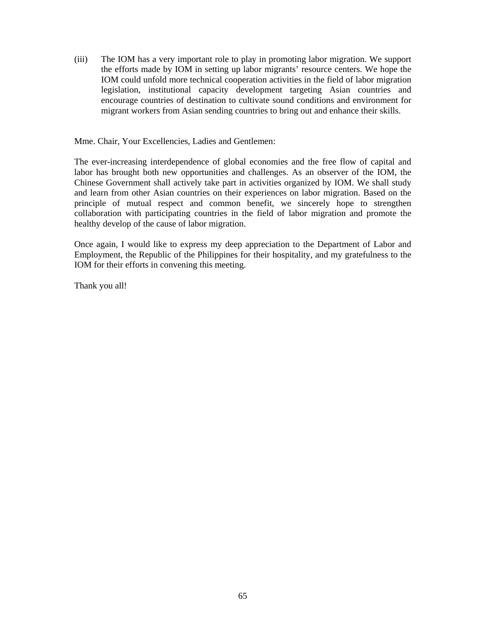(iii) The IOM has a very important role to play in promoting labor migration. We support the efforts made by IOM in setting up labor migrants' resource centers. We hope the IOM could unfold more technical cooperation activities in the field of labor migration legislation, institutional capacity development targeting Asian countries and encourage countries of destination to cultivate sound conditions and environment for migrant workers from Asian sending countries to bring out and enhance their skills.

Mme. Chair, Your Excellencies, Ladies and Gentlemen:

The ever-increasing interdependence of global economies and the free flow of capital and labor has brought both new opportunities and challenges. As an observer of the IOM, the Chinese Government shall actively take part in activities organized by IOM. We shall study and learn from other Asian countries on their experiences on labor migration. Based on the principle of mutual respect and common benefit, we sincerely hope to strengthen collaboration with participating countries in the field of labor migration and promote the healthy develop of the cause of labor migration.

Once again, I would like to express my deep appreciation to the Department of Labor and Employment, the Republic of the Philippines for their hospitality, and my gratefulness to the IOM for their efforts in convening this meeting.

Thank you all!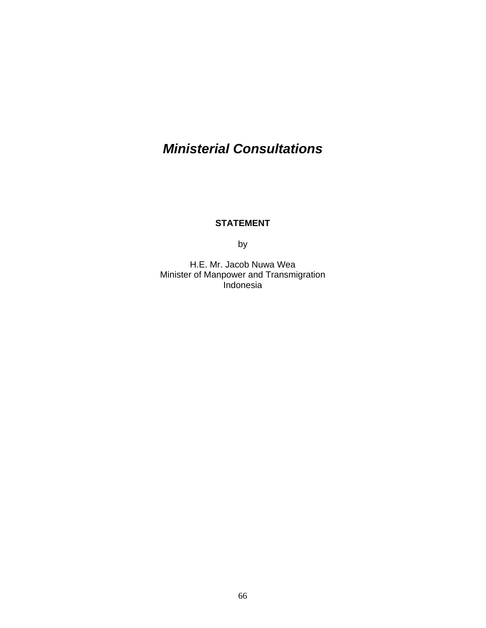# *Ministerial Consultations*

### **STATEMENT**

by

H.E. Mr. Jacob Nuwa Wea Minister of Manpower and Transmigration .<br>Indonesia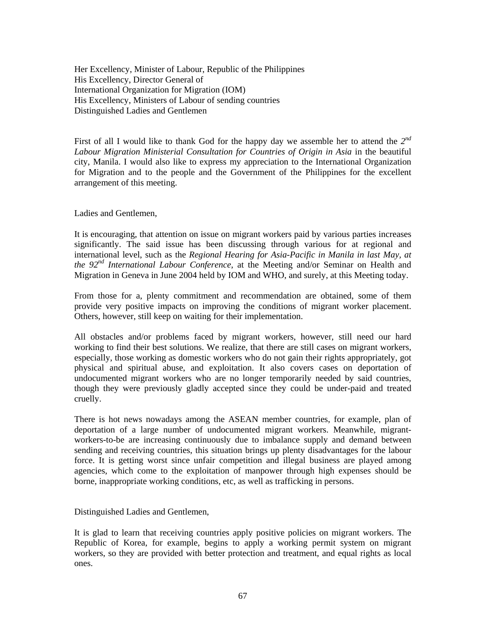Her Excellency, Minister of Labour, Republic of the Philippines His Excellency, Director General of International Organization for Migration (IOM) His Excellency, Ministers of Labour of sending countries Distinguished Ladies and Gentlemen

First of all I would like to thank God for the happy day we assemble her to attend the *2nd Labour Migration Ministerial Consultation for Countries of Origin in Asia* in the beautiful city, Manila. I would also like to express my appreciation to the International Organization for Migration and to the people and the Government of the Philippines for the excellent arrangement of this meeting.

Ladies and Gentlemen,

It is encouraging, that attention on issue on migrant workers paid by various parties increases significantly. The said issue has been discussing through various for at regional and international level, such as the *Regional Hearing for Asia-Pacific in Manila in last May, at the 92nd International Labour Conference*, at the Meeting and/or Seminar on Health and Migration in Geneva in June 2004 held by IOM and WHO, and surely, at this Meeting today.

From those for a, plenty commitment and recommendation are obtained, some of them provide very positive impacts on improving the conditions of migrant worker placement. Others, however, still keep on waiting for their implementation.

All obstacles and/or problems faced by migrant workers, however, still need our hard working to find their best solutions. We realize, that there are still cases on migrant workers, especially, those working as domestic workers who do not gain their rights appropriately, got physical and spiritual abuse, and exploitation. It also covers cases on deportation of undocumented migrant workers who are no longer temporarily needed by said countries, though they were previously gladly accepted since they could be under-paid and treated cruelly.

There is hot news nowadays among the ASEAN member countries, for example, plan of deportation of a large number of undocumented migrant workers. Meanwhile, migrantworkers-to-be are increasing continuously due to imbalance supply and demand between sending and receiving countries, this situation brings up plenty disadvantages for the labour force. It is getting worst since unfair competition and illegal business are played among agencies, which come to the exploitation of manpower through high expenses should be borne, inappropriate working conditions, etc, as well as trafficking in persons.

Distinguished Ladies and Gentlemen,

It is glad to learn that receiving countries apply positive policies on migrant workers. The Republic of Korea, for example, begins to apply a working permit system on migrant workers, so they are provided with better protection and treatment, and equal rights as local ones.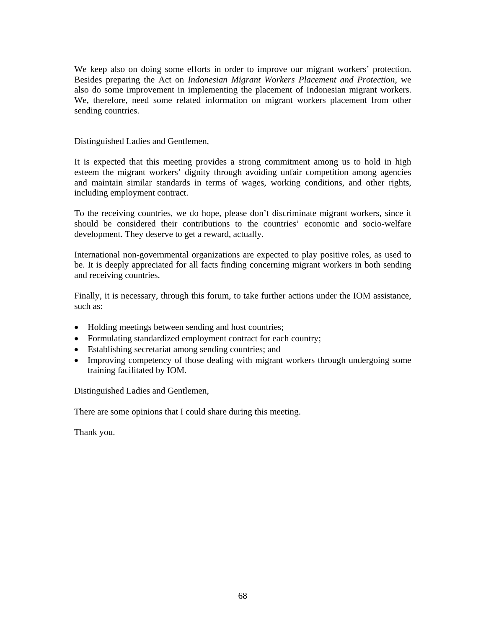We keep also on doing some efforts in order to improve our migrant workers' protection. Besides preparing the Act on *Indonesian Migrant Workers Placement and Protection*, we also do some improvement in implementing the placement of Indonesian migrant workers. We, therefore, need some related information on migrant workers placement from other sending countries.

#### Distinguished Ladies and Gentlemen,

It is expected that this meeting provides a strong commitment among us to hold in high esteem the migrant workers' dignity through avoiding unfair competition among agencies and maintain similar standards in terms of wages, working conditions, and other rights, including employment contract.

To the receiving countries, we do hope, please don't discriminate migrant workers, since it should be considered their contributions to the countries' economic and socio-welfare development. They deserve to get a reward, actually.

International non-governmental organizations are expected to play positive roles, as used to be. It is deeply appreciated for all facts finding concerning migrant workers in both sending and receiving countries.

Finally, it is necessary, through this forum, to take further actions under the IOM assistance, such as:

- Holding meetings between sending and host countries;
- Formulating standardized employment contract for each country;
- Establishing secretariat among sending countries; and
- Improving competency of those dealing with migrant workers through undergoing some training facilitated by IOM.

Distinguished Ladies and Gentlemen,

There are some opinions that I could share during this meeting.

Thank you.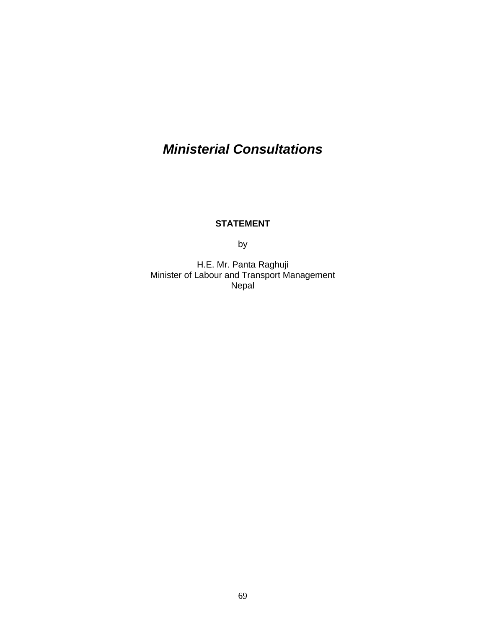# *Ministerial Consultations*

# **STATEMENT**

by

H.E. Mr. Panta Raghuji Minister of Labour and Transport Management Nepal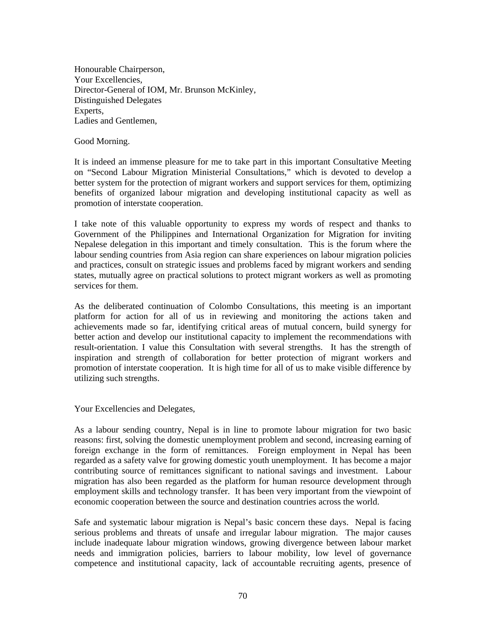Honourable Chairperson, Your Excellencies, Director-General of IOM, Mr. Brunson McKinley, Distinguished Delegates Experts, Ladies and Gentlemen,

Good Morning.

It is indeed an immense pleasure for me to take part in this important Consultative Meeting on "Second Labour Migration Ministerial Consultations," which is devoted to develop a better system for the protection of migrant workers and support services for them, optimizing benefits of organized labour migration and developing institutional capacity as well as promotion of interstate cooperation.

I take note of this valuable opportunity to express my words of respect and thanks to Government of the Philippines and International Organization for Migration for inviting Nepalese delegation in this important and timely consultation. This is the forum where the labour sending countries from Asia region can share experiences on labour migration policies and practices, consult on strategic issues and problems faced by migrant workers and sending states, mutually agree on practical solutions to protect migrant workers as well as promoting services for them.

As the deliberated continuation of Colombo Consultations, this meeting is an important platform for action for all of us in reviewing and monitoring the actions taken and achievements made so far, identifying critical areas of mutual concern, build synergy for better action and develop our institutional capacity to implement the recommendations with result-orientation. I value this Consultation with several strengths. It has the strength of inspiration and strength of collaboration for better protection of migrant workers and promotion of interstate cooperation. It is high time for all of us to make visible difference by utilizing such strengths.

Your Excellencies and Delegates,

As a labour sending country, Nepal is in line to promote labour migration for two basic reasons: first, solving the domestic unemployment problem and second, increasing earning of foreign exchange in the form of remittances. Foreign employment in Nepal has been regarded as a safety valve for growing domestic youth unemployment. It has become a major contributing source of remittances significant to national savings and investment. Labour migration has also been regarded as the platform for human resource development through employment skills and technology transfer. It has been very important from the viewpoint of economic cooperation between the source and destination countries across the world.

Safe and systematic labour migration is Nepal's basic concern these days. Nepal is facing serious problems and threats of unsafe and irregular labour migration. The major causes include inadequate labour migration windows, growing divergence between labour market needs and immigration policies, barriers to labour mobility, low level of governance competence and institutional capacity, lack of accountable recruiting agents, presence of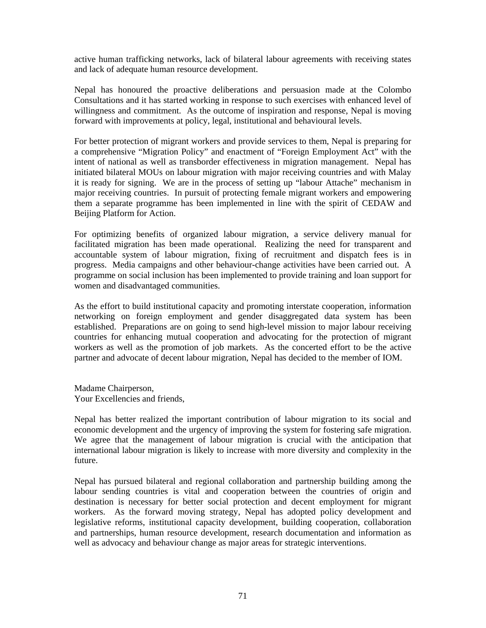active human trafficking networks, lack of bilateral labour agreements with receiving states and lack of adequate human resource development.

Nepal has honoured the proactive deliberations and persuasion made at the Colombo Consultations and it has started working in response to such exercises with enhanced level of willingness and commitment. As the outcome of inspiration and response, Nepal is moving forward with improvements at policy, legal, institutional and behavioural levels.

For better protection of migrant workers and provide services to them, Nepal is preparing for a comprehensive "Migration Policy" and enactment of "Foreign Employment Act" with the intent of national as well as transborder effectiveness in migration management. Nepal has initiated bilateral MOUs on labour migration with major receiving countries and with Malay it is ready for signing. We are in the process of setting up "labour Attache" mechanism in major receiving countries. In pursuit of protecting female migrant workers and empowering them a separate programme has been implemented in line with the spirit of CEDAW and Beijing Platform for Action.

For optimizing benefits of organized labour migration, a service delivery manual for facilitated migration has been made operational. Realizing the need for transparent and accountable system of labour migration, fixing of recruitment and dispatch fees is in progress. Media campaigns and other behaviour-change activities have been carried out. A programme on social inclusion has been implemented to provide training and loan support for women and disadvantaged communities.

As the effort to build institutional capacity and promoting interstate cooperation, information networking on foreign employment and gender disaggregated data system has been established. Preparations are on going to send high-level mission to major labour receiving countries for enhancing mutual cooperation and advocating for the protection of migrant workers as well as the promotion of job markets. As the concerted effort to be the active partner and advocate of decent labour migration, Nepal has decided to the member of IOM.

Madame Chairperson, Your Excellencies and friends,

Nepal has better realized the important contribution of labour migration to its social and economic development and the urgency of improving the system for fostering safe migration. We agree that the management of labour migration is crucial with the anticipation that international labour migration is likely to increase with more diversity and complexity in the future.

Nepal has pursued bilateral and regional collaboration and partnership building among the labour sending countries is vital and cooperation between the countries of origin and destination is necessary for better social protection and decent employment for migrant workers. As the forward moving strategy, Nepal has adopted policy development and legislative reforms, institutional capacity development, building cooperation, collaboration and partnerships, human resource development, research documentation and information as well as advocacy and behaviour change as major areas for strategic interventions.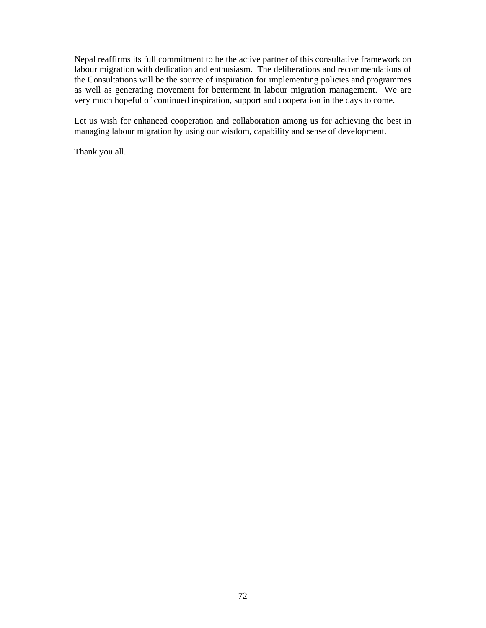Nepal reaffirms its full commitment to be the active partner of this consultative framework on labour migration with dedication and enthusiasm. The deliberations and recommendations of the Consultations will be the source of inspiration for implementing policies and programmes as well as generating movement for betterment in labour migration management. We are very much hopeful of continued inspiration, support and cooperation in the days to come.

Let us wish for enhanced cooperation and collaboration among us for achieving the best in managing labour migration by using our wisdom, capability and sense of development.

Thank you all.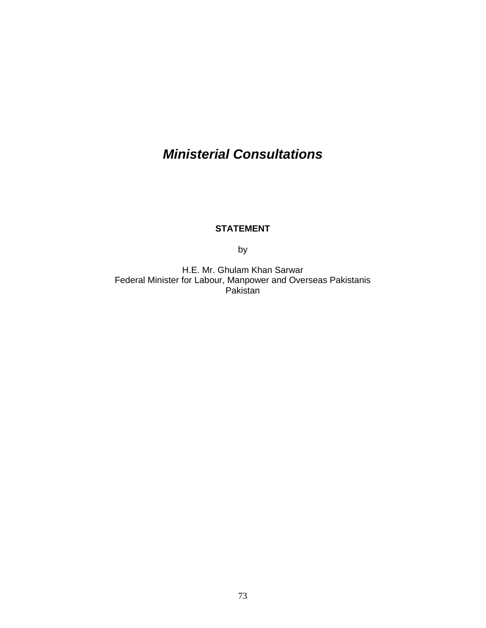# *Ministerial Consultations*

### **STATEMENT**

by

H.E. Mr. Ghulam Khan Sarwar Federal Minister for Labour, Manpower and Overseas Pakistanis Pakistan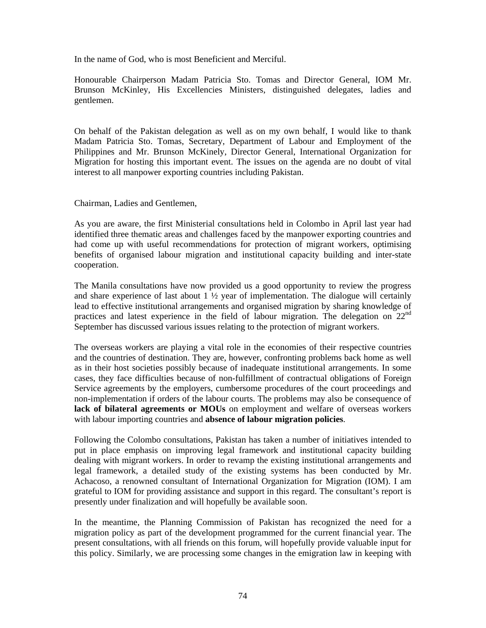In the name of God, who is most Beneficient and Merciful.

Honourable Chairperson Madam Patricia Sto. Tomas and Director General, IOM Mr. Brunson McKinley, His Excellencies Ministers, distinguished delegates, ladies and gentlemen.

On behalf of the Pakistan delegation as well as on my own behalf, I would like to thank Madam Patricia Sto. Tomas, Secretary, Department of Labour and Employment of the Philippines and Mr. Brunson McKinely, Director General, International Organization for Migration for hosting this important event. The issues on the agenda are no doubt of vital interest to all manpower exporting countries including Pakistan.

Chairman, Ladies and Gentlemen,

As you are aware, the first Ministerial consultations held in Colombo in April last year had identified three thematic areas and challenges faced by the manpower exporting countries and had come up with useful recommendations for protection of migrant workers, optimising benefits of organised labour migration and institutional capacity building and inter-state cooperation.

The Manila consultations have now provided us a good opportunity to review the progress and share experience of last about  $1 \frac{1}{2}$  year of implementation. The dialogue will certainly lead to effective institutional arrangements and organised migration by sharing knowledge of practices and latest experience in the field of labour migration. The delegation on 22nd September has discussed various issues relating to the protection of migrant workers.

The overseas workers are playing a vital role in the economies of their respective countries and the countries of destination. They are, however, confronting problems back home as well as in their host societies possibly because of inadequate institutional arrangements. In some cases, they face difficulties because of non-fulfillment of contractual obligations of Foreign Service agreements by the employers, cumbersome procedures of the court proceedings and non-implementation if orders of the labour courts. The problems may also be consequence of **lack of bilateral agreements or MOUs** on employment and welfare of overseas workers with labour importing countries and **absence of labour migration policies**.

Following the Colombo consultations, Pakistan has taken a number of initiatives intended to put in place emphasis on improving legal framework and institutional capacity building dealing with migrant workers. In order to revamp the existing institutional arrangements and legal framework, a detailed study of the existing systems has been conducted by Mr. Achacoso, a renowned consultant of International Organization for Migration (IOM). I am grateful to IOM for providing assistance and support in this regard. The consultant's report is presently under finalization and will hopefully be available soon.

In the meantime, the Planning Commission of Pakistan has recognized the need for a migration policy as part of the development programmed for the current financial year. The present consultations, with all friends on this forum, will hopefully provide valuable input for this policy. Similarly, we are processing some changes in the emigration law in keeping with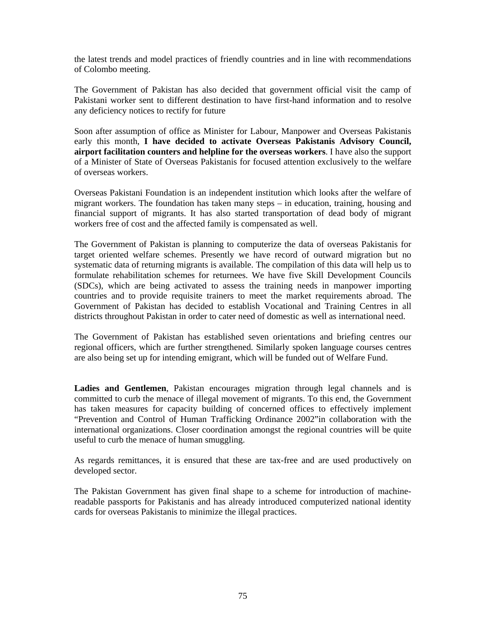the latest trends and model practices of friendly countries and in line with recommendations of Colombo meeting.

The Government of Pakistan has also decided that government official visit the camp of Pakistani worker sent to different destination to have first-hand information and to resolve any deficiency notices to rectify for future

Soon after assumption of office as Minister for Labour, Manpower and Overseas Pakistanis early this month, **I have decided to activate Overseas Pakistanis Advisory Council, airport facilitation counters and helpline for the overseas workers**. I have also the support of a Minister of State of Overseas Pakistanis for focused attention exclusively to the welfare of overseas workers.

Overseas Pakistani Foundation is an independent institution which looks after the welfare of migrant workers. The foundation has taken many steps – in education, training, housing and financial support of migrants. It has also started transportation of dead body of migrant workers free of cost and the affected family is compensated as well.

The Government of Pakistan is planning to computerize the data of overseas Pakistanis for target oriented welfare schemes. Presently we have record of outward migration but no systematic data of returning migrants is available. The compilation of this data will help us to formulate rehabilitation schemes for returnees. We have five Skill Development Councils (SDCs), which are being activated to assess the training needs in manpower importing countries and to provide requisite trainers to meet the market requirements abroad. The Government of Pakistan has decided to establish Vocational and Training Centres in all districts throughout Pakistan in order to cater need of domestic as well as international need.

The Government of Pakistan has established seven orientations and briefing centres our regional officers, which are further strengthened. Similarly spoken language courses centres are also being set up for intending emigrant, which will be funded out of Welfare Fund.

**Ladies and Gentlemen**, Pakistan encourages migration through legal channels and is committed to curb the menace of illegal movement of migrants. To this end, the Government has taken measures for capacity building of concerned offices to effectively implement "Prevention and Control of Human Trafficking Ordinance 2002"in collaboration with the international organizations. Closer coordination amongst the regional countries will be quite useful to curb the menace of human smuggling.

As regards remittances, it is ensured that these are tax-free and are used productively on developed sector.

The Pakistan Government has given final shape to a scheme for introduction of machinereadable passports for Pakistanis and has already introduced computerized national identity cards for overseas Pakistanis to minimize the illegal practices.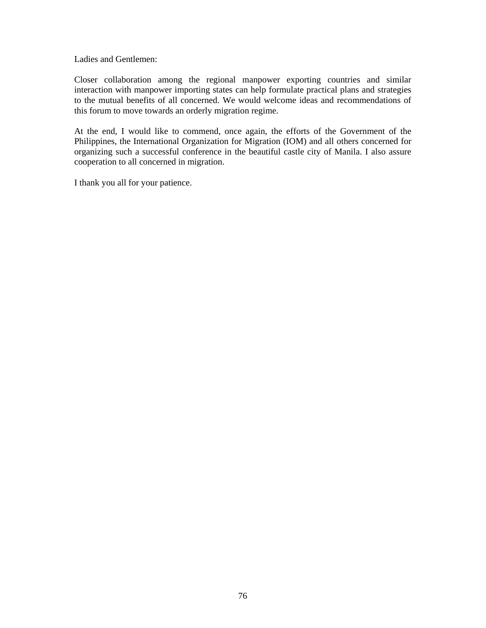Ladies and Gentlemen:

Closer collaboration among the regional manpower exporting countries and similar interaction with manpower importing states can help formulate practical plans and strategies to the mutual benefits of all concerned. We would welcome ideas and recommendations of this forum to move towards an orderly migration regime.

At the end, I would like to commend, once again, the efforts of the Government of the Philippines, the International Organization for Migration (IOM) and all others concerned for organizing such a successful conference in the beautiful castle city of Manila. I also assure cooperation to all concerned in migration.

I thank you all for your patience.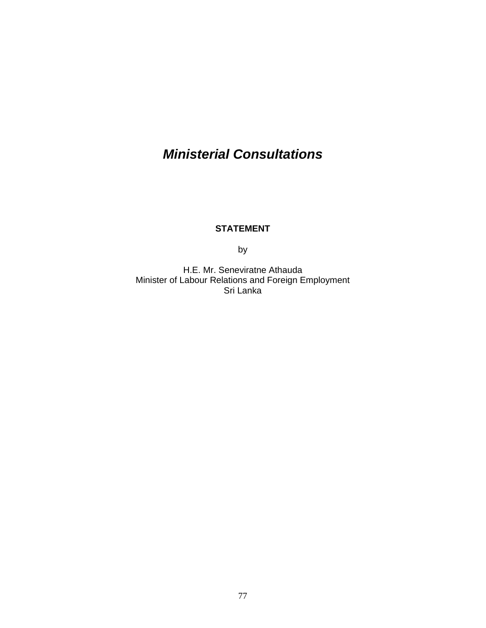# *Ministerial Consultations*

### **STATEMENT**

by

H.E. Mr. Seneviratne Athauda Minister of Labour Relations and Foreign Employment Sri Lanka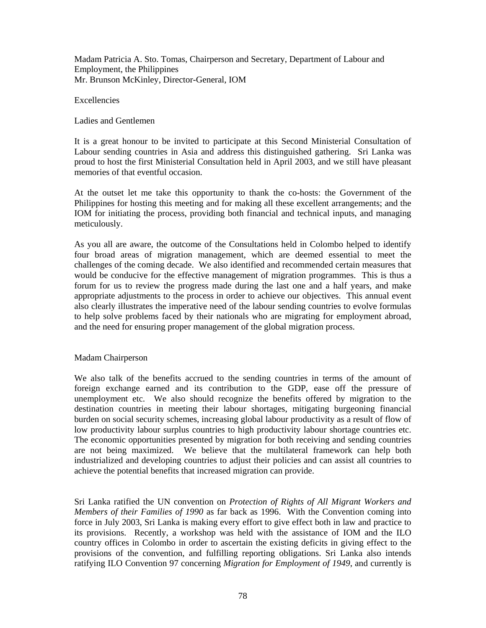Madam Patricia A. Sto. Tomas, Chairperson and Secretary, Department of Labour and Employment, the Philippines Mr. Brunson McKinley, Director-General, IOM

Excellencies

Ladies and Gentlemen

It is a great honour to be invited to participate at this Second Ministerial Consultation of Labour sending countries in Asia and address this distinguished gathering. Sri Lanka was proud to host the first Ministerial Consultation held in April 2003, and we still have pleasant memories of that eventful occasion.

At the outset let me take this opportunity to thank the co-hosts: the Government of the Philippines for hosting this meeting and for making all these excellent arrangements; and the IOM for initiating the process, providing both financial and technical inputs, and managing meticulously.

As you all are aware, the outcome of the Consultations held in Colombo helped to identify four broad areas of migration management, which are deemed essential to meet the challenges of the coming decade. We also identified and recommended certain measures that would be conducive for the effective management of migration programmes. This is thus a forum for us to review the progress made during the last one and a half years, and make appropriate adjustments to the process in order to achieve our objectives. This annual event also clearly illustrates the imperative need of the labour sending countries to evolve formulas to help solve problems faced by their nationals who are migrating for employment abroad, and the need for ensuring proper management of the global migration process.

#### Madam Chairperson

We also talk of the benefits accrued to the sending countries in terms of the amount of foreign exchange earned and its contribution to the GDP, ease off the pressure of unemployment etc. We also should recognize the benefits offered by migration to the destination countries in meeting their labour shortages, mitigating burgeoning financial burden on social security schemes, increasing global labour productivity as a result of flow of low productivity labour surplus countries to high productivity labour shortage countries etc. The economic opportunities presented by migration for both receiving and sending countries are not being maximized. We believe that the multilateral framework can help both industrialized and developing countries to adjust their policies and can assist all countries to achieve the potential benefits that increased migration can provide.

Sri Lanka ratified the UN convention on *Protection of Rights of All Migrant Workers and Members of their Families of 1990* as far back as 1996. With the Convention coming into force in July 2003, Sri Lanka is making every effort to give effect both in law and practice to its provisions. Recently, a workshop was held with the assistance of IOM and the ILO country offices in Colombo in order to ascertain the existing deficits in giving effect to the provisions of the convention, and fulfilling reporting obligations. Sri Lanka also intends ratifying ILO Convention 97 concerning *Migration for Employment of 1949*, and currently is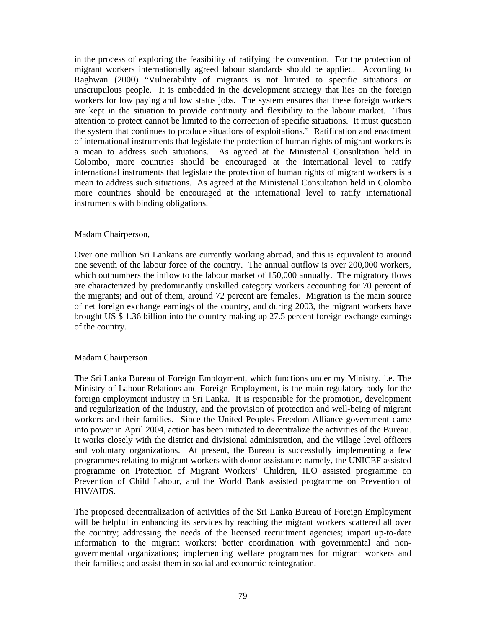in the process of exploring the feasibility of ratifying the convention. For the protection of migrant workers internationally agreed labour standards should be applied. According to Raghwan (2000) "Vulnerability of migrants is not limited to specific situations or unscrupulous people. It is embedded in the development strategy that lies on the foreign workers for low paying and low status jobs. The system ensures that these foreign workers are kept in the situation to provide continuity and flexibility to the labour market. Thus attention to protect cannot be limited to the correction of specific situations. It must question the system that continues to produce situations of exploitations." Ratification and enactment of international instruments that legislate the protection of human rights of migrant workers is a mean to address such situations. As agreed at the Ministerial Consultation held in Colombo, more countries should be encouraged at the international level to ratify international instruments that legislate the protection of human rights of migrant workers is a mean to address such situations. As agreed at the Ministerial Consultation held in Colombo more countries should be encouraged at the international level to ratify international instruments with binding obligations.

#### Madam Chairperson,

Over one million Sri Lankans are currently working abroad, and this is equivalent to around one seventh of the labour force of the country. The annual outflow is over 200,000 workers, which outnumbers the inflow to the labour market of 150,000 annually. The migratory flows are characterized by predominantly unskilled category workers accounting for 70 percent of the migrants; and out of them, around 72 percent are females. Migration is the main source of net foreign exchange earnings of the country, and during 2003, the migrant workers have brought US \$ 1.36 billion into the country making up 27.5 percent foreign exchange earnings of the country.

#### Madam Chairperson

The Sri Lanka Bureau of Foreign Employment, which functions under my Ministry, i.e. The Ministry of Labour Relations and Foreign Employment, is the main regulatory body for the foreign employment industry in Sri Lanka. It is responsible for the promotion, development and regularization of the industry, and the provision of protection and well-being of migrant workers and their families. Since the United Peoples Freedom Alliance government came into power in April 2004, action has been initiated to decentralize the activities of the Bureau. It works closely with the district and divisional administration, and the village level officers and voluntary organizations. At present, the Bureau is successfully implementing a few programmes relating to migrant workers with donor assistance: namely, the UNICEF assisted programme on Protection of Migrant Workers' Children, ILO assisted programme on Prevention of Child Labour, and the World Bank assisted programme on Prevention of HIV/AIDS.

The proposed decentralization of activities of the Sri Lanka Bureau of Foreign Employment will be helpful in enhancing its services by reaching the migrant workers scattered all over the country; addressing the needs of the licensed recruitment agencies; impart up-to-date information to the migrant workers; better coordination with governmental and nongovernmental organizations; implementing welfare programmes for migrant workers and their families; and assist them in social and economic reintegration.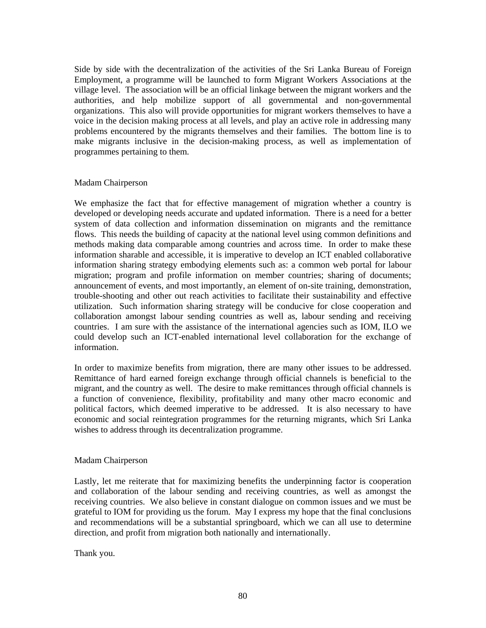Side by side with the decentralization of the activities of the Sri Lanka Bureau of Foreign Employment, a programme will be launched to form Migrant Workers Associations at the village level. The association will be an official linkage between the migrant workers and the authorities, and help mobilize support of all governmental and non-governmental organizations. This also will provide opportunities for migrant workers themselves to have a voice in the decision making process at all levels, and play an active role in addressing many problems encountered by the migrants themselves and their families. The bottom line is to make migrants inclusive in the decision-making process, as well as implementation of programmes pertaining to them.

#### Madam Chairperson

We emphasize the fact that for effective management of migration whether a country is developed or developing needs accurate and updated information. There is a need for a better system of data collection and information dissemination on migrants and the remittance flows. This needs the building of capacity at the national level using common definitions and methods making data comparable among countries and across time. In order to make these information sharable and accessible, it is imperative to develop an ICT enabled collaborative information sharing strategy embodying elements such as: a common web portal for labour migration; program and profile information on member countries; sharing of documents; announcement of events, and most importantly, an element of on-site training, demonstration, trouble-shooting and other out reach activities to facilitate their sustainability and effective utilization. Such information sharing strategy will be conducive for close cooperation and collaboration amongst labour sending countries as well as, labour sending and receiving countries. I am sure with the assistance of the international agencies such as IOM, ILO we could develop such an ICT-enabled international level collaboration for the exchange of information.

In order to maximize benefits from migration, there are many other issues to be addressed. Remittance of hard earned foreign exchange through official channels is beneficial to the migrant, and the country as well. The desire to make remittances through official channels is a function of convenience, flexibility, profitability and many other macro economic and political factors, which deemed imperative to be addressed. It is also necessary to have economic and social reintegration programmes for the returning migrants, which Sri Lanka wishes to address through its decentralization programme.

#### Madam Chairperson

Lastly, let me reiterate that for maximizing benefits the underpinning factor is cooperation and collaboration of the labour sending and receiving countries, as well as amongst the receiving countries. We also believe in constant dialogue on common issues and we must be grateful to IOM for providing us the forum. May I express my hope that the final conclusions and recommendations will be a substantial springboard, which we can all use to determine direction, and profit from migration both nationally and internationally.

Thank you.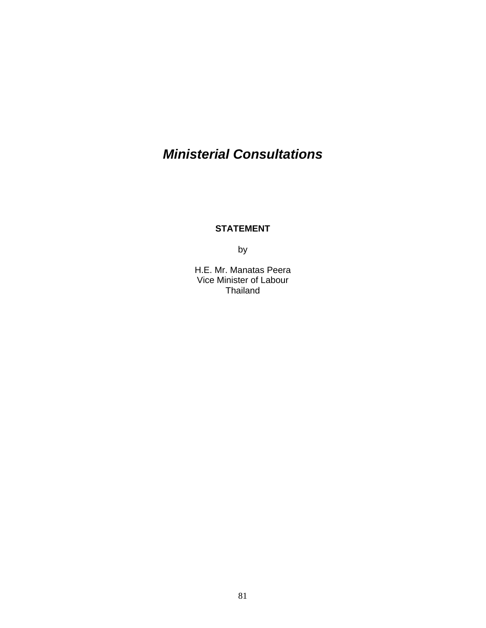# *Ministerial Consultations*

### **STATEMENT**

by

H.E. Mr. Manatas Peera Vice Minister of Labour Thailand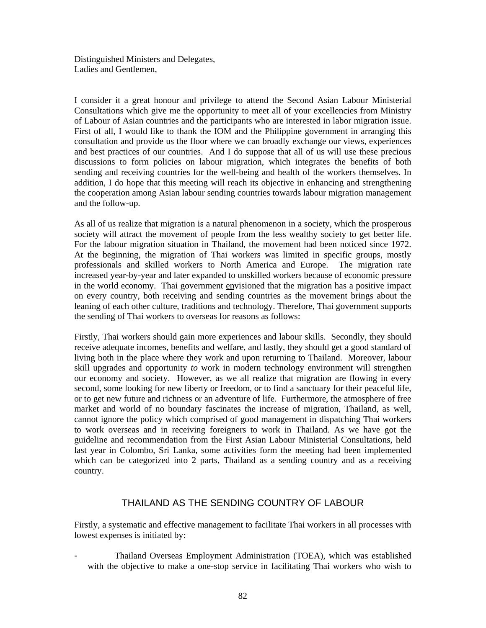Distinguished Ministers and Delegates, Ladies and Gentlemen,

I consider it a great honour and privilege to attend the Second Asian Labour Ministerial Consultations which give me the opportunity to meet all of your excellencies from Ministry of Labour of Asian countries and the participants who are interested in labor migration issue. First of all, I would like to thank the IOM and the Philippine government in arranging this consultation and provide us the floor where we can broadly exchange our views, experiences and best practices of our countries. And I do suppose that all of us will use these precious discussions to form policies on labour migration, which integrates the benefits of both sending and receiving countries for the well-being and health of the workers themselves. In addition, I do hope that this meeting will reach its objective in enhancing and strengthening the cooperation among Asian labour sending countries towards labour migration management and the follow-up.

As all of us realize that migration is a natural phenomenon in a society, which the prosperous society will attract the movement of people from the less wealthy society to get better life. For the labour migration situation in Thailand, the movement had been noticed since 1972. At the beginning, the migration of Thai workers was limited in specific groups, mostly professionals and skilled workers to North America and Europe. The migration rate increased year-by-year and later expanded to unskilled workers because of economic pressure in the world economy. Thai government envisioned that the migration has a positive impact on every country, both receiving and sending countries as the movement brings about the leaning of each other culture, traditions and technology. Therefore, Thai government supports the sending of Thai workers to overseas for reasons as follows:

Firstly, Thai workers should gain more experiences and labour skills. Secondly, they should receive adequate incomes, benefits and welfare, and lastly, they should get a good standard of living both in the place where they work and upon returning to Thailand. Moreover, labour skill upgrades and opportunity *to* work in modern technology environment will strengthen our economy and society. However, as we all realize that migration are flowing in every second, some looking for new liberty or freedom, or to find a sanctuary for their peaceful life, or to get new future and richness or an adventure of life*.* Furthermore, the atmosphere of free market and world of no boundary fascinates the increase of migration, Thailand, as well, cannot ignore the policy which comprised of good management in dispatching Thai workers to work overseas and in receiving foreigners to work in Thailand. As we have got the guideline and recommendation from the First Asian Labour Ministerial Consultations, held last year in Colombo, Sri Lanka, some activities form the meeting had been implemented which can be categorized into 2 parts, Thailand as a sending country and as a receiving country.

### THAILAND AS THE SENDING COUNTRY OF LABOUR

Firstly, a systematic and effective management to facilitate Thai workers in all processes with lowest expenses is initiated by:

- Thailand Overseas Employment Administration (TOEA), which was established with the objective to make a one-stop service in facilitating Thai workers who wish to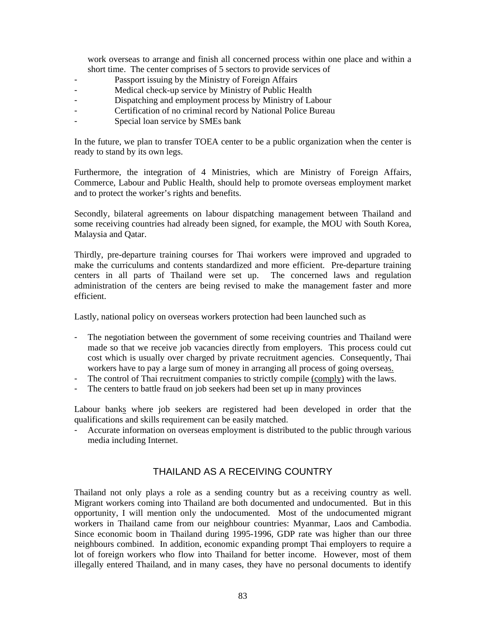work overseas to arrange and finish all concerned process within one place and within a short time. The center comprises of 5 sectors to provide services of

- Passport issuing by the Ministry of Foreign Affairs
- Medical check-up service by Ministry of Public Health
- Dispatching and employment process by Ministry of Labour
- Certification of no criminal record by National Police Bureau
- Special loan service by SMEs bank

In the future, we plan to transfer TOEA center to be a public organization when the center is ready to stand by its own legs.

Furthermore, the integration of 4 Ministries, which are Ministry of Foreign Affairs, Commerce, Labour and Public Health, should help to promote overseas employment market and to protect the worker's rights and benefits.

Secondly, bilateral agreements on labour dispatching management between Thailand and some receiving countries had already been signed, for example, the MOU with South Korea, Malaysia and Qatar.

Thirdly, pre-departure training courses for Thai workers were improved and upgraded to make the curriculums and contents standardized and more efficient. Pre-departure training centers in all parts of Thailand were set up. The concerned laws and regulation administration of the centers are being revised to make the management faster and more efficient.

Lastly, national policy on overseas workers protection had been launched such as

- The negotiation between the government of some receiving countries and Thailand were made so that we receive job vacancies directly from employers. This process could cut cost which is usually over charged by private recruitment agencies. Consequently, Thai workers have to pay a large sum of money in arranging all process of going overseas.
- The control of Thai recruitment companies to strictly compile (comply) with the laws.
- The centers to battle fraud on job seekers had been set up in many provinces

Labour banks where job seekers are registered had been developed in order that the qualifications and skills requirement can be easily matched.

- Accurate information on overseas employment is distributed to the public through various media including Internet.

#### THAILAND AS A RECEIVING COUNTRY

Thailand not only plays a role as a sending country but as a receiving country as well. Migrant workers coming into Thailand are both documented and undocumented. But in this opportunity, I will mention only the undocumented. Most of the undocumented migrant workers in Thailand came from our neighbour countries: Myanmar, Laos and Cambodia. Since economic boom in Thailand during 1995-1996, GDP rate was higher than our three neighbours combined. In addition, economic expanding prompt Thai employers to require a lot of foreign workers who flow into Thailand for better income. However, most of them illegally entered Thailand, and in many cases, they have no personal documents to identify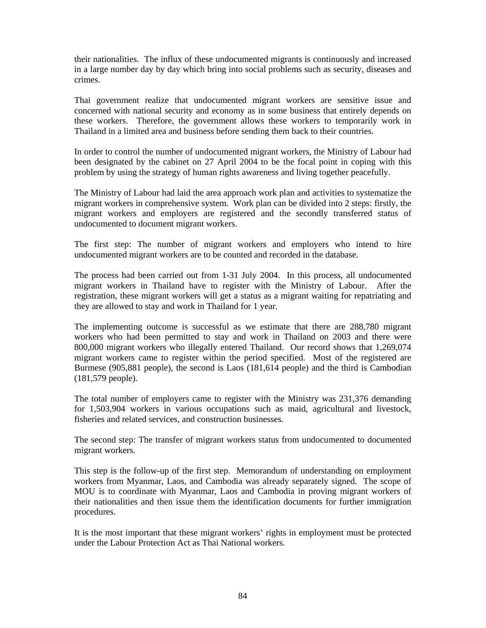their nationalities. The influx of these undocumented migrants is continuously and increased in a large number day by day which bring into social problems such as security, diseases and crimes.

Thai government realize that undocumented migrant workers are sensitive issue and concerned with national security and economy as in some business that entirely depends on these workers. Therefore, the government allows these workers to temporarily work in Thailand in a limited area and business before sending them back to their countries.

In order to control the number of undocumented migrant workers, the Ministry of Labour had been designated by the cabinet on 27 April 2004 to be the focal point in coping with this problem by using the strategy of human rights awareness and living together peacefully.

The Ministry of Labour had laid the area approach work plan and activities to systematize the migrant workers in comprehensive system. Work plan can be divided into 2 steps: firstly, the migrant workers and employers are registered and the secondly transferred status of undocumented to document migrant workers.

The first step: The number of migrant workers and employers who intend to hire undocumented migrant workers are to be counted and recorded in the database.

The process had been carried out from 1-31 July 2004. In this process, all undocumented migrant workers in Thailand have to register with the Ministry of Labour. After the registration, these migrant workers will get a status as a migrant waiting for repatriating and they are allowed to stay and work in Thailand for 1 year.

The implementing outcome is successful as we estimate that there are 288,780 migrant workers who had been permitted to stay and work in Thailand on 2003 and there were 800,000 migrant workers who illegally entered Thailand. Our record shows that 1,269,074 migrant workers came to register within the period specified. Most of the registered are Burmese (905,881 people), the second is Laos (181,614 people) and the third is Cambodian (181,579 people).

The total number of employers came to register with the Ministry was 231,376 demanding for 1,503,904 workers in various occupations such as maid, agricultural and livestock, fisheries and related services, and construction businesses.

The second step: The transfer of migrant workers status from undocumented to documented migrant workers.

This step is the follow-up of the first step. Memorandum of understanding on employment workers from Myanmar, Laos, and Cambodia was already separately signed. The scope of MOU is to coordinate with Myanmar, Laos and Cambodia in proving migrant workers of their nationalities and then issue them the identification documents for further immigration procedures.

It is the most important that these migrant workers' rights in employment must be protected under the Labour Protection Act as Thai National workers.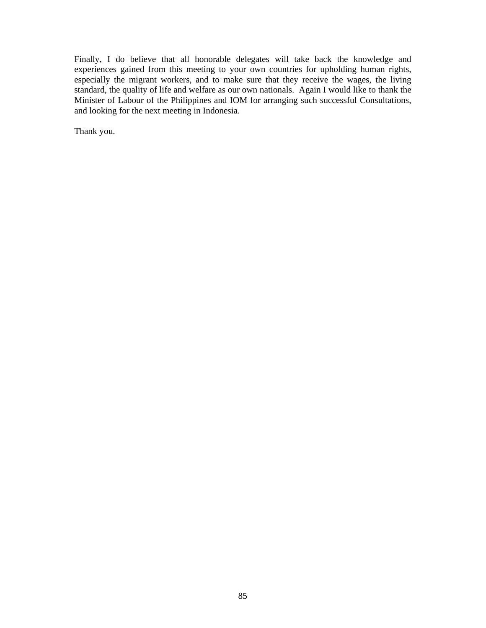Finally, I do believe that all honorable delegates will take back the knowledge and experiences gained from this meeting to your own countries for upholding human rights, especially the migrant workers, and to make sure that they receive the wages, the living standard, the quality of life and welfare as our own nationals. Again I would like to thank the Minister of Labour of the Philippines and IOM for arranging such successful Consultations, and looking for the next meeting in Indonesia.

Thank you.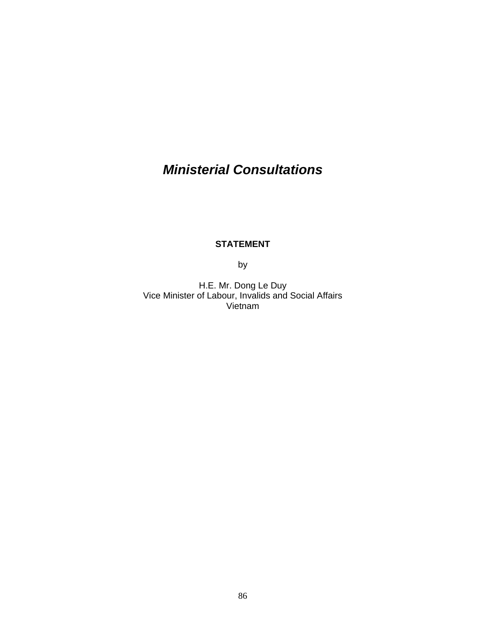# *Ministerial Consultations*

#### **STATEMENT**

by

H.E. Mr. Dong Le Duy Vice Minister of Labour, Invalids and Social Affairs Vietnam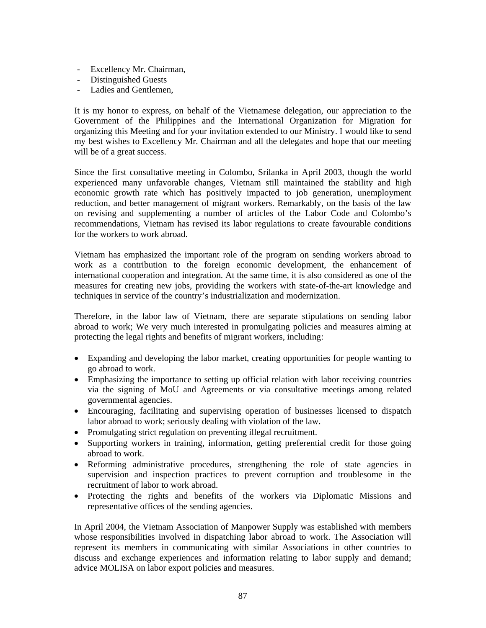- Excellency Mr. Chairman,
- Distinguished Guests
- Ladies and Gentlemen,

It is my honor to express, on behalf of the Vietnamese delegation, our appreciation to the Government of the Philippines and the International Organization for Migration for organizing this Meeting and for your invitation extended to our Ministry. I would like to send my best wishes to Excellency Mr. Chairman and all the delegates and hope that our meeting will be of a great success.

Since the first consultative meeting in Colombo, Srilanka in April 2003, though the world experienced many unfavorable changes, Vietnam still maintained the stability and high economic growth rate which has positively impacted to job generation, unemployment reduction, and better management of migrant workers. Remarkably, on the basis of the law on revising and supplementing a number of articles of the Labor Code and Colombo's recommendations, Vietnam has revised its labor regulations to create favourable conditions for the workers to work abroad.

Vietnam has emphasized the important role of the program on sending workers abroad to work as a contribution to the foreign economic development, the enhancement of international cooperation and integration. At the same time, it is also considered as one of the measures for creating new jobs, providing the workers with state-of-the-art knowledge and techniques in service of the country's industrialization and modernization.

Therefore, in the labor law of Vietnam, there are separate stipulations on sending labor abroad to work; We very much interested in promulgating policies and measures aiming at protecting the legal rights and benefits of migrant workers, including:

- Expanding and developing the labor market, creating opportunities for people wanting to go abroad to work.
- Emphasizing the importance to setting up official relation with labor receiving countries via the signing of MoU and Agreements or via consultative meetings among related governmental agencies.
- Encouraging, facilitating and supervising operation of businesses licensed to dispatch labor abroad to work; seriously dealing with violation of the law.
- Promulgating strict regulation on preventing illegal recruitment.
- Supporting workers in training, information, getting preferential credit for those going abroad to work.
- Reforming administrative procedures, strengthening the role of state agencies in supervision and inspection practices to prevent corruption and troublesome in the recruitment of labor to work abroad.
- Protecting the rights and benefits of the workers via Diplomatic Missions and representative offices of the sending agencies.

In April 2004, the Vietnam Association of Manpower Supply was established with members whose responsibilities involved in dispatching labor abroad to work. The Association will represent its members in communicating with similar Associations in other countries to discuss and exchange experiences and information relating to labor supply and demand; advice MOLISA on labor export policies and measures.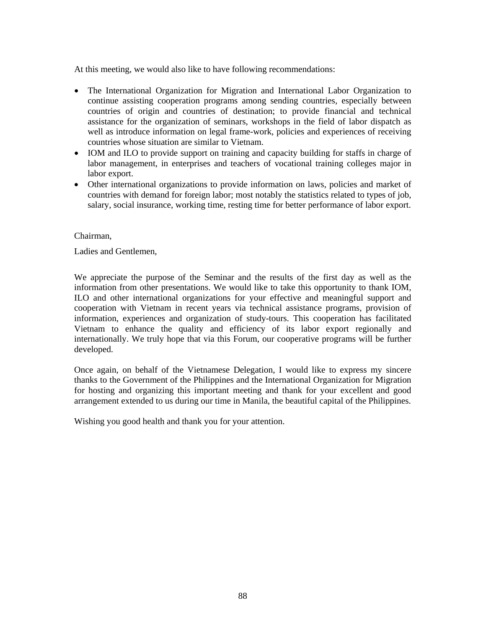At this meeting, we would also like to have following recommendations:

- The International Organization for Migration and International Labor Organization to continue assisting cooperation programs among sending countries, especially between countries of origin and countries of destination; to provide financial and technical assistance for the organization of seminars, workshops in the field of labor dispatch as well as introduce information on legal frame-work, policies and experiences of receiving countries whose situation are similar to Vietnam.
- IOM and ILO to provide support on training and capacity building for staffs in charge of labor management, in enterprises and teachers of vocational training colleges major in labor export.
- Other international organizations to provide information on laws, policies and market of countries with demand for foreign labor; most notably the statistics related to types of job, salary, social insurance, working time, resting time for better performance of labor export.

Chairman,

Ladies and Gentlemen,

We appreciate the purpose of the Seminar and the results of the first day as well as the information from other presentations. We would like to take this opportunity to thank IOM, ILO and other international organizations for your effective and meaningful support and cooperation with Vietnam in recent years via technical assistance programs, provision of information, experiences and organization of study-tours. This cooperation has facilitated Vietnam to enhance the quality and efficiency of its labor export regionally and internationally. We truly hope that via this Forum, our cooperative programs will be further developed.

Once again, on behalf of the Vietnamese Delegation, I would like to express my sincere thanks to the Government of the Philippines and the International Organization for Migration for hosting and organizing this important meeting and thank for your excellent and good arrangement extended to us during our time in Manila, the beautiful capital of the Philippines.

Wishing you good health and thank you for your attention.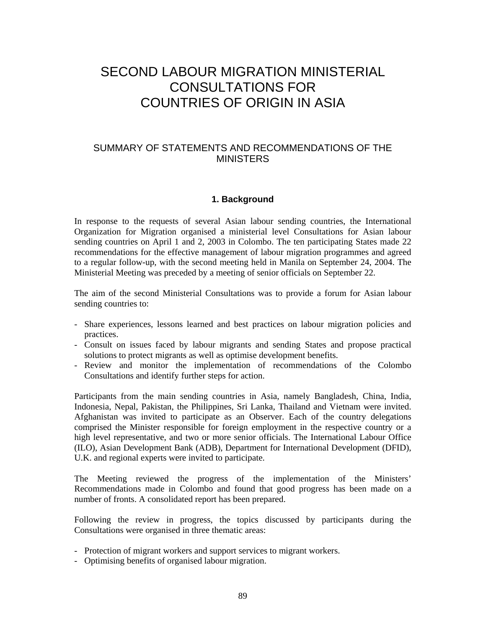## SECOND LABOUR MIGRATION MINISTERIAL CONSULTATIONS FOR COUNTRIES OF ORIGIN IN ASIA

#### SUMMARY OF STATEMENTS AND RECOMMENDATIONS OF THE **MINISTERS**

#### **1. Background**

In response to the requests of several Asian labour sending countries, the International Organization for Migration organised a ministerial level Consultations for Asian labour sending countries on April 1 and 2, 2003 in Colombo. The ten participating States made 22 recommendations for the effective management of labour migration programmes and agreed to a regular follow-up, with the second meeting held in Manila on September 24, 2004. The Ministerial Meeting was preceded by a meeting of senior officials on September 22.

The aim of the second Ministerial Consultations was to provide a forum for Asian labour sending countries to:

- Share experiences, lessons learned and best practices on labour migration policies and practices.
- Consult on issues faced by labour migrants and sending States and propose practical solutions to protect migrants as well as optimise development benefits.
- Review and monitor the implementation of recommendations of the Colombo Consultations and identify further steps for action.

Participants from the main sending countries in Asia, namely Bangladesh, China, India, Indonesia, Nepal, Pakistan, the Philippines, Sri Lanka, Thailand and Vietnam were invited. Afghanistan was invited to participate as an Observer. Each of the country delegations comprised the Minister responsible for foreign employment in the respective country or a high level representative, and two or more senior officials. The International Labour Office (ILO), Asian Development Bank (ADB), Department for International Development (DFID), U.K. and regional experts were invited to participate.

The Meeting reviewed the progress of the implementation of the Ministers' Recommendations made in Colombo and found that good progress has been made on a number of fronts. A consolidated report has been prepared.

Following the review in progress, the topics discussed by participants during the Consultations were organised in three thematic areas:

- Protection of migrant workers and support services to migrant workers.
- Optimising benefits of organised labour migration.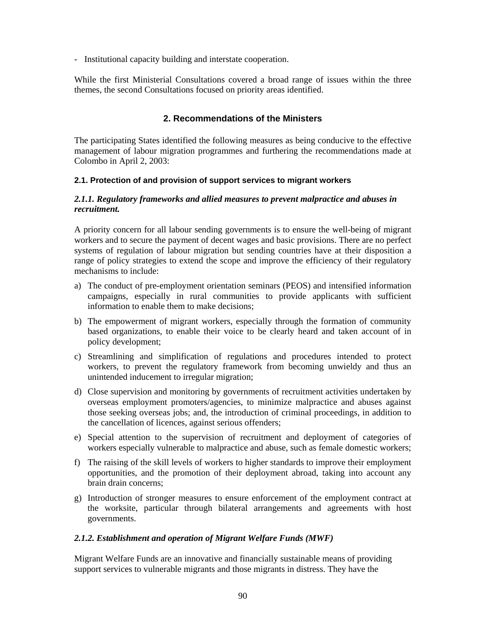- Institutional capacity building and interstate cooperation.

While the first Ministerial Consultations covered a broad range of issues within the three themes, the second Consultations focused on priority areas identified.

#### **2. Recommendations of the Ministers**

The participating States identified the following measures as being conducive to the effective management of labour migration programmes and furthering the recommendations made at Colombo in April 2, 2003:

#### **2.1. Protection of and provision of support services to migrant workers**

#### *2.1.1. Regulatory frameworks and allied measures to prevent malpractice and abuses in recruitment.*

A priority concern for all labour sending governments is to ensure the well-being of migrant workers and to secure the payment of decent wages and basic provisions. There are no perfect systems of regulation of labour migration but sending countries have at their disposition a range of policy strategies to extend the scope and improve the efficiency of their regulatory mechanisms to include:

- a) The conduct of pre-employment orientation seminars (PEOS) and intensified information campaigns, especially in rural communities to provide applicants with sufficient information to enable them to make decisions;
- b) The empowerment of migrant workers, especially through the formation of community based organizations, to enable their voice to be clearly heard and taken account of in policy development;
- c) Streamlining and simplification of regulations and procedures intended to protect workers, to prevent the regulatory framework from becoming unwieldy and thus an unintended inducement to irregular migration;
- d) Close supervision and monitoring by governments of recruitment activities undertaken by overseas employment promoters/agencies, to minimize malpractice and abuses against those seeking overseas jobs; and, the introduction of criminal proceedings, in addition to the cancellation of licences, against serious offenders;
- e) Special attention to the supervision of recruitment and deployment of categories of workers especially vulnerable to malpractice and abuse, such as female domestic workers;
- f) The raising of the skill levels of workers to higher standards to improve their employment opportunities, and the promotion of their deployment abroad, taking into account any brain drain concerns;
- g) Introduction of stronger measures to ensure enforcement of the employment contract at the worksite, particular through bilateral arrangements and agreements with host governments.

#### *2.1.2. Establishment and operation of Migrant Welfare Funds (MWF)*

Migrant Welfare Funds are an innovative and financially sustainable means of providing support services to vulnerable migrants and those migrants in distress. They have the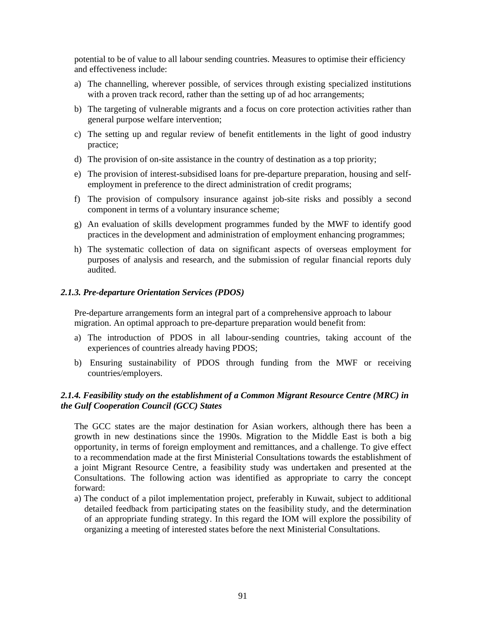potential to be of value to all labour sending countries. Measures to optimise their efficiency and effectiveness include:

- a) The channelling, wherever possible, of services through existing specialized institutions with a proven track record, rather than the setting up of ad hoc arrangements;
- b) The targeting of vulnerable migrants and a focus on core protection activities rather than general purpose welfare intervention;
- c) The setting up and regular review of benefit entitlements in the light of good industry practice;
- d) The provision of on-site assistance in the country of destination as a top priority;
- e) The provision of interest-subsidised loans for pre-departure preparation, housing and selfemployment in preference to the direct administration of credit programs;
- f) The provision of compulsory insurance against job-site risks and possibly a second component in terms of a voluntary insurance scheme;
- g) An evaluation of skills development programmes funded by the MWF to identify good practices in the development and administration of employment enhancing programmes;
- h) The systematic collection of data on significant aspects of overseas employment for purposes of analysis and research, and the submission of regular financial reports duly audited.

#### *2.1.3. Pre-departure Orientation Services (PDOS)*

Pre-departure arrangements form an integral part of a comprehensive approach to labour migration. An optimal approach to pre-departure preparation would benefit from:

- a) The introduction of PDOS in all labour-sending countries, taking account of the experiences of countries already having PDOS;
- b) Ensuring sustainability of PDOS through funding from the MWF or receiving countries/employers.

#### *2.1.4. Feasibility study on the establishment of a Common Migrant Resource Centre (MRC) in the Gulf Cooperation Council (GCC) States*

The GCC states are the major destination for Asian workers, although there has been a growth in new destinations since the 1990s. Migration to the Middle East is both a big opportunity, in terms of foreign employment and remittances, and a challenge. To give effect to a recommendation made at the first Ministerial Consultations towards the establishment of a joint Migrant Resource Centre, a feasibility study was undertaken and presented at the Consultations. The following action was identified as appropriate to carry the concept forward:

a) The conduct of a pilot implementation project, preferably in Kuwait, subject to additional detailed feedback from participating states on the feasibility study, and the determination of an appropriate funding strategy. In this regard the IOM will explore the possibility of organizing a meeting of interested states before the next Ministerial Consultations.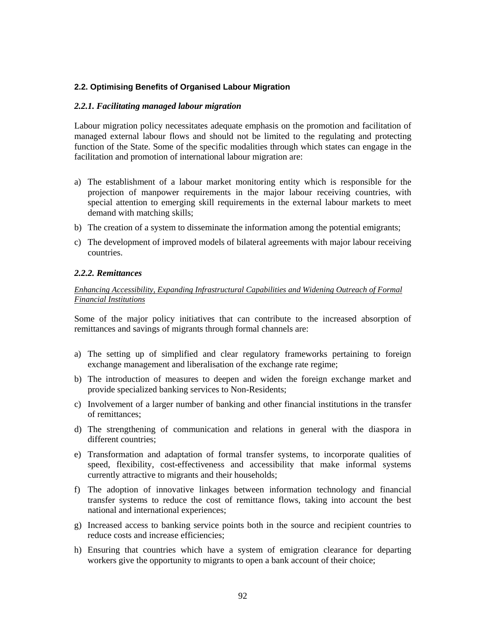#### **2.2. Optimising Benefits of Organised Labour Migration**

#### *2.2.1. Facilitating managed labour migration*

Labour migration policy necessitates adequate emphasis on the promotion and facilitation of managed external labour flows and should not be limited to the regulating and protecting function of the State. Some of the specific modalities through which states can engage in the facilitation and promotion of international labour migration are:

- a) The establishment of a labour market monitoring entity which is responsible for the projection of manpower requirements in the major labour receiving countries, with special attention to emerging skill requirements in the external labour markets to meet demand with matching skills;
- b) The creation of a system to disseminate the information among the potential emigrants;
- c) The development of improved models of bilateral agreements with major labour receiving countries.

#### *2.2.2. Remittances*

#### *Enhancing Accessibility, Expanding Infrastructural Capabilities and Widening Outreach of Formal Financial Institutions*

Some of the major policy initiatives that can contribute to the increased absorption of remittances and savings of migrants through formal channels are:

- a) The setting up of simplified and clear regulatory frameworks pertaining to foreign exchange management and liberalisation of the exchange rate regime;
- b) The introduction of measures to deepen and widen the foreign exchange market and provide specialized banking services to Non-Residents;
- c) Involvement of a larger number of banking and other financial institutions in the transfer of remittances;
- d) The strengthening of communication and relations in general with the diaspora in different countries;
- e) Transformation and adaptation of formal transfer systems, to incorporate qualities of speed, flexibility, cost-effectiveness and accessibility that make informal systems currently attractive to migrants and their households;
- f) The adoption of innovative linkages between information technology and financial transfer systems to reduce the cost of remittance flows, taking into account the best national and international experiences;
- g) Increased access to banking service points both in the source and recipient countries to reduce costs and increase efficiencies;
- h) Ensuring that countries which have a system of emigration clearance for departing workers give the opportunity to migrants to open a bank account of their choice;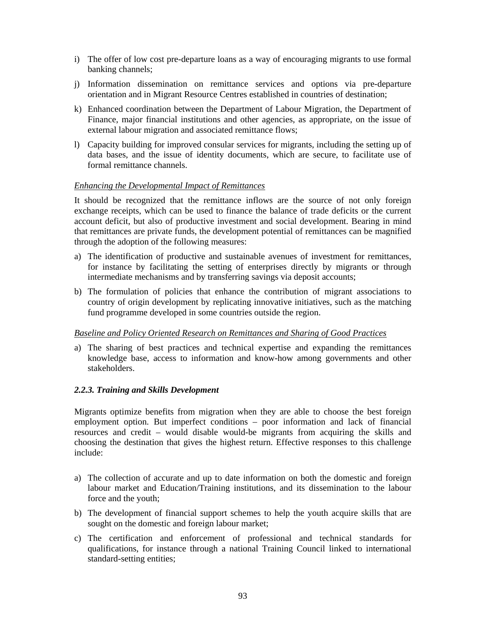- i) The offer of low cost pre-departure loans as a way of encouraging migrants to use formal banking channels;
- j) Information dissemination on remittance services and options via pre-departure orientation and in Migrant Resource Centres established in countries of destination;
- k) Enhanced coordination between the Department of Labour Migration, the Department of Finance, major financial institutions and other agencies, as appropriate, on the issue of external labour migration and associated remittance flows;
- l) Capacity building for improved consular services for migrants, including the setting up of data bases, and the issue of identity documents, which are secure, to facilitate use of formal remittance channels.

#### *Enhancing the Developmental Impact of Remittances*

It should be recognized that the remittance inflows are the source of not only foreign exchange receipts, which can be used to finance the balance of trade deficits or the current account deficit, but also of productive investment and social development. Bearing in mind that remittances are private funds, the development potential of remittances can be magnified through the adoption of the following measures:

- a) The identification of productive and sustainable avenues of investment for remittances, for instance by facilitating the setting of enterprises directly by migrants or through intermediate mechanisms and by transferring savings via deposit accounts;
- b) The formulation of policies that enhance the contribution of migrant associations to country of origin development by replicating innovative initiatives, such as the matching fund programme developed in some countries outside the region.

#### *Baseline and Policy Oriented Research on Remittances and Sharing of Good Practices*

a) The sharing of best practices and technical expertise and expanding the remittances knowledge base, access to information and know-how among governments and other stakeholders.

#### *2.2.3. Training and Skills Development*

Migrants optimize benefits from migration when they are able to choose the best foreign employment option. But imperfect conditions – poor information and lack of financial resources and credit – would disable would-be migrants from acquiring the skills and choosing the destination that gives the highest return. Effective responses to this challenge include:

- a) The collection of accurate and up to date information on both the domestic and foreign labour market and Education/Training institutions, and its dissemination to the labour force and the youth;
- b) The development of financial support schemes to help the youth acquire skills that are sought on the domestic and foreign labour market;
- c) The certification and enforcement of professional and technical standards for qualifications, for instance through a national Training Council linked to international standard-setting entities;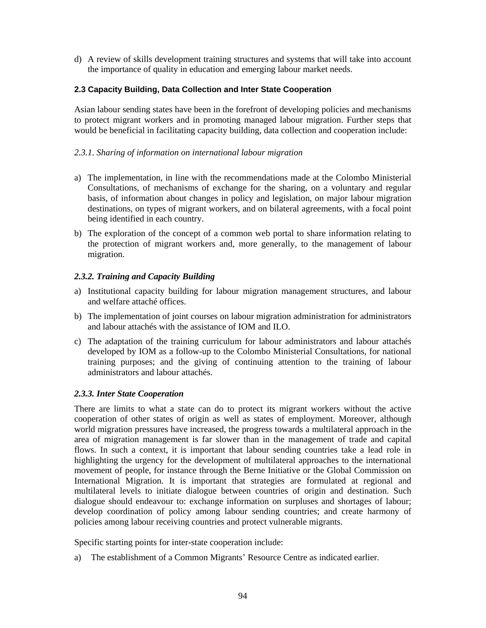d) A review of skills development training structures and systems that will take into account the importance of quality in education and emerging labour market needs.

#### **2.3 Capacity Building, Data Collection and Inter State Cooperation**

Asian labour sending states have been in the forefront of developing policies and mechanisms to protect migrant workers and in promoting managed labour migration. Further steps that would be beneficial in facilitating capacity building, data collection and cooperation include:

#### *2.3.1. Sharing of information on international labour migration*

- a) The implementation, in line with the recommendations made at the Colombo Ministerial Consultations, of mechanisms of exchange for the sharing, on a voluntary and regular basis, of information about changes in policy and legislation, on major labour migration destinations, on types of migrant workers, and on bilateral agreements, with a focal point being identified in each country.
- b) The exploration of the concept of a common web portal to share information relating to the protection of migrant workers and, more generally, to the management of labour migration.

#### *2.3.2. Training and Capacity Building*

- a) Institutional capacity building for labour migration management structures, and labour and welfare attaché offices.
- b) The implementation of joint courses on labour migration administration for administrators and labour attachés with the assistance of IOM and ILO.
- c) The adaptation of the training curriculum for labour administrators and labour attachés developed by IOM as a follow-up to the Colombo Ministerial Consultations, for national training purposes; and the giving of continuing attention to the training of labour administrators and labour attachés.

#### *2.3.3. Inter State Cooperation*

There are limits to what a state can do to protect its migrant workers without the active cooperation of other states of origin as well as states of employment. Moreover, although world migration pressures have increased, the progress towards a multilateral approach in the area of migration management is far slower than in the management of trade and capital flows. In such a context, it is important that labour sending countries take a lead role in highlighting the urgency for the development of multilateral approaches to the international movement of people, for instance through the Berne Initiative or the Global Commission on International Migration. It is important that strategies are formulated at regional and multilateral levels to initiate dialogue between countries of origin and destination. Such dialogue should endeavour to: exchange information on surpluses and shortages of labour; develop coordination of policy among labour sending countries; and create harmony of policies among labour receiving countries and protect vulnerable migrants.

Specific starting points for inter-state cooperation include:

a) The establishment of a Common Migrants' Resource Centre as indicated earlier.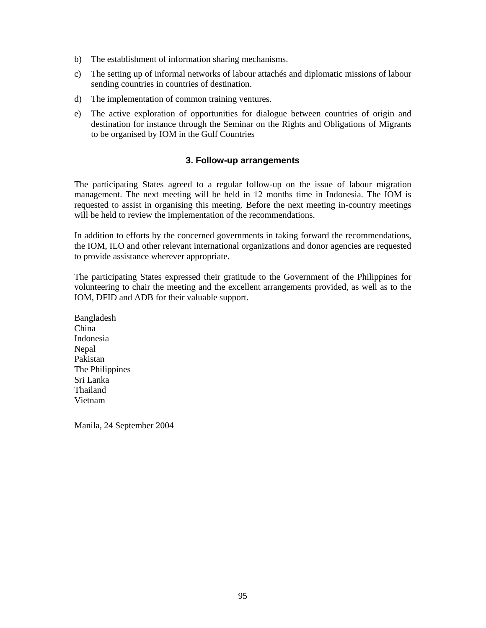- b) The establishment of information sharing mechanisms.
- c) The setting up of informal networks of labour attachés and diplomatic missions of labour sending countries in countries of destination.
- d) The implementation of common training ventures.
- e) The active exploration of opportunities for dialogue between countries of origin and destination for instance through the Seminar on the Rights and Obligations of Migrants to be organised by IOM in the Gulf Countries

#### **3. Follow-up arrangements**

The participating States agreed to a regular follow-up on the issue of labour migration management. The next meeting will be held in 12 months time in Indonesia. The IOM is requested to assist in organising this meeting. Before the next meeting in-country meetings will be held to review the implementation of the recommendations.

In addition to efforts by the concerned governments in taking forward the recommendations, the IOM, ILO and other relevant international organizations and donor agencies are requested to provide assistance wherever appropriate.

The participating States expressed their gratitude to the Government of the Philippines for volunteering to chair the meeting and the excellent arrangements provided, as well as to the IOM, DFID and ADB for their valuable support.

Bangladesh China Indonesia Nepal Pakistan The Philippines Sri Lanka Thailand Vietnam

Manila, 24 September 2004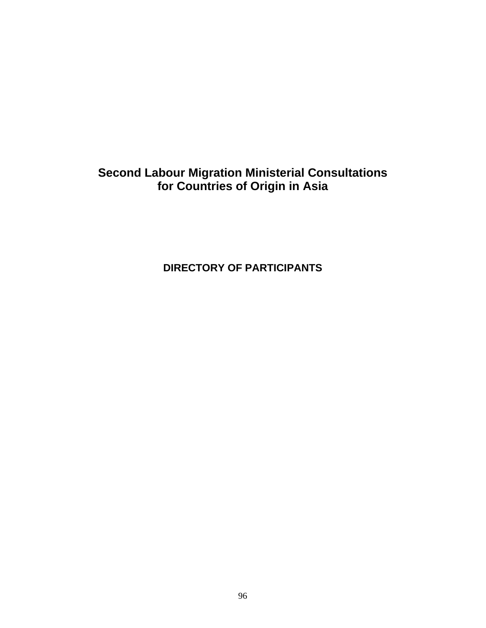## **Second Labour Migration Ministerial Consultations for Countries of Origin in Asia**

**DIRECTORY OF PARTICIPANTS**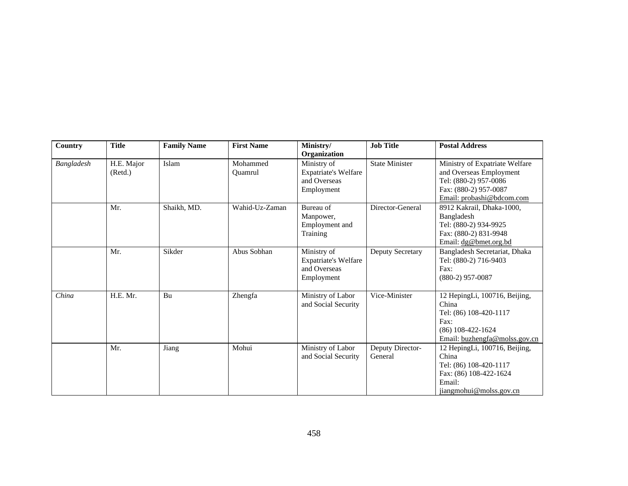| Country    | <b>Title</b>          | <b>Family Name</b> | <b>First Name</b>   | Ministry/<br>Organization                                                | <b>Job Title</b>            | <b>Postal Address</b>                                                                                                                    |
|------------|-----------------------|--------------------|---------------------|--------------------------------------------------------------------------|-----------------------------|------------------------------------------------------------------------------------------------------------------------------------------|
| Bangladesh | H.E. Major<br>(Retd.) | Islam              | Mohammed<br>Quamrul | Ministry of<br><b>Expatriate's Welfare</b><br>and Overseas<br>Employment | <b>State Minister</b>       | Ministry of Expatriate Welfare<br>and Overseas Employment<br>Tel: (880-2) 957-0086<br>Fax: (880-2) 957-0087<br>Email: probashi@bdcom.com |
|            | Mr.                   | Shaikh, MD.        | Wahid-Uz-Zaman      | Bureau of<br>Manpower,<br>Employment and<br>Training                     | Director-General            | 8912 Kakrail, Dhaka-1000,<br>Bangladesh<br>Tel: (880-2) 934-9925<br>Fax: (880-2) 831-9948<br>Email: dg@bmet.org.bd                       |
|            | Mr.                   | Sikder             | Abus Sobhan         | Ministry of<br><b>Expatriate's Welfare</b><br>and Overseas<br>Employment | Deputy Secretary            | Bangladesh Secretariat, Dhaka<br>Tel: (880-2) 716-9403<br>Fax:<br>$(880-2)$ 957-0087                                                     |
| China      | H.E. Mr.              | Bu                 | Zhengfa             | Ministry of Labor<br>and Social Security                                 | Vice-Minister               | 12 HepingLi, 100716, Beijing,<br>China<br>Tel: (86) 108-420-1117<br>Fax:<br>$(86)$ 108-422-1624<br>Email: buzhengfa@molss.gov.cn         |
|            | Mr.                   | Jiang              | Mohui               | Ministry of Labor<br>and Social Security                                 | Deputy Director-<br>General | 12 HepingLi, 100716, Beijing,<br>China<br>Tel: (86) 108-420-1117<br>Fax: (86) 108-422-1624<br>Email:<br>jiangmohui@molss.gov.cn          |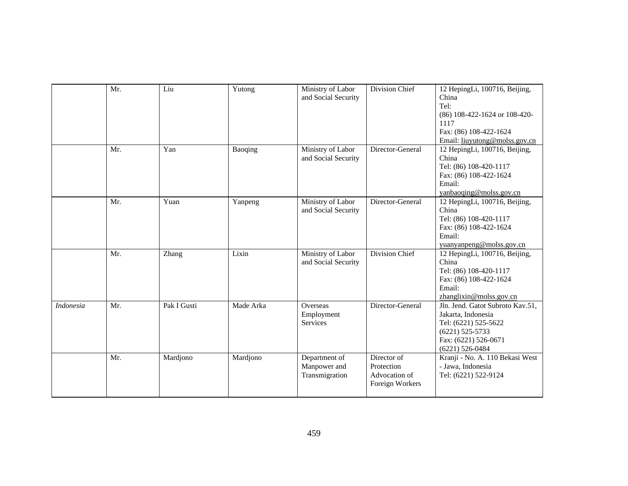|                  | Mr. | Liu         | Yutong    | Ministry of Labor<br>and Social Security        | Division Chief                                                | 12 HepingLi, 100716, Beijing,<br>China<br>Tel:<br>(86) 108-422-1624 or 108-420-<br>1117<br>Fax: (86) 108-422-1624<br>Email: liuyutong@molss.gov.cn |
|------------------|-----|-------------|-----------|-------------------------------------------------|---------------------------------------------------------------|----------------------------------------------------------------------------------------------------------------------------------------------------|
|                  | Mr. | Yan         | Baoqing   | Ministry of Labor<br>and Social Security        | Director-General                                              | 12 HepingLi, 100716, Beijing,<br>China<br>Tel: (86) 108-420-1117<br>Fax: (86) 108-422-1624<br>Email:<br>yanbaoqing@molss.gov.cn                    |
|                  | Mr. | Yuan        | Yanpeng   | Ministry of Labor<br>and Social Security        | Director-General                                              | 12 HepingLi, 100716, Beijing,<br>China<br>Tel: (86) 108-420-1117<br>Fax: (86) 108-422-1624<br>Email:<br>yuanyanpeng@molss.gov.cn                   |
|                  | Mr. | Zhang       | Lixin     | Ministry of Labor<br>and Social Security        | Division Chief                                                | 12 HepingLi, 100716, Beijing,<br>China<br>Tel: (86) 108-420-1117<br>Fax: (86) 108-422-1624<br>Email:<br>zhanglixin@molss.gov.cn                    |
| <b>Indonesia</b> | Mr. | Pak I Gusti | Made Arka | Overseas<br>Employment<br>Services              | Director-General                                              | Jln. Jend. Gatot Subroto Kav.51,<br>Jakarta, Indonesia<br>Tel: (6221) 525-5622<br>$(6221)$ 525-5733<br>Fax: (6221) 526-0671<br>$(6221) 526 - 0484$ |
|                  | Mr. | Mardjono    | Mardjono  | Department of<br>Manpower and<br>Transmigration | Director of<br>Protection<br>Advocation of<br>Foreign Workers | Kranji - No. A. 110 Bekasi West<br>- Jawa, Indonesia<br>Tel: (6221) 522-9124                                                                       |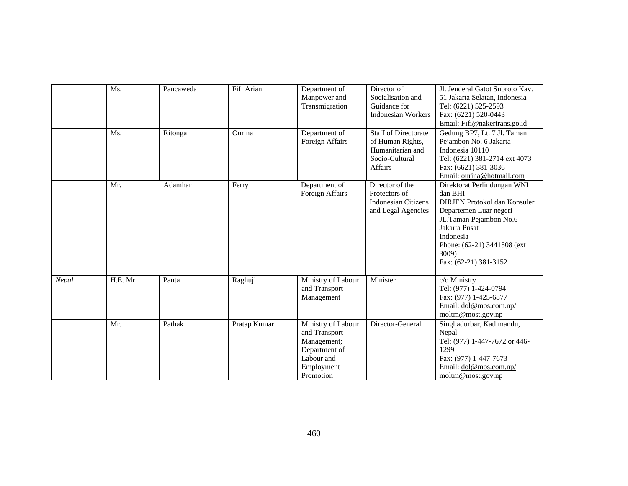|       | Ms.      | Pancaweda | Fifi Ariani  | Department of<br>Manpower and<br>Transmigration                                                              | Director of<br>Socialisation and<br>Guidance for<br><b>Indonesian Workers</b>                           | Jl. Jenderal Gatot Subroto Kav.<br>51 Jakarta Selatan, Indonesia<br>Tel: (6221) 525-2593<br>Fax: (6221) 520-0443<br>Email: Fifi@nakertrans.go.id                                                                          |
|-------|----------|-----------|--------------|--------------------------------------------------------------------------------------------------------------|---------------------------------------------------------------------------------------------------------|---------------------------------------------------------------------------------------------------------------------------------------------------------------------------------------------------------------------------|
|       | Ms.      | Ritonga   | Ourina       | Department of<br>Foreign Affairs                                                                             | <b>Staff of Directorate</b><br>of Human Rights,<br>Humanitarian and<br>Socio-Cultural<br><b>Affairs</b> | Gedung BP7, Lt. 7 Jl. Taman<br>Pejambon No. 6 Jakarta<br>Indonesia 10110<br>Tel: (6221) 381-2714 ext 4073<br>Fax: (6621) 381-3036<br>Email: ourina@hotmail.com                                                            |
|       | Mr.      | Adamhar   | Ferry        | Department of<br>Foreign Affairs                                                                             | Director of the<br>Protectors of<br><b>Indonesian Citizens</b><br>and Legal Agencies                    | Direktorat Perlindungan WNI<br>dan BHI<br>DIRJEN Protokol dan Konsuler<br>Departemen Luar negeri<br>JL.Taman Pejambon No.6<br>Jakarta Pusat<br>Indonesia<br>Phone: (62-21) 3441508 (ext<br>3009)<br>Fax: (62-21) 381-3152 |
| Nepal | H.E. Mr. | Panta     | Raghuji      | Ministry of Labour<br>and Transport<br>Management                                                            | Minister                                                                                                | c/o Ministry<br>Tel: (977) 1-424-0794<br>Fax: (977) 1-425-6877<br>Email: dol@mos.com.np/<br>moltm@most.gov.np                                                                                                             |
|       | Mr.      | Pathak    | Pratap Kumar | Ministry of Labour<br>and Transport<br>Management;<br>Department of<br>Labour and<br>Employment<br>Promotion | Director-General                                                                                        | Singhadurbar, Kathmandu,<br>Nepal<br>Tel: (977) 1-447-7672 or 446-<br>1299<br>Fax: (977) 1-447-7673<br>Email: dol@mos.com.np/<br>moltm@most.gov.np                                                                        |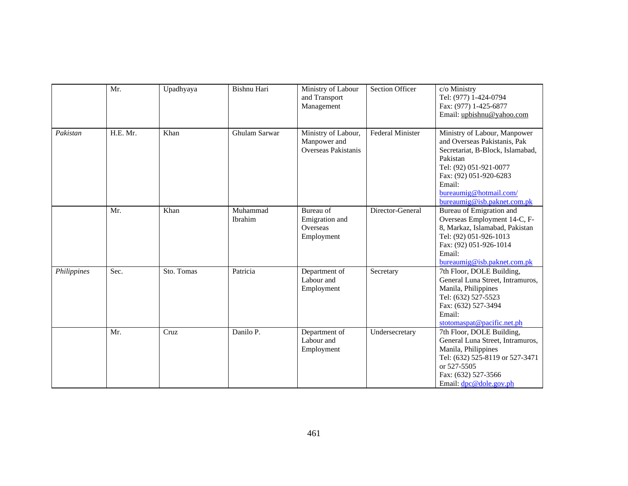|             | Mr.      | Upadhyaya  | Bishnu Hari         | Ministry of Labour<br>and Transport<br>Management                 | <b>Section Officer</b>  | c/o Ministry<br>Tel: (977) 1-424-0794<br>Fax: (977) 1-425-6877<br>Email: upbishnu@yahoo.com                                                                                                                                         |
|-------------|----------|------------|---------------------|-------------------------------------------------------------------|-------------------------|-------------------------------------------------------------------------------------------------------------------------------------------------------------------------------------------------------------------------------------|
| Pakistan    | H.E. Mr. | Khan       | Ghulam Sarwar       | Ministry of Labour,<br>Manpower and<br><b>Overseas Pakistanis</b> | <b>Federal Minister</b> | Ministry of Labour, Manpower<br>and Overseas Pakistanis, Pak<br>Secretariat, B-Block, Islamabad,<br>Pakistan<br>Tel: (92) 051-921-0077<br>Fax: (92) 051-920-6283<br>Email:<br>bureaumig@hotmail.com/<br>bureaumig@isb.paknet.com.pk |
|             | Mr.      | Khan       | Muhammad<br>Ibrahim | Bureau of<br>Emigration and<br>Overseas<br>Employment             | Director-General        | Bureau of Emigration and<br>Overseas Employment 14-C, F-<br>8, Markaz, Islamabad, Pakistan<br>Tel: (92) 051-926-1013<br>Fax: (92) 051-926-1014<br>Email:<br>bureaumig@isb.paknet.com.pk                                             |
| Philippines | Sec.     | Sto. Tomas | Patricia            | Department of<br>Labour and<br>Employment                         | Secretary               | 7th Floor, DOLE Building,<br>General Luna Street, Intramuros,<br>Manila, Philippines<br>Tel: (632) 527-5523<br>Fax: (632) 527-3494<br>Email:<br>stotomaspat@pacific.net.ph                                                          |
|             | Mr.      | Cruz       | Danilo P.           | Department of<br>Labour and<br>Employment                         | Undersecretary          | 7th Floor, DOLE Building,<br>General Luna Street, Intramuros,<br>Manila, Philippines<br>Tel: (632) 525-8119 or 527-3471<br>or 527-5505<br>Fax: (632) 527-3566<br>Email: $dpc@dole.gov.ph$                                           |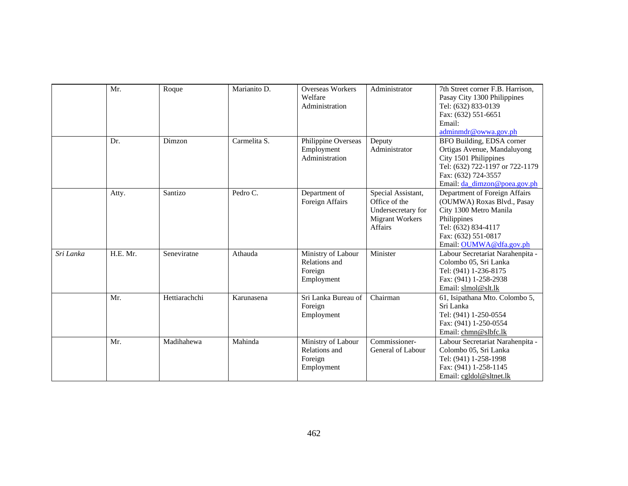|           | Mr.      | Roque         | Marianito D. | <b>Overseas Workers</b><br>Welfare<br>Administration         | Administrator                                                                                  | 7th Street corner F.B. Harrison,<br>Pasay City 1300 Philippines<br>Tel: (632) 833-0139<br>Fax: (632) 551-6651<br>Email:<br>adminmdr@owwa.gov.ph                               |
|-----------|----------|---------------|--------------|--------------------------------------------------------------|------------------------------------------------------------------------------------------------|-------------------------------------------------------------------------------------------------------------------------------------------------------------------------------|
|           | Dr.      | Dimzon        | Carmelita S. | Philippine Overseas<br>Employment<br>Administration          | Deputy<br>Administrator                                                                        | BFO Building, EDSA corner<br>Ortigas Avenue, Mandaluyong<br>City 1501 Philippines<br>Tel: (632) 722-1197 or 722-1179<br>Fax: (632) 724-3557<br>Email: da_dimzon@poea.gov.ph   |
|           | Atty.    | Santizo       | Pedro C.     | Department of<br>Foreign Affairs                             | Special Assistant,<br>Office of the<br>Undersecretary for<br><b>Migrant Workers</b><br>Affairs | Department of Foreign Affairs<br>(OUMWA) Roxas Blvd., Pasay<br>City 1300 Metro Manila<br>Philippines<br>Tel: (632) 834-4117<br>Fax: (632) 551-0817<br>Email: OUMWA@dfa.gov.ph |
| Sri Lanka | H.E. Mr. | Seneviratne   | Athauda      | Ministry of Labour<br>Relations and<br>Foreign<br>Employment | Minister                                                                                       | Labour Secretariat Narahenpita -<br>Colombo 05, Sri Lanka<br>Tel: (941) 1-236-8175<br>Fax: (941) 1-258-2938<br>Email: slmol@slt.lk                                            |
|           | Mr.      | Hettiarachchi | Karunasena   | Sri Lanka Bureau of<br>Foreign<br>Employment                 | Chairman                                                                                       | 61, Isipathana Mto. Colombo 5,<br>Sri Lanka<br>Tel: (941) 1-250-0554<br>Fax: (941) 1-250-0554<br>Email: chmn@slbfc.lk                                                         |
|           | Mr.      | Madihahewa    | Mahinda      | Ministry of Labour<br>Relations and<br>Foreign<br>Employment | Commissioner-<br>General of Labour                                                             | Labour Secretariat Narahenpita -<br>Colombo 05, Sri Lanka<br>Tel: (941) 1-258-1998<br>Fax: (941) 1-258-1145<br>Email: cgldol@sltnet.lk                                        |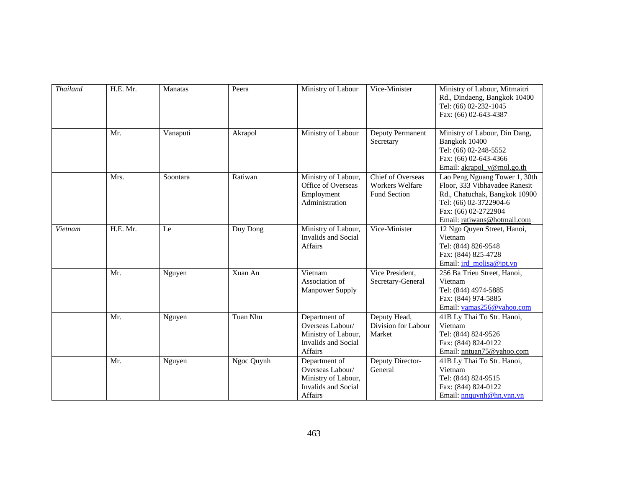| <b>Thailand</b> | H.E. Mr. | <b>Manatas</b> | Peera      | Ministry of Labour                                                                                | Vice-Minister                                                      | Ministry of Labour, Mitmaitri<br>Rd., Dindaeng, Bangkok 10400<br>Tel: (66) 02-232-1045<br>Fax: (66) 02-643-4387                                                                  |
|-----------------|----------|----------------|------------|---------------------------------------------------------------------------------------------------|--------------------------------------------------------------------|----------------------------------------------------------------------------------------------------------------------------------------------------------------------------------|
|                 | Mr.      | Vanaputi       | Akrapol    | Ministry of Labour                                                                                | Deputy Permanent<br>Secretary                                      | Ministry of Labour, Din Dang,<br>Bangkok 10400<br>Tel: (66) 02-248-5552<br>Fax: (66) 02-643-4366<br>Email: akrapol_v@mol.go.th                                                   |
|                 | Mrs.     | Soontara       | Ratiwan    | Ministry of Labour,<br>Office of Overseas<br>Employment<br>Administration                         | Chief of Overseas<br><b>Workers Welfare</b><br><b>Fund Section</b> | Lao Peng Nguang Tower 1, 30th<br>Floor, 333 Vibhavadee Ranesit<br>Rd., Chatuchak, Bangkok 10900<br>Tel: (66) 02-3722904-6<br>Fax: (66) 02-2722904<br>Email: ratiwans@hotmail.com |
| Vietnam         | H.E. Mr. | Le             | Duy Dong   | Ministry of Labour,<br><b>Invalids and Social</b><br>Affairs                                      | Vice-Minister                                                      | 12 Ngo Quyen Street, Hanoi,<br>Vietnam<br>Tel: (844) 826-9548<br>Fax: (844) 825-4728<br>Email: ird_molisa@jpt.vn                                                                 |
|                 | Mr.      | Nguyen         | Xuan An    | Vietnam<br>Association of<br><b>Manpower Supply</b>                                               | Vice President.<br>Secretary-General                               | 256 Ba Trieu Street, Hanoi,<br>Vietnam<br>Tel: (844) 4974-5885<br>Fax: (844) 974-5885<br>Email: vamas256@yahoo.com                                                               |
|                 | Mr.      | Nguyen         | Tuan Nhu   | Department of<br>Overseas Labour/<br>Ministry of Labour,<br><b>Invalids</b> and Social<br>Affairs | Deputy Head,<br>Division for Labour<br>Market                      | 41B Ly Thai To Str. Hanoi,<br>Vietnam<br>Tel: (844) 824-9526<br>Fax: (844) 824-0122<br>Email: nntuan75@yahoo.com                                                                 |
|                 | Mr.      | Nguyen         | Ngoc Quynh | Department of<br>Overseas Labour/<br>Ministry of Labour,<br><b>Invalids and Social</b><br>Affairs | Deputy Director-<br>General                                        | 41B Ly Thai To Str. Hanoi,<br>Vietnam<br>Tel: (844) 824-9515<br>Fax: (844) 824-0122<br>Email: nnguynh@hn.ynn.yn                                                                  |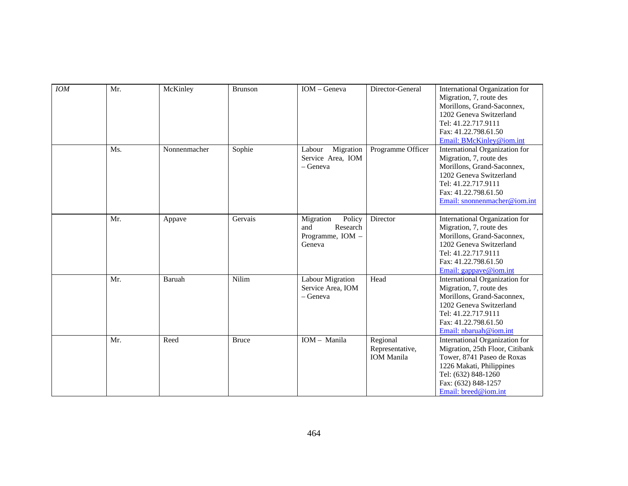| <b>IOM</b> | Mr. | McKinley     | <b>Brunson</b> | IOM - Geneva                                                         | Director-General                                 | International Organization for<br>Migration, 7, route des<br>Morillons, Grand-Saconnex,<br>1202 Geneva Switzerland<br>Tel: 41.22.717.9111<br>Fax: 41.22.798.61.50<br>Email: BMcKinley@iom.int     |
|------------|-----|--------------|----------------|----------------------------------------------------------------------|--------------------------------------------------|---------------------------------------------------------------------------------------------------------------------------------------------------------------------------------------------------|
|            | Ms. | Nonnenmacher | Sophie         | Migration<br>Labour<br>Service Area, IOM<br>$-$ Geneva               | Programme Officer                                | International Organization for<br>Migration, 7, route des<br>Morillons, Grand-Saconnex,<br>1202 Geneva Switzerland<br>Tel: 41.22.717.9111<br>Fax: 41.22.798.61.50<br>Email: snonnenmacher@iom.int |
|            | Mr. | Appave       | Gervais        | Policy<br>Migration<br>Research<br>and<br>Programme, IOM -<br>Geneva | Director                                         | International Organization for<br>Migration, 7, route des<br>Morillons, Grand-Saconnex,<br>1202 Geneva Switzerland<br>Tel: 41.22.717.9111<br>Fax: 41.22.798.61.50<br>Email: gappave@iom.int       |
|            | Mr. | Baruah       | Nilim          | <b>Labour Migration</b><br>Service Area, IOM<br>- Geneva             | Head                                             | International Organization for<br>Migration, 7, route des<br>Morillons, Grand-Saconnex,<br>1202 Geneva Switzerland<br>Tel: 41.22.717.9111<br>Fax: 41.22.798.61.50<br>Email: nbaruah@iom.int       |
|            | Mr. | Reed         | <b>Bruce</b>   | IOM - Manila                                                         | Regional<br>Representative,<br><b>IOM</b> Manila | International Organization for<br>Migration, 25th Floor, Citibank<br>Tower, 8741 Paseo de Roxas<br>1226 Makati, Philippines<br>Tel: (632) 848-1260<br>Fax: (632) 848-1257<br>Email: breed@iom.int |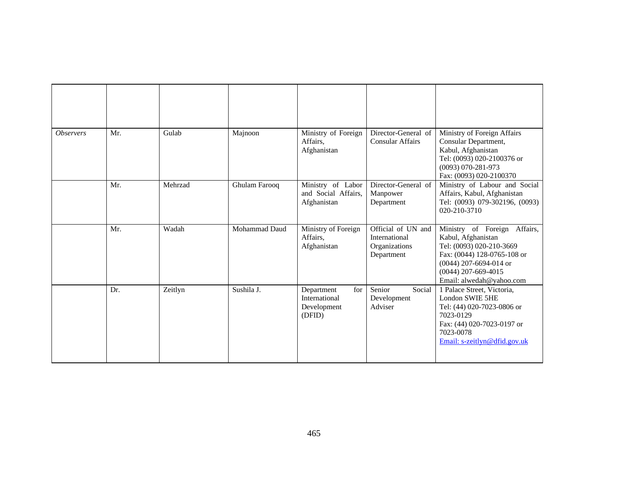| <i><b>Observers</b></i> | Mr. | Gulab   | Majnoon              | Ministry of Foreign<br>Affairs,<br>Afghanistan              | Director-General of<br><b>Consular Affairs</b>                     | Ministry of Foreign Affairs<br>Consular Department,<br>Kabul, Afghanistan<br>Tel: (0093) 020-2100376 or<br>$(0093) 070 - 281 - 973$<br>Fax: (0093) 020-2100370                                 |
|-------------------------|-----|---------|----------------------|-------------------------------------------------------------|--------------------------------------------------------------------|------------------------------------------------------------------------------------------------------------------------------------------------------------------------------------------------|
|                         | Mr. | Mehrzad | Ghulam Farooq        | Ministry of Labor<br>and Social Affairs,<br>Afghanistan     | Director-General of<br>Manpower<br>Department                      | Ministry of Labour and Social<br>Affairs, Kabul, Afghanistan<br>Tel: (0093) 079-302196, (0093)<br>020-210-3710                                                                                 |
|                         | Mr. | Wadah   | <b>Mohammad Daud</b> | Ministry of Foreign<br>Affairs,<br>Afghanistan              | Official of UN and<br>International<br>Organizations<br>Department | Ministry of Foreign Affairs,<br>Kabul, Afghanistan<br>Tel: (0093) 020-210-3669<br>Fax: (0044) 128-0765-108 or<br>$(0044)$ 207-6694-014 or<br>$(0044)$ 207-669-4015<br>Email: alwedah@yahoo.com |
|                         | Dr. | Zeitlyn | Sushila J.           | for<br>Department<br>International<br>Development<br>(DFID) | Senior<br>Social<br>Development<br>Adviser                         | 1 Palace Street, Victoria,<br>London SWIE 5HE<br>Tel: (44) 020-7023-0806 or<br>7023-0129<br>Fax: (44) 020-7023-0197 or<br>7023-0078<br>Email: s-zeitlyn@dfid.gov.uk                            |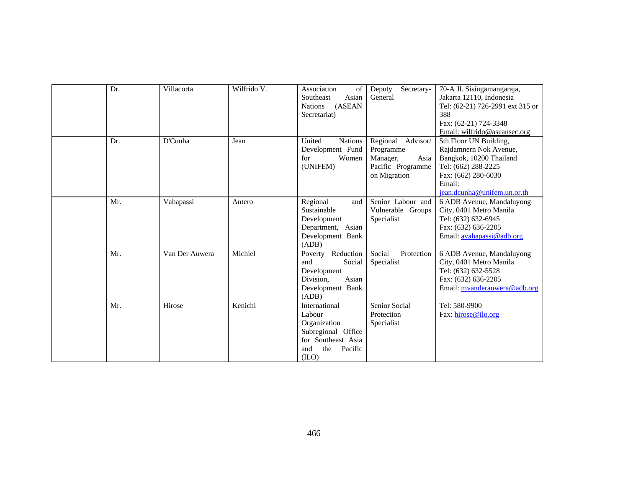| Dr. | Villacorta     | Wilfrido V. | Association<br>of<br>Asian<br>Southeast<br>(ASEAN<br><b>Nations</b><br>Secretariat)                                    | Secretary-<br>Deputy<br>General                                                            | 70-A Jl. Sisingamangaraja,<br>Jakarta 12110, Indonesia<br>Tel: (62-21) 726-2991 ext 315 or<br>388<br>Fax: (62-21) 724-3348<br>Email: wilfrido@aseansec.org         |
|-----|----------------|-------------|------------------------------------------------------------------------------------------------------------------------|--------------------------------------------------------------------------------------------|--------------------------------------------------------------------------------------------------------------------------------------------------------------------|
| Dr. | D'Cunha        | Jean        | United<br><b>Nations</b><br>Development Fund<br>Women<br>for<br>(UNIFEM)                                               | Advisor/<br>Regional<br>Programme<br>Asia<br>Manager,<br>Pacific Programme<br>on Migration | 5th Floor UN Building,<br>Rajdamnern Nok Avenue,<br>Bangkok, 10200 Thailand<br>Tel: (662) 288-2225<br>Fax: (662) 280-6030<br>Email:<br>jean.dcunha@unifem.un.or.th |
| Mr. | Vahapassi      | Antero      | Regional<br>and<br>Sustainable<br>Development<br>Department, Asian<br>Development Bank<br>(ADB)                        | Senior Labour and<br>Vulnerable Groups<br>Specialist                                       | 6 ADB Avenue, Mandaluyong<br>City, 0401 Metro Manila<br>Tel: (632) 632-6945<br>Fax: (632) 636-2205<br>Email: avahapassi@adb.org                                    |
| Mr. | Van Der Auwera | Michiel     | Reduction<br>Poverty<br>Social<br>and<br>Development<br>Division,<br>Asian<br>Development Bank<br>(ADB)                | Social<br>Protection<br>Specialist                                                         | 6 ADB Avenue, Mandaluyong<br>City, 0401 Metro Manila<br>Tel: (632) 632-5528<br>Fax: (632) 636-2205<br>Email: mvanderauwera@adb.org                                 |
| Mr. | Hirose         | Kenichi     | International<br>Labour<br>Organization<br>Subregional Office<br>for Southeast Asia<br>the<br>Pacific<br>and<br>(II.0) | Senior Social<br>Protection<br>Specialist                                                  | Tel: 580-9900<br>Fax: hirose@ilo.org                                                                                                                               |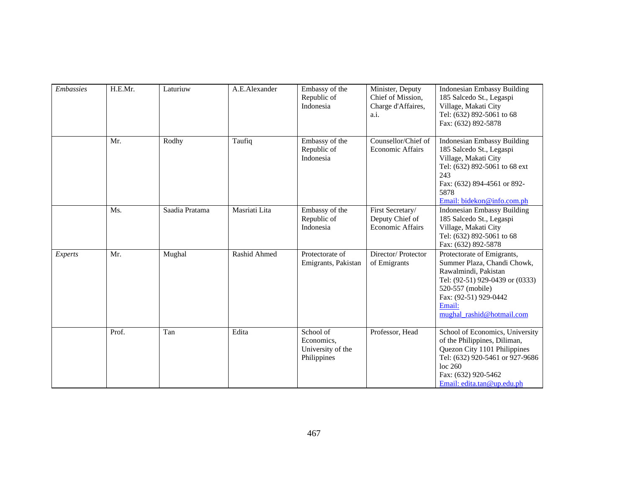| <b>Embassies</b> | H.E.Mr. | Laturiuw       | A.E.Alexander | Embassy of the<br>Republic of<br>Indonesia                  | Minister, Deputy<br>Chief of Mission,<br>Charge d'Affaires,<br>a.i. | <b>Indonesian Embassy Building</b><br>185 Salcedo St., Legaspi<br>Village, Makati City<br>Tel: (632) 892-5061 to 68<br>Fax: (632) 892-5878                                                               |
|------------------|---------|----------------|---------------|-------------------------------------------------------------|---------------------------------------------------------------------|----------------------------------------------------------------------------------------------------------------------------------------------------------------------------------------------------------|
|                  | Mr.     | Rodhy          | Taufiq        | Embassy of the<br>Republic of<br>Indonesia                  | Counsellor/Chief of<br><b>Economic Affairs</b>                      | <b>Indonesian Embassy Building</b><br>185 Salcedo St., Legaspi<br>Village, Makati City<br>Tel: (632) 892-5061 to 68 ext<br>243<br>Fax: (632) 894-4561 or 892-<br>5878<br>Email: bidekon@info.com.ph      |
|                  | Ms.     | Saadia Pratama | Masriati Lita | Embassy of the<br>Republic of<br>Indonesia                  | First Secretary/<br>Deputy Chief of<br><b>Economic Affairs</b>      | <b>Indonesian Embassy Building</b><br>185 Salcedo St., Legaspi<br>Village, Makati City<br>Tel: (632) 892-5061 to 68<br>Fax: (632) 892-5878                                                               |
| Experts          | Mr.     | Mughal         | Rashid Ahmed  | Protectorate of<br>Emigrants, Pakistan                      | Director/Protector<br>of Emigrants                                  | Protectorate of Emigrants,<br>Summer Plaza, Chandi Chowk,<br>Rawalmindi, Pakistan<br>Tel: (92-51) 929-0439 or (0333)<br>520-557 (mobile)<br>Fax: (92-51) 929-0442<br>Email:<br>mughal rashid@hotmail.com |
|                  | Prof.   | Tan            | Edita         | School of<br>Economics,<br>University of the<br>Philippines | Professor, Head                                                     | School of Economics, University<br>of the Philippines, Diliman,<br>Quezon City 1101 Philippines<br>Tel: (632) 920-5461 or 927-9686<br>loc 260<br>Fax: (632) 920-5462<br>Email: edita.tan@up.edu.ph       |